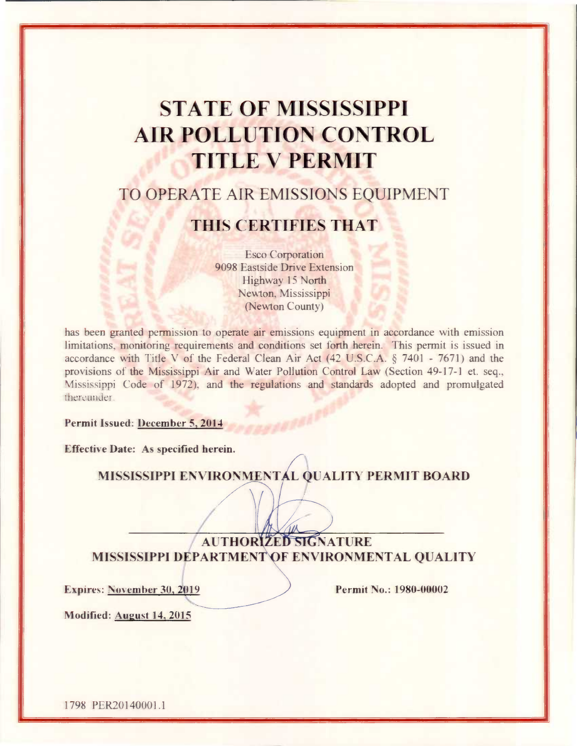## **STATE OF MISSISSIPPI AIR POLLUTION CONTROL TITLE V PERMIT**

### TO OPERATE AIR EMISSIONS EQUIPMENT

### THIS CERTIFIES THAT

**Esco Corporation** 9098 Eastside Drive Extension Highway 15 North Newton, Mississippi (Newton County)

has been granted permission to operate air emissions equipment in accordance with emission limitations, monitoring requirements and conditions set forth herein. This permit is issued in accordance with Title V of the Federal Clean Air Act (42 U.S.C.A. § 7401 - 7671) and the provisions of the Mississippi Air and Water Pollution Control Law (Section 49-17-1 et. seq., Mississippi Code of 1972), and the regulations and standards adopted and promulgated thereunder.

Permit Issued: December 5, 2014

**Effective Date: As specified herein.** 

MISSISSIPPI ENVIRONMENTAL QUALITY PERMIT BOARD

**AUTHORIZED SIGNATURE** MISSISSIPPI DEPARTMENT OF ENVIRONMENTAL QUALITY

**Expires: November 30, 2019** 

Permit No.: 1980-00002

Modified: August 14, 2015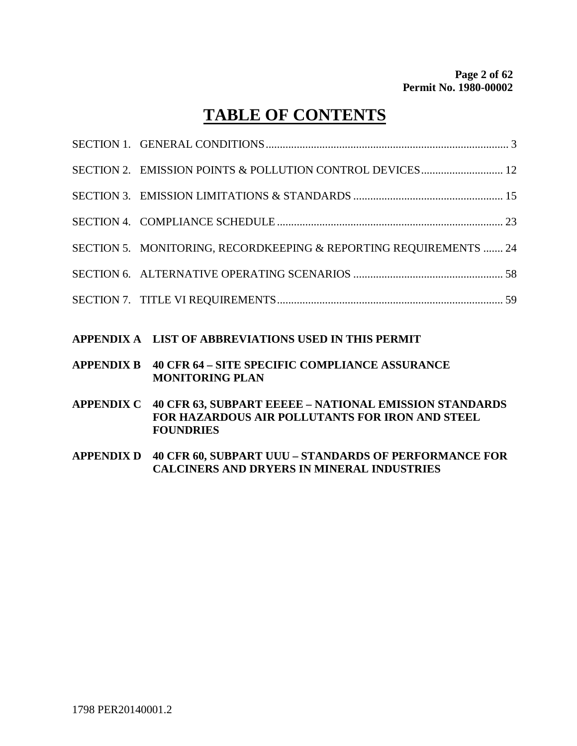## **TABLE OF CONTENTS**

| SECTION 5. MONITORING, RECORDKEEPING & REPORTING REQUIREMENTS  24                                                                               |
|-------------------------------------------------------------------------------------------------------------------------------------------------|
|                                                                                                                                                 |
|                                                                                                                                                 |
|                                                                                                                                                 |
| APPENDIX A LIST OF ABBREVIATIONS USED IN THIS PERMIT                                                                                            |
| APPENDIX B 40 CFR 64 - SITE SPECIFIC COMPLIANCE ASSURANCE<br><b>MONITORING PLAN</b>                                                             |
| APPENDIX C 40 CFR 63, SUBPART EEEEE - NATIONAL EMISSION STANDARDS<br><b>FOR HAZARDOUS AIR POLLUTANTS FOR IRON AND STEEL</b><br><b>FOUNDRIES</b> |

**APPENDIX D 40 CFR 60, SUBPART UUU – STANDARDS OF PERFORMANCE FOR CALCINERS AND DRYERS IN MINERAL INDUSTRIES**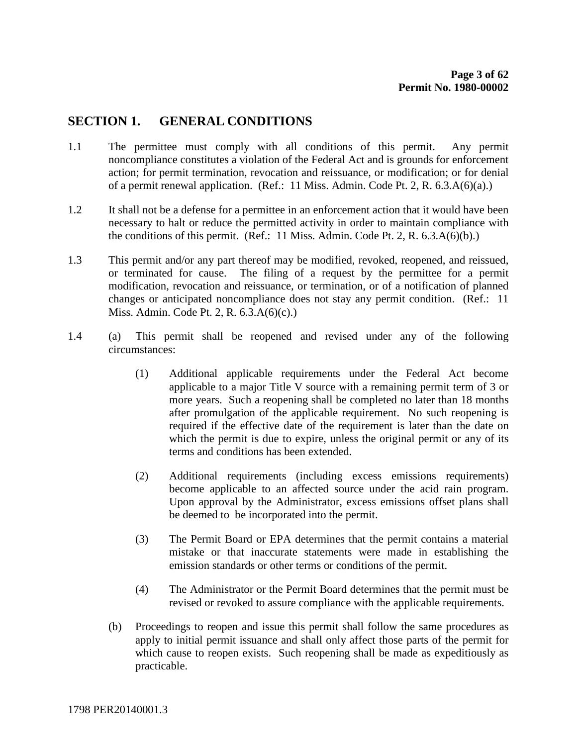#### **SECTION 1. GENERAL CONDITIONS**

- 1.1 The permittee must comply with all conditions of this permit. Any permit noncompliance constitutes a violation of the Federal Act and is grounds for enforcement action; for permit termination, revocation and reissuance, or modification; or for denial of a permit renewal application. (Ref.: 11 Miss. Admin. Code Pt. 2, R. 6.3.A(6)(a).)
- 1.2 It shall not be a defense for a permittee in an enforcement action that it would have been necessary to halt or reduce the permitted activity in order to maintain compliance with the conditions of this permit. (Ref.: 11 Miss. Admin. Code Pt. 2, R.  $6.3.A(6)(b)$ .)
- 1.3 This permit and/or any part thereof may be modified, revoked, reopened, and reissued, or terminated for cause. The filing of a request by the permittee for a permit modification, revocation and reissuance, or termination, or of a notification of planned changes or anticipated noncompliance does not stay any permit condition. (Ref.: 11 Miss. Admin. Code Pt. 2, R. 6.3.A(6)(c).)
- 1.4 (a) This permit shall be reopened and revised under any of the following circumstances:
	- (1) Additional applicable requirements under the Federal Act become applicable to a major Title V source with a remaining permit term of 3 or more years. Such a reopening shall be completed no later than 18 months after promulgation of the applicable requirement. No such reopening is required if the effective date of the requirement is later than the date on which the permit is due to expire, unless the original permit or any of its terms and conditions has been extended.
	- (2) Additional requirements (including excess emissions requirements) become applicable to an affected source under the acid rain program. Upon approval by the Administrator, excess emissions offset plans shall be deemed to be incorporated into the permit.
	- (3) The Permit Board or EPA determines that the permit contains a material mistake or that inaccurate statements were made in establishing the emission standards or other terms or conditions of the permit.
	- (4) The Administrator or the Permit Board determines that the permit must be revised or revoked to assure compliance with the applicable requirements.
	- (b) Proceedings to reopen and issue this permit shall follow the same procedures as apply to initial permit issuance and shall only affect those parts of the permit for which cause to reopen exists. Such reopening shall be made as expeditiously as practicable.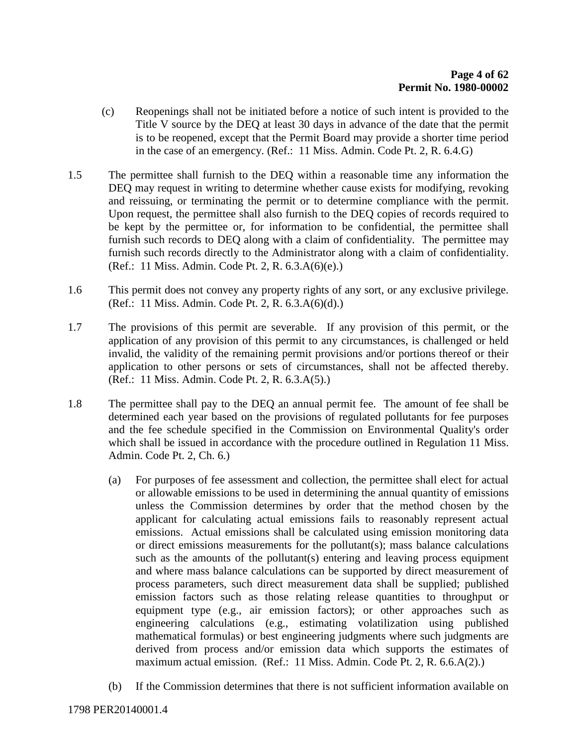- (c) Reopenings shall not be initiated before a notice of such intent is provided to the Title V source by the DEQ at least 30 days in advance of the date that the permit is to be reopened, except that the Permit Board may provide a shorter time period in the case of an emergency. (Ref.: 11 Miss. Admin. Code Pt. 2, R. 6.4.G)
- 1.5 The permittee shall furnish to the DEQ within a reasonable time any information the DEQ may request in writing to determine whether cause exists for modifying, revoking and reissuing, or terminating the permit or to determine compliance with the permit. Upon request, the permittee shall also furnish to the DEQ copies of records required to be kept by the permittee or, for information to be confidential, the permittee shall furnish such records to DEQ along with a claim of confidentiality. The permittee may furnish such records directly to the Administrator along with a claim of confidentiality. (Ref.: 11 Miss. Admin. Code Pt. 2, R. 6.3.A(6)(e).)
- 1.6 This permit does not convey any property rights of any sort, or any exclusive privilege. (Ref.: 11 Miss. Admin. Code Pt. 2, R. 6.3.A(6)(d).)
- 1.7 The provisions of this permit are severable. If any provision of this permit, or the application of any provision of this permit to any circumstances, is challenged or held invalid, the validity of the remaining permit provisions and/or portions thereof or their application to other persons or sets of circumstances, shall not be affected thereby. (Ref.: 11 Miss. Admin. Code Pt. 2, R. 6.3.A(5).)
- 1.8 The permittee shall pay to the DEQ an annual permit fee. The amount of fee shall be determined each year based on the provisions of regulated pollutants for fee purposes and the fee schedule specified in the Commission on Environmental Quality's order which shall be issued in accordance with the procedure outlined in Regulation 11 Miss. Admin. Code Pt. 2, Ch. 6.)
	- (a) For purposes of fee assessment and collection, the permittee shall elect for actual or allowable emissions to be used in determining the annual quantity of emissions unless the Commission determines by order that the method chosen by the applicant for calculating actual emissions fails to reasonably represent actual emissions. Actual emissions shall be calculated using emission monitoring data or direct emissions measurements for the pollutant(s); mass balance calculations such as the amounts of the pollutant(s) entering and leaving process equipment and where mass balance calculations can be supported by direct measurement of process parameters, such direct measurement data shall be supplied; published emission factors such as those relating release quantities to throughput or equipment type (e.g., air emission factors); or other approaches such as engineering calculations (e.g., estimating volatilization using published mathematical formulas) or best engineering judgments where such judgments are derived from process and/or emission data which supports the estimates of maximum actual emission. (Ref.: 11 Miss. Admin. Code Pt. 2, R. 6.6.A(2).)
	- (b) If the Commission determines that there is not sufficient information available on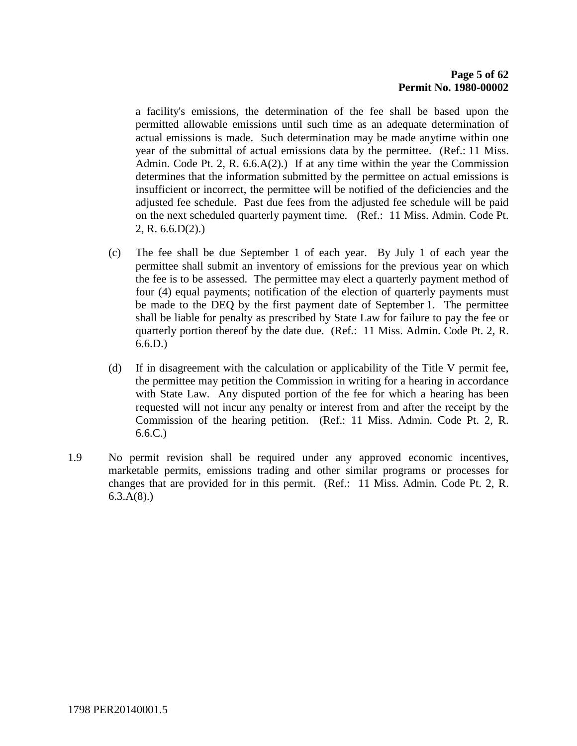a facility's emissions, the determination of the fee shall be based upon the permitted allowable emissions until such time as an adequate determination of actual emissions is made. Such determination may be made anytime within one year of the submittal of actual emissions data by the permittee. (Ref.: 11 Miss. Admin. Code Pt. 2, R.  $6.6.A(2)$ .) If at any time within the year the Commission determines that the information submitted by the permittee on actual emissions is insufficient or incorrect, the permittee will be notified of the deficiencies and the adjusted fee schedule. Past due fees from the adjusted fee schedule will be paid on the next scheduled quarterly payment time. (Ref.: 11 Miss. Admin. Code Pt. 2, R. 6.6.D(2).)

- (c) The fee shall be due September 1 of each year. By July 1 of each year the permittee shall submit an inventory of emissions for the previous year on which the fee is to be assessed. The permittee may elect a quarterly payment method of four (4) equal payments; notification of the election of quarterly payments must be made to the DEQ by the first payment date of September 1. The permittee shall be liable for penalty as prescribed by State Law for failure to pay the fee or quarterly portion thereof by the date due. (Ref.: 11 Miss. Admin. Code Pt. 2, R. 6.6.D.)
- (d) If in disagreement with the calculation or applicability of the Title V permit fee, the permittee may petition the Commission in writing for a hearing in accordance with State Law. Any disputed portion of the fee for which a hearing has been requested will not incur any penalty or interest from and after the receipt by the Commission of the hearing petition. (Ref.: 11 Miss. Admin. Code Pt. 2, R. 6.6.C.)
- 1.9 No permit revision shall be required under any approved economic incentives, marketable permits, emissions trading and other similar programs or processes for changes that are provided for in this permit. (Ref.: 11 Miss. Admin. Code Pt. 2, R.  $6.3.A(8)$ .)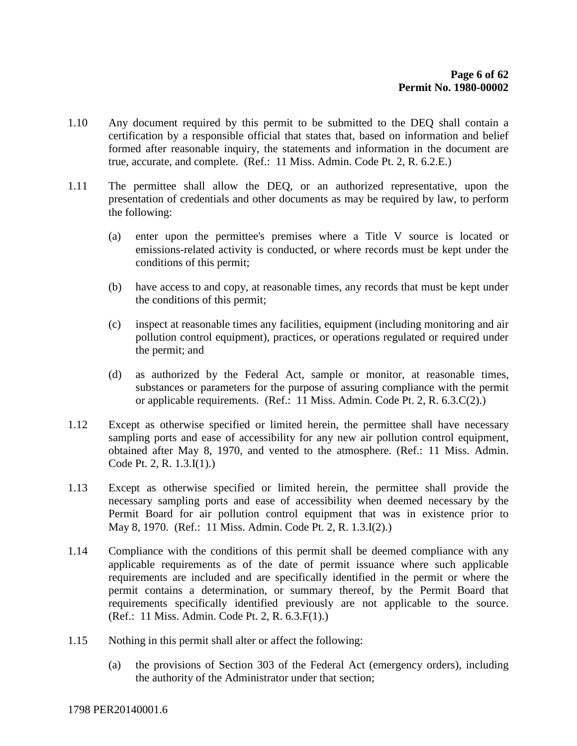- 1.10 Any document required by this permit to be submitted to the DEQ shall contain a certification by a responsible official that states that, based on information and belief formed after reasonable inquiry, the statements and information in the document are true, accurate, and complete. (Ref.: 11 Miss. Admin. Code Pt. 2, R. 6.2.E.)
- 1.11 The permittee shall allow the DEQ, or an authorized representative, upon the presentation of credentials and other documents as may be required by law, to perform the following:
	- (a) enter upon the permittee's premises where a Title V source is located or emissions-related activity is conducted, or where records must be kept under the conditions of this permit;
	- (b) have access to and copy, at reasonable times, any records that must be kept under the conditions of this permit;
	- (c) inspect at reasonable times any facilities, equipment (including monitoring and air pollution control equipment), practices, or operations regulated or required under the permit; and
	- (d) as authorized by the Federal Act, sample or monitor, at reasonable times, substances or parameters for the purpose of assuring compliance with the permit or applicable requirements. (Ref.: 11 Miss. Admin. Code Pt. 2, R. 6.3.C(2).)
- 1.12 Except as otherwise specified or limited herein, the permittee shall have necessary sampling ports and ease of accessibility for any new air pollution control equipment, obtained after May 8, 1970, and vented to the atmosphere. (Ref.: 11 Miss. Admin. Code Pt. 2, R. 1.3.I(1).)
- 1.13 Except as otherwise specified or limited herein, the permittee shall provide the necessary sampling ports and ease of accessibility when deemed necessary by the Permit Board for air pollution control equipment that was in existence prior to May 8, 1970. (Ref.: 11 Miss. Admin. Code Pt. 2, R. 1.3.I(2).)
- 1.14 Compliance with the conditions of this permit shall be deemed compliance with any applicable requirements as of the date of permit issuance where such applicable requirements are included and are specifically identified in the permit or where the permit contains a determination, or summary thereof, by the Permit Board that requirements specifically identified previously are not applicable to the source. (Ref.: 11 Miss. Admin. Code Pt. 2, R. 6.3.F(1).)
- 1.15 Nothing in this permit shall alter or affect the following:
	- (a) the provisions of Section 303 of the Federal Act (emergency orders), including the authority of the Administrator under that section;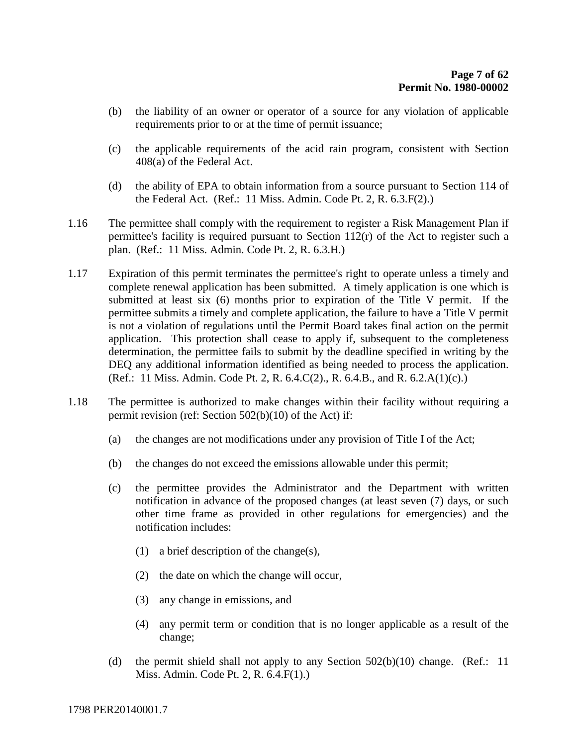- (b) the liability of an owner or operator of a source for any violation of applicable requirements prior to or at the time of permit issuance;
- (c) the applicable requirements of the acid rain program, consistent with Section 408(a) of the Federal Act.
- (d) the ability of EPA to obtain information from a source pursuant to Section 114 of the Federal Act. (Ref.: 11 Miss. Admin. Code Pt. 2, R. 6.3.F(2).)
- 1.16 The permittee shall comply with the requirement to register a Risk Management Plan if permittee's facility is required pursuant to Section 112(r) of the Act to register such a plan. (Ref.: 11 Miss. Admin. Code Pt. 2, R. 6.3.H.)
- 1.17 Expiration of this permit terminates the permittee's right to operate unless a timely and complete renewal application has been submitted. A timely application is one which is submitted at least six (6) months prior to expiration of the Title V permit. If the permittee submits a timely and complete application, the failure to have a Title V permit is not a violation of regulations until the Permit Board takes final action on the permit application. This protection shall cease to apply if, subsequent to the completeness determination, the permittee fails to submit by the deadline specified in writing by the DEQ any additional information identified as being needed to process the application. (Ref.: 11 Miss. Admin. Code Pt. 2, R. 6.4.C(2)., R. 6.4.B., and R. 6.2.A(1)(c).)
- 1.18 The permittee is authorized to make changes within their facility without requiring a permit revision (ref: Section 502(b)(10) of the Act) if:
	- (a) the changes are not modifications under any provision of Title I of the Act;
	- (b) the changes do not exceed the emissions allowable under this permit;
	- (c) the permittee provides the Administrator and the Department with written notification in advance of the proposed changes (at least seven (7) days, or such other time frame as provided in other regulations for emergencies) and the notification includes:
		- (1) a brief description of the change(s),
		- (2) the date on which the change will occur,
		- (3) any change in emissions, and
		- (4) any permit term or condition that is no longer applicable as a result of the change;
	- (d) the permit shield shall not apply to any Section 502(b)(10) change. (Ref.: 11 Miss. Admin. Code Pt. 2, R. 6.4.F(1).)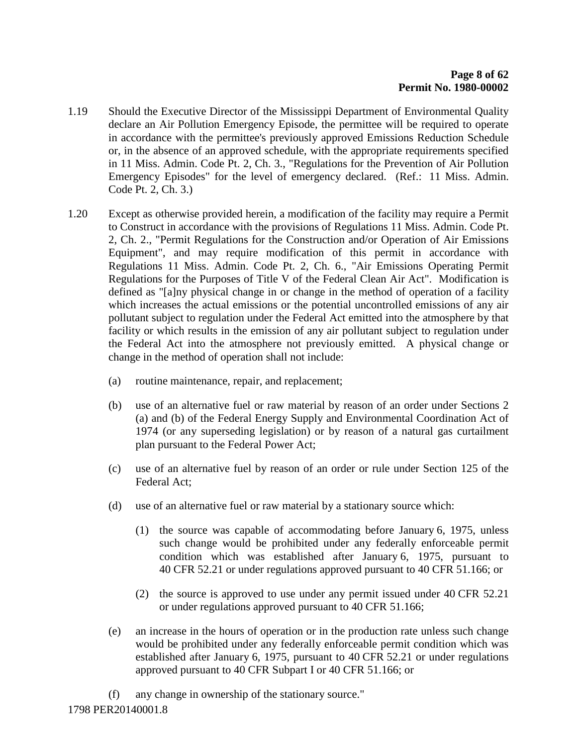- 1.19 Should the Executive Director of the Mississippi Department of Environmental Quality declare an Air Pollution Emergency Episode, the permittee will be required to operate in accordance with the permittee's previously approved Emissions Reduction Schedule or, in the absence of an approved schedule, with the appropriate requirements specified in 11 Miss. Admin. Code Pt. 2, Ch. 3., "Regulations for the Prevention of Air Pollution Emergency Episodes" for the level of emergency declared. (Ref.: 11 Miss. Admin. Code Pt. 2, Ch. 3.)
- 1.20 Except as otherwise provided herein, a modification of the facility may require a Permit to Construct in accordance with the provisions of Regulations 11 Miss. Admin. Code Pt. 2, Ch. 2., "Permit Regulations for the Construction and/or Operation of Air Emissions Equipment", and may require modification of this permit in accordance with Regulations 11 Miss. Admin. Code Pt. 2, Ch. 6., "Air Emissions Operating Permit Regulations for the Purposes of Title V of the Federal Clean Air Act". Modification is defined as "[a]ny physical change in or change in the method of operation of a facility which increases the actual emissions or the potential uncontrolled emissions of any air pollutant subject to regulation under the Federal Act emitted into the atmosphere by that facility or which results in the emission of any air pollutant subject to regulation under the Federal Act into the atmosphere not previously emitted. A physical change or change in the method of operation shall not include:
	- (a) routine maintenance, repair, and replacement;
	- (b) use of an alternative fuel or raw material by reason of an order under Sections 2 (a) and (b) of the Federal Energy Supply and Environmental Coordination Act of 1974 (or any superseding legislation) or by reason of a natural gas curtailment plan pursuant to the Federal Power Act;
	- (c) use of an alternative fuel by reason of an order or rule under Section 125 of the Federal Act;
	- (d) use of an alternative fuel or raw material by a stationary source which:
		- (1) the source was capable of accommodating before January 6, 1975, unless such change would be prohibited under any federally enforceable permit condition which was established after January 6, 1975, pursuant to 40 CFR 52.21 or under regulations approved pursuant to 40 CFR 51.166; or
		- (2) the source is approved to use under any permit issued under 40 CFR 52.21 or under regulations approved pursuant to 40 CFR 51.166;
	- (e) an increase in the hours of operation or in the production rate unless such change would be prohibited under any federally enforceable permit condition which was established after January 6, 1975, pursuant to 40 CFR 52.21 or under regulations approved pursuant to 40 CFR Subpart I or 40 CFR 51.166; or
	- (f) any change in ownership of the stationary source."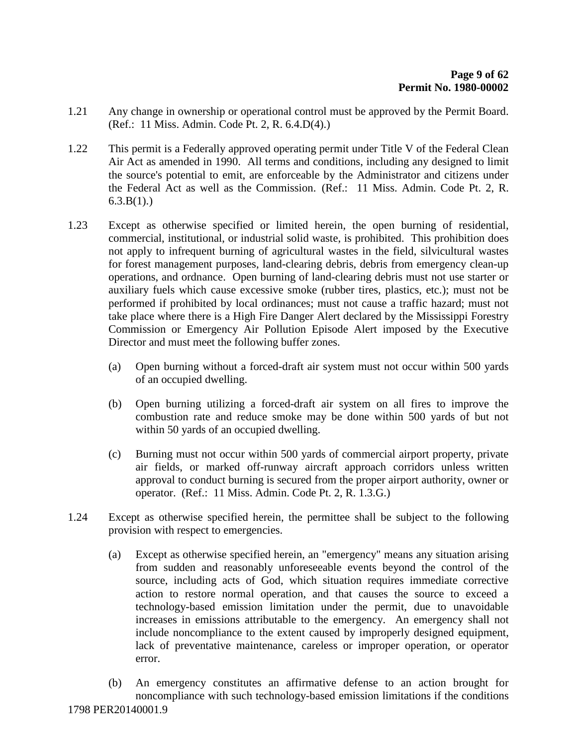- 1.21 Any change in ownership or operational control must be approved by the Permit Board. (Ref.: 11 Miss. Admin. Code Pt. 2, R. 6.4.D(4).)
- 1.22 This permit is a Federally approved operating permit under Title V of the Federal Clean Air Act as amended in 1990. All terms and conditions, including any designed to limit the source's potential to emit, are enforceable by the Administrator and citizens under the Federal Act as well as the Commission. (Ref.: 11 Miss. Admin. Code Pt. 2, R.  $6.3.B(1)$ .
- 1.23 Except as otherwise specified or limited herein, the open burning of residential, commercial, institutional, or industrial solid waste, is prohibited. This prohibition does not apply to infrequent burning of agricultural wastes in the field, silvicultural wastes for forest management purposes, land-clearing debris, debris from emergency clean-up operations, and ordnance. Open burning of land-clearing debris must not use starter or auxiliary fuels which cause excessive smoke (rubber tires, plastics, etc.); must not be performed if prohibited by local ordinances; must not cause a traffic hazard; must not take place where there is a High Fire Danger Alert declared by the Mississippi Forestry Commission or Emergency Air Pollution Episode Alert imposed by the Executive Director and must meet the following buffer zones.
	- (a) Open burning without a forced-draft air system must not occur within 500 yards of an occupied dwelling.
	- (b) Open burning utilizing a forced-draft air system on all fires to improve the combustion rate and reduce smoke may be done within 500 yards of but not within 50 yards of an occupied dwelling.
	- (c) Burning must not occur within 500 yards of commercial airport property, private air fields, or marked off-runway aircraft approach corridors unless written approval to conduct burning is secured from the proper airport authority, owner or operator. (Ref.: 11 Miss. Admin. Code Pt. 2, R. 1.3.G.)
- 1.24 Except as otherwise specified herein, the permittee shall be subject to the following provision with respect to emergencies.
	- (a) Except as otherwise specified herein, an "emergency" means any situation arising from sudden and reasonably unforeseeable events beyond the control of the source, including acts of God, which situation requires immediate corrective action to restore normal operation, and that causes the source to exceed a technology-based emission limitation under the permit, due to unavoidable increases in emissions attributable to the emergency. An emergency shall not include noncompliance to the extent caused by improperly designed equipment, lack of preventative maintenance, careless or improper operation, or operator error.
- 1798 PER20140001.9 (b) An emergency constitutes an affirmative defense to an action brought for noncompliance with such technology-based emission limitations if the conditions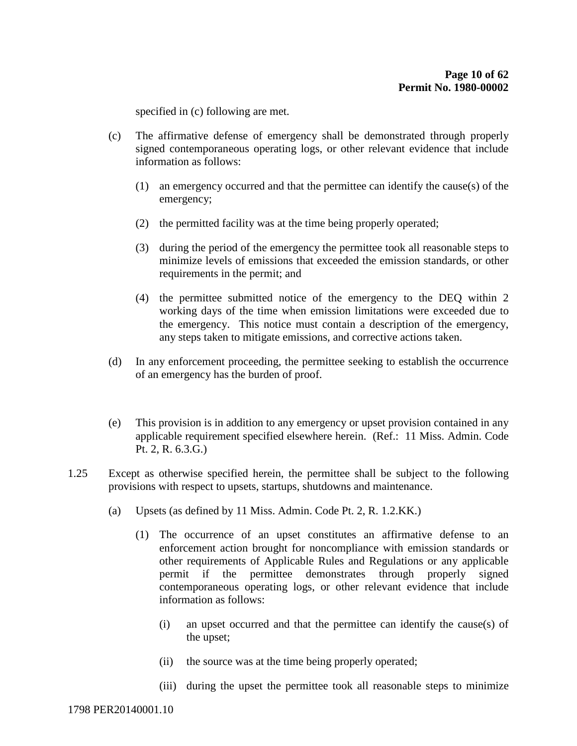specified in (c) following are met.

- (c) The affirmative defense of emergency shall be demonstrated through properly signed contemporaneous operating logs, or other relevant evidence that include information as follows:
	- (1) an emergency occurred and that the permittee can identify the cause(s) of the emergency;
	- (2) the permitted facility was at the time being properly operated;
	- (3) during the period of the emergency the permittee took all reasonable steps to minimize levels of emissions that exceeded the emission standards, or other requirements in the permit; and
	- (4) the permittee submitted notice of the emergency to the DEQ within 2 working days of the time when emission limitations were exceeded due to the emergency. This notice must contain a description of the emergency, any steps taken to mitigate emissions, and corrective actions taken.
- (d) In any enforcement proceeding, the permittee seeking to establish the occurrence of an emergency has the burden of proof.
- (e) This provision is in addition to any emergency or upset provision contained in any applicable requirement specified elsewhere herein. (Ref.: 11 Miss. Admin. Code Pt. 2, R. 6.3.G.)
- 1.25 Except as otherwise specified herein, the permittee shall be subject to the following provisions with respect to upsets, startups, shutdowns and maintenance.
	- (a) Upsets (as defined by 11 Miss. Admin. Code Pt. 2, R. 1.2.KK.)
		- (1) The occurrence of an upset constitutes an affirmative defense to an enforcement action brought for noncompliance with emission standards or other requirements of Applicable Rules and Regulations or any applicable permit if the permittee demonstrates through properly signed contemporaneous operating logs, or other relevant evidence that include information as follows:
			- (i) an upset occurred and that the permittee can identify the cause(s) of the upset;
			- (ii) the source was at the time being properly operated;
			- (iii) during the upset the permittee took all reasonable steps to minimize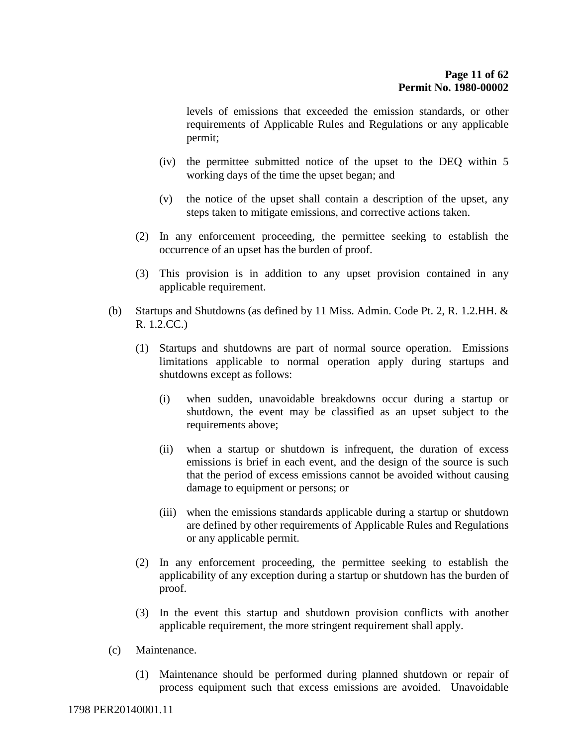levels of emissions that exceeded the emission standards, or other requirements of Applicable Rules and Regulations or any applicable permit;

- (iv) the permittee submitted notice of the upset to the DEQ within 5 working days of the time the upset began; and
- (v) the notice of the upset shall contain a description of the upset, any steps taken to mitigate emissions, and corrective actions taken.
- (2) In any enforcement proceeding, the permittee seeking to establish the occurrence of an upset has the burden of proof.
- (3) This provision is in addition to any upset provision contained in any applicable requirement.
- (b) Startups and Shutdowns (as defined by 11 Miss. Admin. Code Pt. 2, R. 1.2.HH. & R. 1.2.CC.)
	- (1) Startups and shutdowns are part of normal source operation. Emissions limitations applicable to normal operation apply during startups and shutdowns except as follows:
		- (i) when sudden, unavoidable breakdowns occur during a startup or shutdown, the event may be classified as an upset subject to the requirements above;
		- (ii) when a startup or shutdown is infrequent, the duration of excess emissions is brief in each event, and the design of the source is such that the period of excess emissions cannot be avoided without causing damage to equipment or persons; or
		- (iii) when the emissions standards applicable during a startup or shutdown are defined by other requirements of Applicable Rules and Regulations or any applicable permit.
	- (2) In any enforcement proceeding, the permittee seeking to establish the applicability of any exception during a startup or shutdown has the burden of proof.
	- (3) In the event this startup and shutdown provision conflicts with another applicable requirement, the more stringent requirement shall apply.
- (c) Maintenance.
	- (1) Maintenance should be performed during planned shutdown or repair of process equipment such that excess emissions are avoided. Unavoidable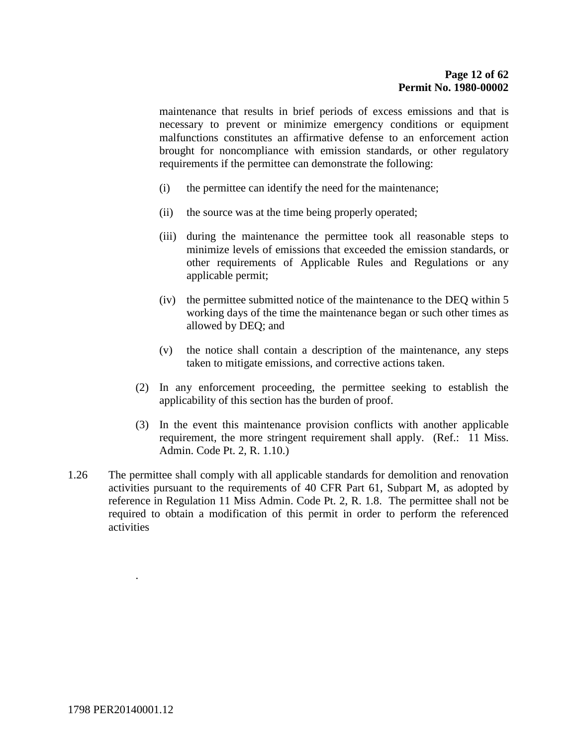maintenance that results in brief periods of excess emissions and that is necessary to prevent or minimize emergency conditions or equipment malfunctions constitutes an affirmative defense to an enforcement action brought for noncompliance with emission standards, or other regulatory requirements if the permittee can demonstrate the following:

- (i) the permittee can identify the need for the maintenance;
- (ii) the source was at the time being properly operated;
- (iii) during the maintenance the permittee took all reasonable steps to minimize levels of emissions that exceeded the emission standards, or other requirements of Applicable Rules and Regulations or any applicable permit;
- (iv) the permittee submitted notice of the maintenance to the DEQ within 5 working days of the time the maintenance began or such other times as allowed by DEQ; and
- (v) the notice shall contain a description of the maintenance, any steps taken to mitigate emissions, and corrective actions taken.
- (2) In any enforcement proceeding, the permittee seeking to establish the applicability of this section has the burden of proof.
- (3) In the event this maintenance provision conflicts with another applicable requirement, the more stringent requirement shall apply. (Ref.: 11 Miss. Admin. Code Pt. 2, R. 1.10.)
- 1.26 The permittee shall comply with all applicable standards for demolition and renovation activities pursuant to the requirements of 40 CFR Part 61, Subpart M, as adopted by reference in Regulation 11 Miss Admin. Code Pt. 2, R. 1.8. The permittee shall not be required to obtain a modification of this permit in order to perform the referenced activities

.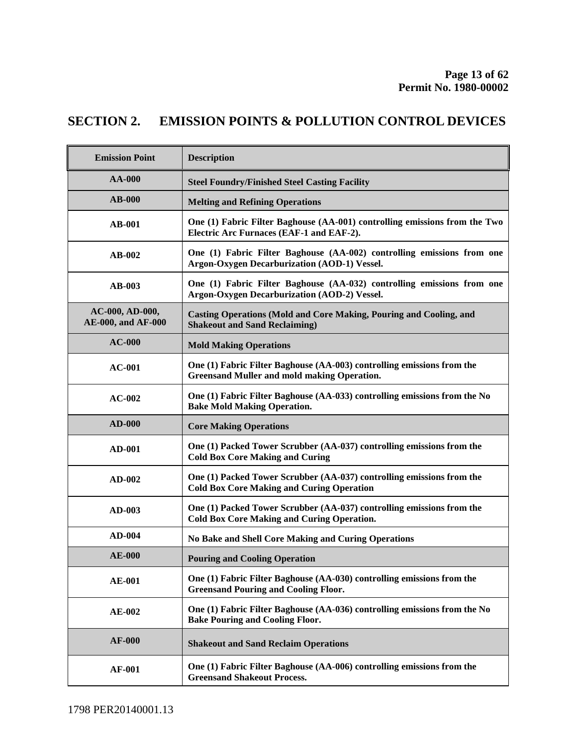#### **SECTION 2. EMISSION POINTS & POLLUTION CONTROL DEVICES**

| <b>Emission Point</b>                        | <b>Description</b>                                                                                                           |
|----------------------------------------------|------------------------------------------------------------------------------------------------------------------------------|
| $AA-000$                                     | <b>Steel Foundry/Finished Steel Casting Facility</b>                                                                         |
| <b>AB-000</b>                                | <b>Melting and Refining Operations</b>                                                                                       |
| <b>AB-001</b>                                | One (1) Fabric Filter Baghouse (AA-001) controlling emissions from the Two<br>Electric Arc Furnaces (EAF-1 and EAF-2).       |
| $AB-002$                                     | One (1) Fabric Filter Baghouse (AA-002) controlling emissions from one<br>Argon-Oxygen Decarburization (AOD-1) Vessel.       |
| $AB-003$                                     | One (1) Fabric Filter Baghouse (AA-032) controlling emissions from one<br>Argon-Oxygen Decarburization (AOD-2) Vessel.       |
| AC-000, AD-000,<br><b>AE-000, and AF-000</b> | <b>Casting Operations (Mold and Core Making, Pouring and Cooling, and</b><br><b>Shakeout and Sand Reclaiming)</b>            |
| $AC-000$                                     | <b>Mold Making Operations</b>                                                                                                |
| $AC-001$                                     | One (1) Fabric Filter Baghouse (AA-003) controlling emissions from the<br><b>Greensand Muller and mold making Operation.</b> |
| $AC-002$                                     | One (1) Fabric Filter Baghouse (AA-033) controlling emissions from the No<br><b>Bake Mold Making Operation.</b>              |
| $AD-000$                                     | <b>Core Making Operations</b>                                                                                                |
| <b>AD-001</b>                                | One (1) Packed Tower Scrubber (AA-037) controlling emissions from the<br><b>Cold Box Core Making and Curing</b>              |
| $AD-002$                                     | One (1) Packed Tower Scrubber (AA-037) controlling emissions from the<br><b>Cold Box Core Making and Curing Operation</b>    |
| <b>AD-003</b>                                | One (1) Packed Tower Scrubber (AA-037) controlling emissions from the<br><b>Cold Box Core Making and Curing Operation.</b>   |
| $AD-004$                                     | No Bake and Shell Core Making and Curing Operations                                                                          |
| <b>AE-000</b>                                | <b>Pouring and Cooling Operation</b>                                                                                         |
| <b>AE-001</b>                                | One (1) Fabric Filter Baghouse (AA-030) controlling emissions from the<br><b>Greensand Pouring and Cooling Floor.</b>        |
| <b>AE-002</b>                                | One (1) Fabric Filter Baghouse (AA-036) controlling emissions from the No<br><b>Bake Pouring and Cooling Floor.</b>          |
| <b>AF-000</b>                                | <b>Shakeout and Sand Reclaim Operations</b>                                                                                  |
| <b>AF-001</b>                                | One (1) Fabric Filter Baghouse (AA-006) controlling emissions from the<br><b>Greensand Shakeout Process.</b>                 |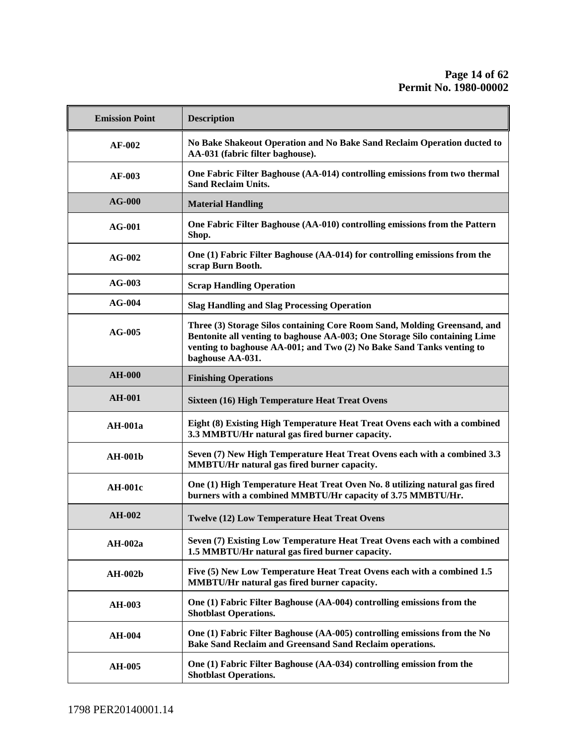| <b>Emission Point</b> | <b>Description</b>                                                                                                                                                                                                                                   |
|-----------------------|------------------------------------------------------------------------------------------------------------------------------------------------------------------------------------------------------------------------------------------------------|
| <b>AF-002</b>         | No Bake Shakeout Operation and No Bake Sand Reclaim Operation ducted to<br>AA-031 (fabric filter baghouse).                                                                                                                                          |
| <b>AF-003</b>         | One Fabric Filter Baghouse (AA-014) controlling emissions from two thermal<br><b>Sand Reclaim Units.</b>                                                                                                                                             |
| $AG-000$              | <b>Material Handling</b>                                                                                                                                                                                                                             |
| <b>AG-001</b>         | One Fabric Filter Baghouse (AA-010) controlling emissions from the Pattern<br>Shop.                                                                                                                                                                  |
| $AG-002$              | One (1) Fabric Filter Baghouse (AA-014) for controlling emissions from the<br>scrap Burn Booth.                                                                                                                                                      |
| $AG-003$              | <b>Scrap Handling Operation</b>                                                                                                                                                                                                                      |
| $AG-004$              | <b>Slag Handling and Slag Processing Operation</b>                                                                                                                                                                                                   |
| $AG-005$              | Three (3) Storage Silos containing Core Room Sand, Molding Greensand, and<br>Bentonite all venting to baghouse AA-003; One Storage Silo containing Lime<br>venting to baghouse AA-001; and Two (2) No Bake Sand Tanks venting to<br>baghouse AA-031. |
| <b>AH-000</b>         | <b>Finishing Operations</b>                                                                                                                                                                                                                          |
| <b>AH-001</b>         | <b>Sixteen (16) High Temperature Heat Treat Ovens</b>                                                                                                                                                                                                |
| <b>AH-001a</b>        | Eight (8) Existing High Temperature Heat Treat Ovens each with a combined<br>3.3 MMBTU/Hr natural gas fired burner capacity.                                                                                                                         |
| <b>AH-001b</b>        | Seven (7) New High Temperature Heat Treat Ovens each with a combined 3.3<br>MMBTU/Hr natural gas fired burner capacity.                                                                                                                              |
| <b>AH-001c</b>        | One (1) High Temperature Heat Treat Oven No. 8 utilizing natural gas fired<br>burners with a combined MMBTU/Hr capacity of 3.75 MMBTU/Hr.                                                                                                            |
| <b>AH-002</b>         | <b>Twelve (12) Low Temperature Heat Treat Ovens</b>                                                                                                                                                                                                  |
| <b>AH-002a</b>        | Seven (7) Existing Low Temperature Heat Treat Ovens each with a combined<br>1.5 MMBTU/Hr natural gas fired burner capacity.                                                                                                                          |
| $AH-002b$             | Five (5) New Low Temperature Heat Treat Ovens each with a combined 1.5<br>MMBTU/Hr natural gas fired burner capacity.                                                                                                                                |
| <b>AH-003</b>         | One (1) Fabric Filter Baghouse (AA-004) controlling emissions from the<br><b>Shotblast Operations.</b>                                                                                                                                               |
| <b>AH-004</b>         | One (1) Fabric Filter Baghouse (AA-005) controlling emissions from the No<br><b>Bake Sand Reclaim and Greensand Sand Reclaim operations.</b>                                                                                                         |
| AH-005                | One (1) Fabric Filter Baghouse (AA-034) controlling emission from the<br><b>Shotblast Operations.</b>                                                                                                                                                |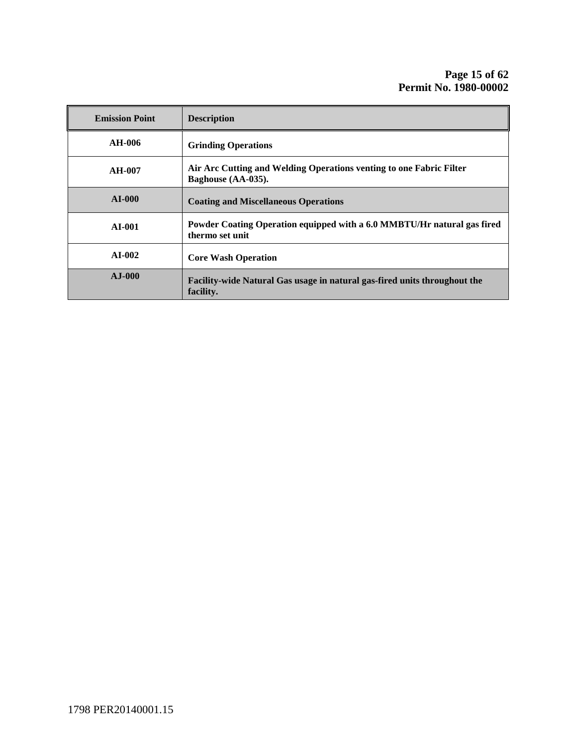#### **Page 15 of 62 Permit No. 1980-00002**

| <b>Emission Point</b> | <b>Description</b>                                                                         |
|-----------------------|--------------------------------------------------------------------------------------------|
| AH-006                | <b>Grinding Operations</b>                                                                 |
| AH-007                | Air Arc Cutting and Welding Operations venting to one Fabric Filter<br>Baghouse (AA-035).  |
| <b>AI-000</b>         | <b>Coating and Miscellaneous Operations</b>                                                |
| <b>AL-001</b>         | Powder Coating Operation equipped with a 6.0 MMBTU/Hr natural gas fired<br>thermo set unit |
| AI-002                | <b>Core Wash Operation</b>                                                                 |
| $A.I-000$             | Facility-wide Natural Gas usage in natural gas-fired units throughout the<br>facility.     |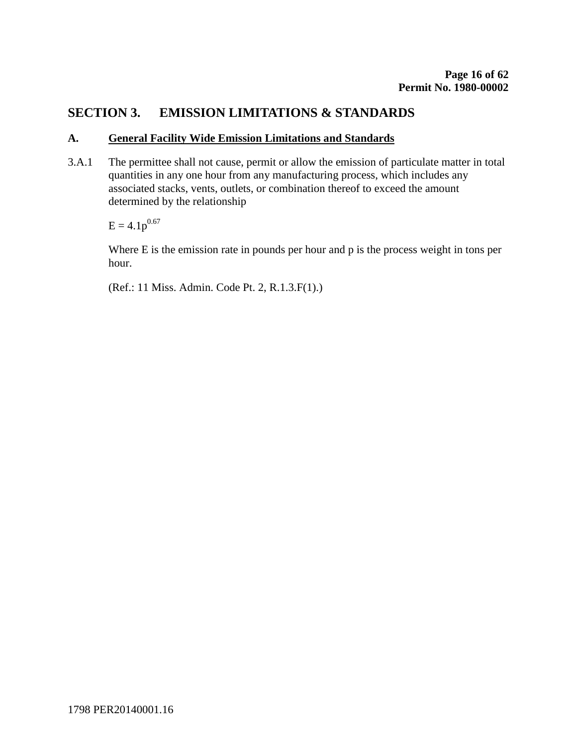#### **SECTION 3. EMISSION LIMITATIONS & STANDARDS**

#### **A. General Facility Wide Emission Limitations and Standards**

3.A.1 The permittee shall not cause, permit or allow the emission of particulate matter in total quantities in any one hour from any manufacturing process, which includes any associated stacks, vents, outlets, or combination thereof to exceed the amount determined by the relationship

 $E = 4.1p^{0.67}$ 

Where E is the emission rate in pounds per hour and p is the process weight in tons per hour.

(Ref.: 11 Miss. Admin. Code Pt. 2, R.1.3.F(1).)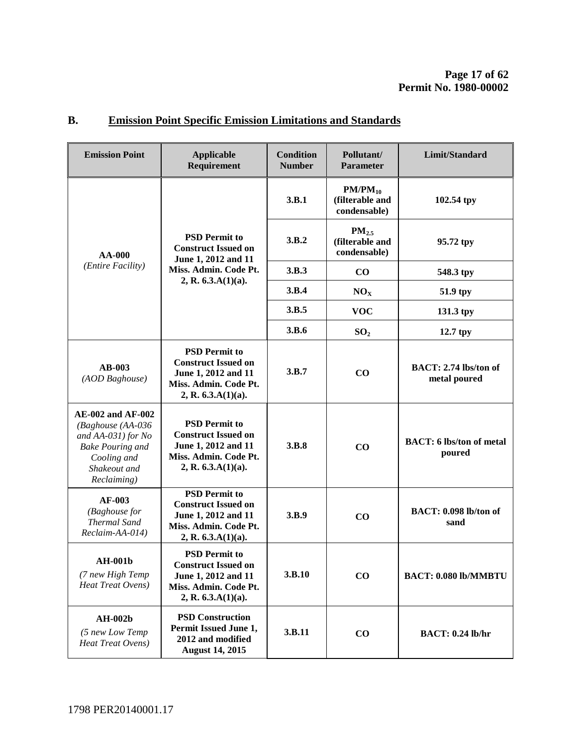#### **Emission Point Applicable Requirement Condition Number Pollutant/ Parameter Limit/Standard AA-000**  *(Entire Facility)* **PSD Permit to Construct Issued on June 1, 2012 and 11 Miss. Admin. Code Pt. 2, R. 6.3.A(1)(a). 3.B.1 PM/PM10 (filterable and condensable) 102.54 tpy 3.B.2**  $PM_{2.5}$ **(filterable and condensable) 95.72 tpy 3.B.3 CO 548.3 tpy 3.B.4 NO<sub>X</sub> 51.9 tpy 3.B.5 VOC 131.3 tpy 3.B.6 SO2 12.7 tpy AB-003**  *(AOD Baghouse)* **PSD Permit to Construct Issued on June 1, 2012 and 11 Miss. Admin. Code Pt. 2, R. 6.3.A(1)(a). 3.B.7 CO BACT: 2.74 lbs/ton of metal poured AE-002 and AF-002**  *(Baghouse (AA-036 and AA-031) for No Bake Pouring and Cooling and Shakeout and Reclaiming)* **PSD Permit to Construct Issued on June 1, 2012 and 11 Miss. Admin. Code Pt. 2, R. 6.3.A(1)(a). 3.B.8 CO BACT: 6 lbs/ton of metal poured AF-003**  *(Baghouse for Thermal Sand Reclaim-AA-014)* **PSD Permit to Construct Issued on June 1, 2012 and 11 Miss. Admin. Code Pt. 2, R. 6.3.A(1)(a). 3.B.9 CO BACT: 0.098 lb/ton of sand AH-001b**  *(7 new High Temp Heat Treat Ovens)* **PSD Permit to Construct Issued on June 1, 2012 and 11 Miss. Admin. Code Pt. 2, R. 6.3.A(1)(a). 3.B.10 CO BACT: 0.080 lb/MMBTU AH-002b PSD Construction**

**3.B.11 CO BACT: 0.24 lb/hr**

#### **B. Emission Point Specific Emission Limitations and Standards**

*(5 new Low Temp Heat Treat Ovens)* **Permit Issued June 1, 2012 and modified August 14, 2015**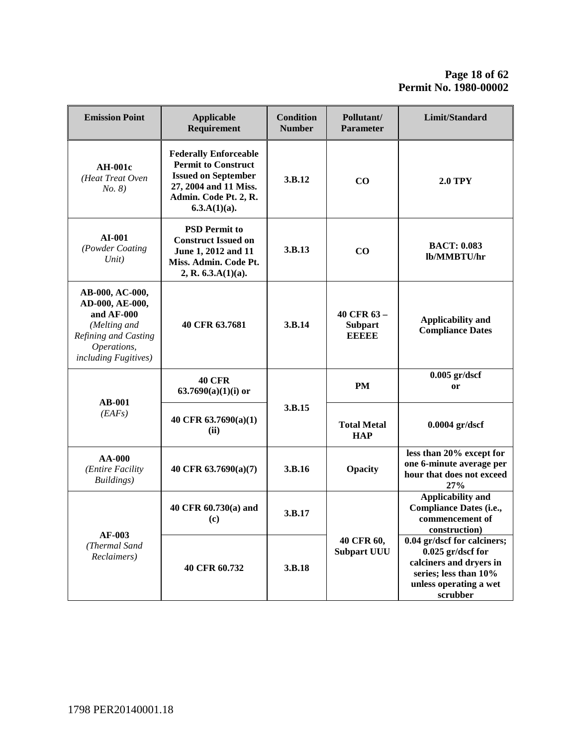| <b>Emission Point</b>                                                                                                           | <b>Applicable</b><br>Requirement                                                                                                                              | <b>Condition</b><br><b>Number</b> | Pollutant/<br><b>Parameter</b>         | Limit/Standard                                                                                                                               |
|---------------------------------------------------------------------------------------------------------------------------------|---------------------------------------------------------------------------------------------------------------------------------------------------------------|-----------------------------------|----------------------------------------|----------------------------------------------------------------------------------------------------------------------------------------------|
| <b>AH-001c</b><br>(Heat Treat Oven<br>No. 8)                                                                                    | <b>Federally Enforceable</b><br><b>Permit to Construct</b><br><b>Issued on September</b><br>27, 2004 and 11 Miss.<br>Admin. Code Pt. 2, R.<br>$6.3.A(1)(a)$ . | 3.B.12                            | $\bf CO$                               | <b>2.0 TPY</b>                                                                                                                               |
| <b>AI-001</b><br>(Powder Coating<br>Unit)                                                                                       | <b>PSD Permit to</b><br><b>Construct Issued on</b><br>June 1, 2012 and 11<br>Miss. Admin. Code Pt.<br>2, R. 6.3.A(1)(a).                                      | 3.B.13                            | $\bf CO$                               | <b>BACT: 0.083</b><br>lb/MMBTU/hr                                                                                                            |
| AB-000, AC-000,<br>AD-000, AE-000,<br>and AF-000<br>(Melting and<br>Refining and Casting<br>Operations,<br>including Fugitives) | 40 CFR 63.7681                                                                                                                                                | 3.B.14                            | 40 CFR 63 -<br><b>Subpart</b><br>EEEEE | <b>Applicability and</b><br><b>Compliance Dates</b>                                                                                          |
| <b>AB-001</b><br>(EAFs)                                                                                                         | <b>40 CFR</b><br>$63.7690(a)(1)(i)$ or                                                                                                                        |                                   | <b>PM</b>                              | $0.005$ gr/dscf<br>or                                                                                                                        |
|                                                                                                                                 | 40 CFR 63.7690(a)(1)<br>(ii)                                                                                                                                  | 3.B.15                            | <b>Total Metal</b><br><b>HAP</b>       | $0.0004$ gr/dscf                                                                                                                             |
| <b>AA-000</b><br>(Entire Facility<br>Buildings)                                                                                 | 40 CFR 63.7690(a)(7)                                                                                                                                          | 3.B.16                            | Opacity                                | less than 20% except for<br>one 6-minute average per<br>hour that does not exceed<br>27%                                                     |
| AF-003<br>(Thermal Sand<br>Reclaimers)                                                                                          | 40 CFR 60.730(a) and<br>(c)                                                                                                                                   | 3.B.17                            |                                        | Applicability and<br><b>Compliance Dates (i.e.,</b><br>commencement of<br>construction)                                                      |
|                                                                                                                                 | 40 CFR 60.732                                                                                                                                                 | 3.B.18                            | 40 CFR 60,<br><b>Subpart UUU</b>       | 0.04 gr/dscf for calciners;<br>$0.025$ gr/dscf for<br>calciners and dryers in<br>series; less than 10%<br>unless operating a wet<br>scrubber |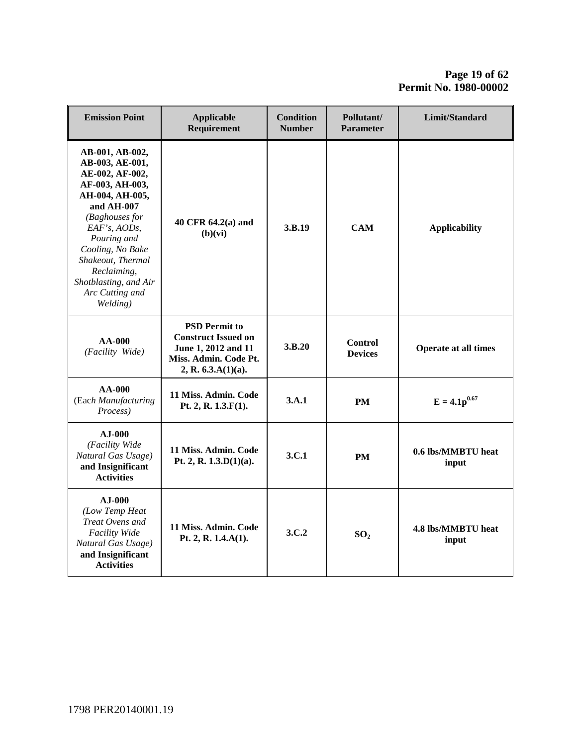| <b>Emission Point</b>                                                                                                                                                                                                                                                        | <b>Applicable</b><br>Requirement                                                                                         | <b>Condition</b><br><b>Number</b> | Pollutant/<br><b>Parameter</b>   | Limit/Standard              |
|------------------------------------------------------------------------------------------------------------------------------------------------------------------------------------------------------------------------------------------------------------------------------|--------------------------------------------------------------------------------------------------------------------------|-----------------------------------|----------------------------------|-----------------------------|
| AB-001, AB-002,<br>AB-003, AE-001,<br>AE-002, AF-002,<br>AF-003, AH-003,<br>AH-004, AH-005,<br>and $AH-007$<br>(Baghouses for<br>EAF's, AODs,<br>Pouring and<br>Cooling, No Bake<br>Shakeout, Thermal<br>Reclaiming,<br>Shotblasting, and Air<br>Arc Cutting and<br>Welding) | 40 CFR 64.2(a) and<br>(b)(vi)                                                                                            | 3.B.19                            | <b>CAM</b>                       | <b>Applicability</b>        |
| <b>AA-000</b><br>(Facility Wide)                                                                                                                                                                                                                                             | <b>PSD Permit to</b><br><b>Construct Issued on</b><br>June 1, 2012 and 11<br>Miss. Admin. Code Pt.<br>2, R. 6.3.A(1)(a). | 3.B.20                            | <b>Control</b><br><b>Devices</b> | Operate at all times        |
| <b>AA-000</b><br>(Each Manufacturing<br>Process)                                                                                                                                                                                                                             | 11 Miss. Admin. Code<br>Pt. 2, R. 1.3.F(1).                                                                              | 3.A.1                             | <b>PM</b>                        | $E = 4.1p^{0.67}$           |
| $A.I-000$<br>(Facility Wide<br>Natural Gas Usage)<br>and Insignificant<br><b>Activities</b>                                                                                                                                                                                  | 11 Miss. Admin. Code<br>Pt. 2, R. $1.3.D(1)(a)$ .                                                                        | 3.C.1                             | <b>PM</b>                        | 0.6 lbs/MMBTU heat<br>input |
| <b>AJ-000</b><br>(Low Temp Heat<br>Treat Ovens and<br><b>Facility Wide</b><br>Natural Gas Usage)<br>and Insignificant<br><b>Activities</b>                                                                                                                                   | 11 Miss. Admin. Code<br>Pt. 2, R. 1.4.A(1).                                                                              | 3.C.2                             | SO <sub>2</sub>                  | 4.8 lbs/MMBTU heat<br>input |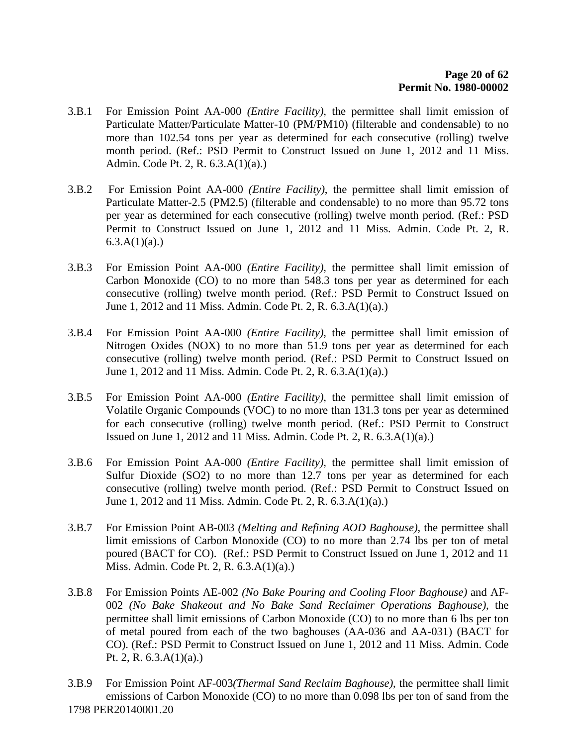- 3.B.1 For Emission Point AA-000 *(Entire Facility)*, the permittee shall limit emission of Particulate Matter/Particulate Matter-10 (PM/PM10) (filterable and condensable) to no more than 102.54 tons per year as determined for each consecutive (rolling) twelve month period. (Ref.: PSD Permit to Construct Issued on June 1, 2012 and 11 Miss. Admin. Code Pt. 2, R. 6.3.A(1)(a).)
- 3.B.2 For Emission Point AA-000 *(Entire Facility)*, the permittee shall limit emission of Particulate Matter-2.5 (PM2.5) (filterable and condensable) to no more than 95.72 tons per year as determined for each consecutive (rolling) twelve month period. (Ref.: PSD Permit to Construct Issued on June 1, 2012 and 11 Miss. Admin. Code Pt. 2, R.  $6.3.A(1)(a)$ .
- 3.B.3 For Emission Point AA-000 *(Entire Facility)*, the permittee shall limit emission of Carbon Monoxide (CO) to no more than 548.3 tons per year as determined for each consecutive (rolling) twelve month period. (Ref.: PSD Permit to Construct Issued on June 1, 2012 and 11 Miss. Admin. Code Pt. 2, R. 6.3.A(1)(a).)
- 3.B.4 For Emission Point AA-000 *(Entire Facility)*, the permittee shall limit emission of Nitrogen Oxides (NOX) to no more than 51.9 tons per year as determined for each consecutive (rolling) twelve month period. (Ref.: PSD Permit to Construct Issued on June 1, 2012 and 11 Miss. Admin. Code Pt. 2, R. 6.3.A(1)(a).)
- 3.B.5 For Emission Point AA-000 *(Entire Facility)*, the permittee shall limit emission of Volatile Organic Compounds (VOC) to no more than 131.3 tons per year as determined for each consecutive (rolling) twelve month period. (Ref.: PSD Permit to Construct Issued on June 1, 2012 and 11 Miss. Admin. Code Pt. 2, R. 6.3.A(1)(a).)
- 3.B.6 For Emission Point AA-000 *(Entire Facility)*, the permittee shall limit emission of Sulfur Dioxide (SO2) to no more than 12.7 tons per year as determined for each consecutive (rolling) twelve month period. (Ref.: PSD Permit to Construct Issued on June 1, 2012 and 11 Miss. Admin. Code Pt. 2, R. 6.3.A(1)(a).)
- 3.B.7 For Emission Point AB-003 *(Melting and Refining AOD Baghouse)*, the permittee shall limit emissions of Carbon Monoxide (CO) to no more than 2.74 lbs per ton of metal poured (BACT for CO). (Ref.: PSD Permit to Construct Issued on June 1, 2012 and 11 Miss. Admin. Code Pt. 2, R. 6.3.A(1)(a).)
- 3.B.8 For Emission Points AE-002 *(No Bake Pouring and Cooling Floor Baghouse)* and AF-002 *(No Bake Shakeout and No Bake Sand Reclaimer Operations Baghouse)*, the permittee shall limit emissions of Carbon Monoxide (CO) to no more than 6 lbs per ton of metal poured from each of the two baghouses (AA-036 and AA-031) (BACT for CO). (Ref.: PSD Permit to Construct Issued on June 1, 2012 and 11 Miss. Admin. Code Pt. 2, R. 6.3.A(1)(a).)
- 1798 PER20140001.20 3.B.9 For Emission Point AF-003*(Thermal Sand Reclaim Baghouse)*, the permittee shall limit emissions of Carbon Monoxide (CO) to no more than 0.098 lbs per ton of sand from the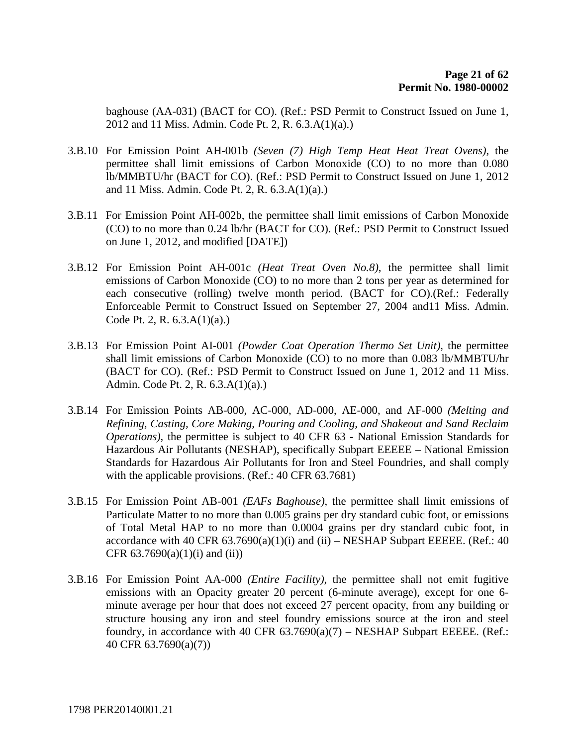baghouse (AA-031) (BACT for CO). (Ref.: PSD Permit to Construct Issued on June 1, 2012 and 11 Miss. Admin. Code Pt. 2, R. 6.3.A(1)(a).)

- 3.B.10 For Emission Point AH-001b *(Seven (7) High Temp Heat Heat Treat Ovens)*, the permittee shall limit emissions of Carbon Monoxide (CO) to no more than 0.080 lb/MMBTU/hr (BACT for CO). (Ref.: PSD Permit to Construct Issued on June 1, 2012 and 11 Miss. Admin. Code Pt. 2, R. 6.3.A(1)(a).)
- 3.B.11 For Emission Point AH-002b, the permittee shall limit emissions of Carbon Monoxide (CO) to no more than 0.24 lb/hr (BACT for CO). (Ref.: PSD Permit to Construct Issued on June 1, 2012, and modified [DATE])
- 3.B.12 For Emission Point AH-001c *(Heat Treat Oven No.8)*, the permittee shall limit emissions of Carbon Monoxide (CO) to no more than 2 tons per year as determined for each consecutive (rolling) twelve month period. (BACT for CO).(Ref.: Federally Enforceable Permit to Construct Issued on September 27, 2004 and11 Miss. Admin. Code Pt. 2, R. 6.3.A(1)(a).)
- 3.B.13 For Emission Point AI-001 *(Powder Coat Operation Thermo Set Unit)*, the permittee shall limit emissions of Carbon Monoxide (CO) to no more than 0.083 lb/MMBTU/hr (BACT for CO). (Ref.: PSD Permit to Construct Issued on June 1, 2012 and 11 Miss. Admin. Code Pt. 2, R. 6.3.A(1)(a).)
- 3.B.14 For Emission Points AB-000, AC-000, AD-000, AE-000, and AF-000 *(Melting and Refining, Casting, Core Making, Pouring and Cooling, and Shakeout and Sand Reclaim Operations)*, the permittee is subject to 40 CFR 63 - National Emission Standards for Hazardous Air Pollutants (NESHAP), specifically Subpart EEEEE – National Emission Standards for Hazardous Air Pollutants for Iron and Steel Foundries, and shall comply with the applicable provisions. (Ref.: 40 CFR 63.7681)
- 3.B.15 For Emission Point AB-001 *(EAFs Baghouse)*, the permittee shall limit emissions of Particulate Matter to no more than 0.005 grains per dry standard cubic foot, or emissions of Total Metal HAP to no more than 0.0004 grains per dry standard cubic foot, in accordance with 40 CFR  $63.7690(a)(1)(i)$  and  $(ii)$  – NESHAP Subpart EEEEE. (Ref.: 40 CFR  $63.7690(a)(1)(i)$  and  $(ii)$ )
- 3.B.16 For Emission Point AA-000 *(Entire Facility)*, the permittee shall not emit fugitive emissions with an Opacity greater 20 percent (6-minute average), except for one 6 minute average per hour that does not exceed 27 percent opacity, from any building or structure housing any iron and steel foundry emissions source at the iron and steel foundry, in accordance with 40 CFR  $63.7690(a)(7)$  – NESHAP Subpart EEEEE. (Ref.: 40 CFR 63.7690(a)(7))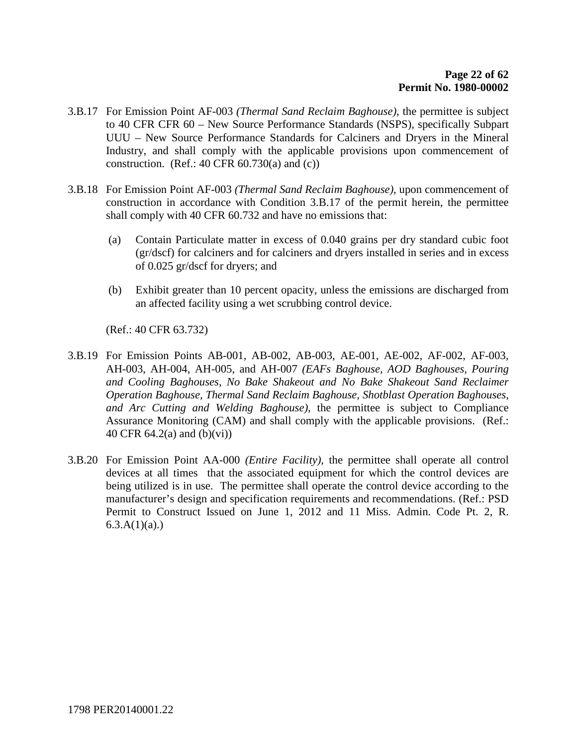- 3.B.17 For Emission Point AF-003 *(Thermal Sand Reclaim Baghouse)*, the permittee is subject to 40 CFR CFR 60 – New Source Performance Standards (NSPS), specifically Subpart UUU – New Source Performance Standards for Calciners and Dryers in the Mineral Industry, and shall comply with the applicable provisions upon commencement of construction. (Ref.:  $40 \text{ CFR } 60.730(a)$  and (c))
- 3.B.18 For Emission Point AF-003 *(Thermal Sand Reclaim Baghouse)*, upon commencement of construction in accordance with Condition 3.B.17 of the permit herein, the permittee shall comply with 40 CFR 60.732 and have no emissions that:
	- (a) Contain Particulate matter in excess of 0.040 grains per dry standard cubic foot (gr/dscf) for calciners and for calciners and dryers installed in series and in excess of 0.025 gr/dscf for dryers; and
	- (b) Exhibit greater than 10 percent opacity, unless the emissions are discharged from an affected facility using a wet scrubbing control device.

(Ref.: 40 CFR 63.732)

- 3.B.19 For Emission Points AB-001, AB-002, AB-003, AE-001, AE-002, AF-002, AF-003, AH-003, AH-004, AH-005, and AH-007 *(EAFs Baghouse, AOD Baghouses, Pouring and Cooling Baghouses, No Bake Shakeout and No Bake Shakeout Sand Reclaimer Operation Baghouse, Thermal Sand Reclaim Baghouse, Shotblast Operation Baghouses, and Arc Cutting and Welding Baghouse)*, the permittee is subject to Compliance Assurance Monitoring (CAM) and shall comply with the applicable provisions. (Ref.: 40 CFR 64.2(a) and (b)(vi))
- 3.B.20 For Emission Point AA-000 *(Entire Facility)*, the permittee shall operate all control devices at all times that the associated equipment for which the control devices are being utilized is in use. The permittee shall operate the control device according to the manufacturer's design and specification requirements and recommendations. (Ref.: PSD Permit to Construct Issued on June 1, 2012 and 11 Miss. Admin. Code Pt. 2, R.  $6.3.A(1)(a)$ .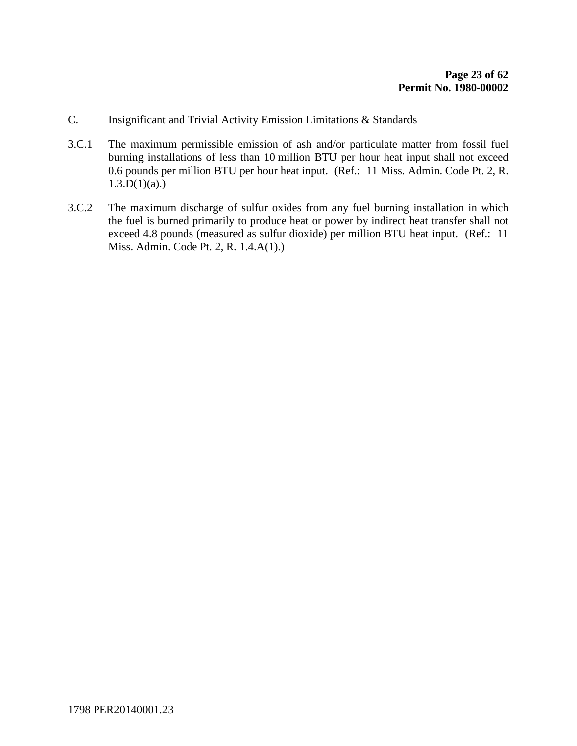#### C. Insignificant and Trivial Activity Emission Limitations & Standards

- 3.C.1 The maximum permissible emission of ash and/or particulate matter from fossil fuel burning installations of less than 10 million BTU per hour heat input shall not exceed 0.6 pounds per million BTU per hour heat input. (Ref.: 11 Miss. Admin. Code Pt. 2, R.  $1.3.D(1)(a)$ .)
- 3.C.2 The maximum discharge of sulfur oxides from any fuel burning installation in which the fuel is burned primarily to produce heat or power by indirect heat transfer shall not exceed 4.8 pounds (measured as sulfur dioxide) per million BTU heat input. (Ref.: 11 Miss. Admin. Code Pt. 2, R. 1.4.A(1).)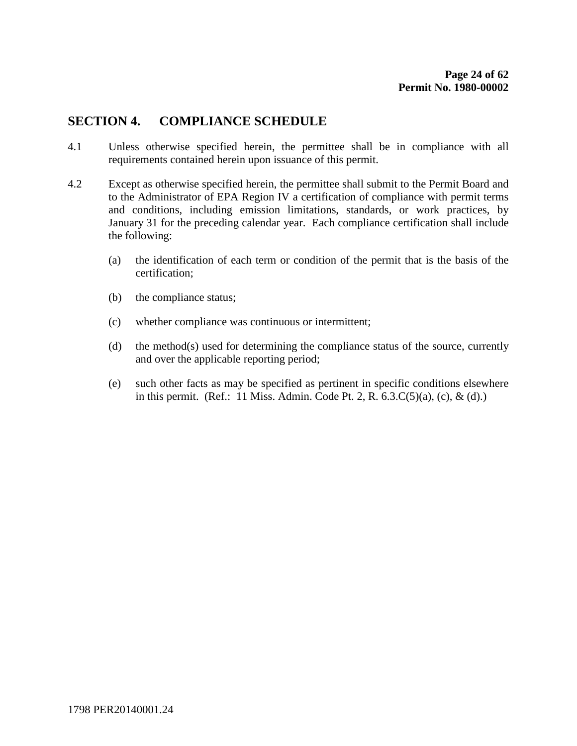#### **SECTION 4. COMPLIANCE SCHEDULE**

- 4.1 Unless otherwise specified herein, the permittee shall be in compliance with all requirements contained herein upon issuance of this permit.
- 4.2 Except as otherwise specified herein, the permittee shall submit to the Permit Board and to the Administrator of EPA Region IV a certification of compliance with permit terms and conditions, including emission limitations, standards, or work practices, by January 31 for the preceding calendar year. Each compliance certification shall include the following:
	- (a) the identification of each term or condition of the permit that is the basis of the certification;
	- (b) the compliance status;
	- (c) whether compliance was continuous or intermittent;
	- (d) the method(s) used for determining the compliance status of the source, currently and over the applicable reporting period;
	- (e) such other facts as may be specified as pertinent in specific conditions elsewhere in this permit. (Ref.: 11 Miss. Admin. Code Pt. 2, R. 6.3.C(5)(a), (c), & (d).)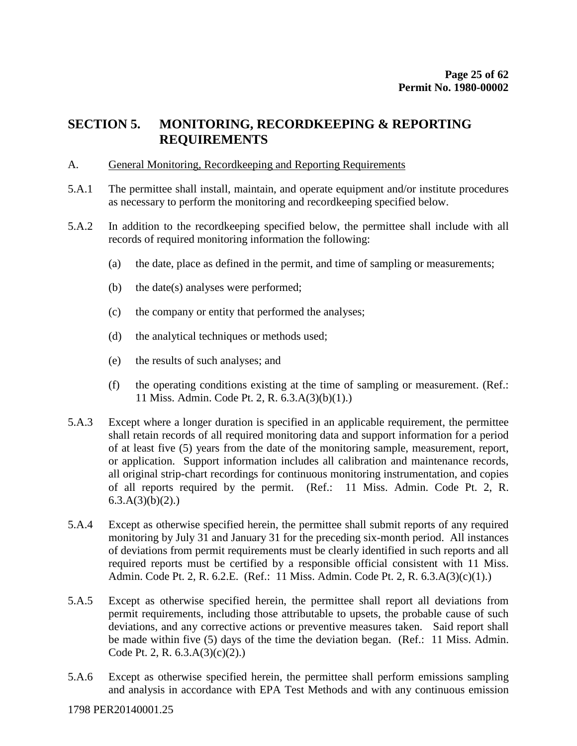#### **SECTION 5. MONITORING, RECORDKEEPING & REPORTING REQUIREMENTS**

#### A. General Monitoring, Recordkeeping and Reporting Requirements

- 5.A.1 The permittee shall install, maintain, and operate equipment and/or institute procedures as necessary to perform the monitoring and recordkeeping specified below.
- 5.A.2 In addition to the recordkeeping specified below, the permittee shall include with all records of required monitoring information the following:
	- (a) the date, place as defined in the permit, and time of sampling or measurements;
	- (b) the date(s) analyses were performed;
	- (c) the company or entity that performed the analyses;
	- (d) the analytical techniques or methods used;
	- (e) the results of such analyses; and
	- (f) the operating conditions existing at the time of sampling or measurement. (Ref.: 11 Miss. Admin. Code Pt. 2, R. 6.3.A(3)(b)(1).)
- 5.A.3 Except where a longer duration is specified in an applicable requirement, the permittee shall retain records of all required monitoring data and support information for a period of at least five (5) years from the date of the monitoring sample, measurement, report, or application. Support information includes all calibration and maintenance records, all original strip-chart recordings for continuous monitoring instrumentation, and copies of all reports required by the permit. (Ref.: 11 Miss. Admin. Code Pt. 2, R.  $6.3.A(3)(b)(2)$ .
- 5.A.4 Except as otherwise specified herein, the permittee shall submit reports of any required monitoring by July 31 and January 31 for the preceding six-month period. All instances of deviations from permit requirements must be clearly identified in such reports and all required reports must be certified by a responsible official consistent with 11 Miss. Admin. Code Pt. 2, R. 6.2.E. (Ref.: 11 Miss. Admin. Code Pt. 2, R. 6.3.A(3)(c)(1).)
- 5.A.5 Except as otherwise specified herein, the permittee shall report all deviations from permit requirements, including those attributable to upsets, the probable cause of such deviations, and any corrective actions or preventive measures taken. Said report shall be made within five (5) days of the time the deviation began. (Ref.: 11 Miss. Admin. Code Pt. 2, R. 6.3.A(3)(c)(2).)
- 5.A.6 Except as otherwise specified herein, the permittee shall perform emissions sampling and analysis in accordance with EPA Test Methods and with any continuous emission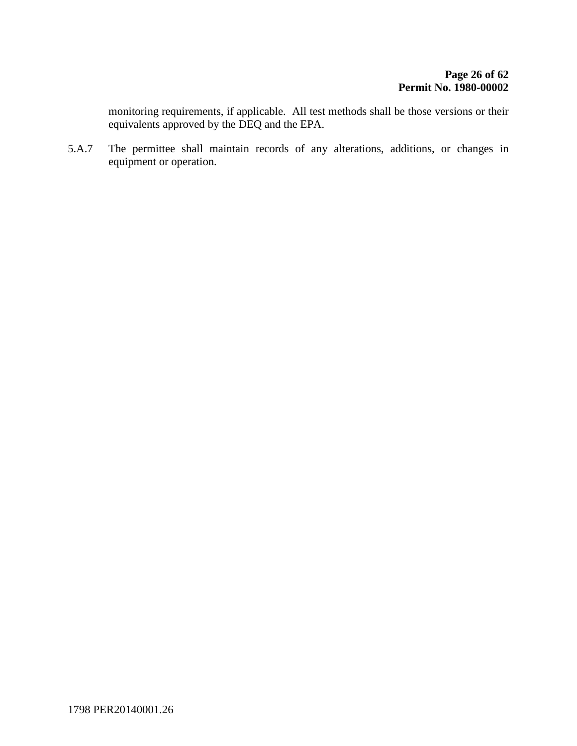monitoring requirements, if applicable. All test methods shall be those versions or their equivalents approved by the DEQ and the EPA.

5.A.7 The permittee shall maintain records of any alterations, additions, or changes in equipment or operation.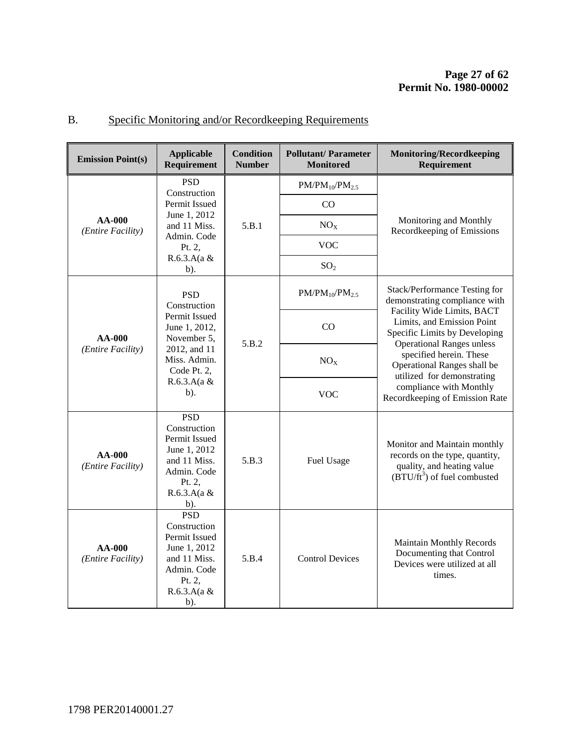| <b>Emission Point(s)</b>           | <b>Applicable</b><br>Requirement                                                                                                 | <b>Condition</b><br><b>Number</b> | <b>Pollutant/Parameter</b><br><b>Monitored</b> | <b>Monitoring/Recordkeeping</b><br>Requirement                                                                                                                                        |
|------------------------------------|----------------------------------------------------------------------------------------------------------------------------------|-----------------------------------|------------------------------------------------|---------------------------------------------------------------------------------------------------------------------------------------------------------------------------------------|
|                                    | <b>PSD</b><br>Construction                                                                                                       |                                   | $PM/PM_{10}/PM_{2.5}$                          |                                                                                                                                                                                       |
|                                    | Permit Issued                                                                                                                    |                                   | CO                                             |                                                                                                                                                                                       |
| $AA-000$<br>(Entire Facility)      | June 1, 2012<br>and 11 Miss.                                                                                                     | 5.B.1                             | NO <sub>X</sub>                                | Monitoring and Monthly<br>Recordkeeping of Emissions                                                                                                                                  |
|                                    | Admin. Code<br>Pt. 2,                                                                                                            |                                   | <b>VOC</b>                                     |                                                                                                                                                                                       |
|                                    | R.6.3.A(a &<br>$b)$ .                                                                                                            |                                   | SO <sub>2</sub>                                |                                                                                                                                                                                       |
|                                    | <b>PSD</b><br>Construction                                                                                                       |                                   | $PM/PM_{10}/PM_{2.5}$                          | Stack/Performance Testing for<br>demonstrating compliance with                                                                                                                        |
| <b>AA-000</b><br>(Entire Facility) | Permit Issued<br>June 1, 2012,<br>November 5,<br>2012, and 11<br>Miss. Admin.<br>Code Pt. 2,<br>R.6.3.A(a &<br>$b)$ .            | 5.B.2                             | CO                                             | Facility Wide Limits, BACT<br>Limits, and Emission Point<br>Specific Limits by Developing                                                                                             |
|                                    |                                                                                                                                  |                                   | NO <sub>x</sub>                                | <b>Operational Ranges unless</b><br>specified herein. These<br>Operational Ranges shall be<br>utilized for demonstrating<br>compliance with Monthly<br>Recordkeeping of Emission Rate |
|                                    |                                                                                                                                  |                                   | <b>VOC</b>                                     |                                                                                                                                                                                       |
| AA-000<br>(Entire Facility)        | <b>PSD</b><br>Construction<br>Permit Issued<br>June 1, 2012<br>and 11 Miss.<br>Admin. Code<br>Pt. $2$ ,<br>R.6.3.A(a &<br>$b)$ . | 5.B.3                             | Fuel Usage                                     | Monitor and Maintain monthly<br>records on the type, quantity,<br>quality, and heating value<br>$(BTU/ft^3)$ of fuel combusted                                                        |
| AA-000<br>(Entire Facility)        | <b>PSD</b><br>Construction<br>Permit Issued<br>June 1, 2012<br>and 11 Miss.<br>Admin. Code<br>Pt. 2,<br>R.6.3.A(a &<br>$b)$ .    | 5.B.4                             | <b>Control Devices</b>                         | <b>Maintain Monthly Records</b><br>Documenting that Control<br>Devices were utilized at all<br>times.                                                                                 |

### B. Specific Monitoring and/or Recordkeeping Requirements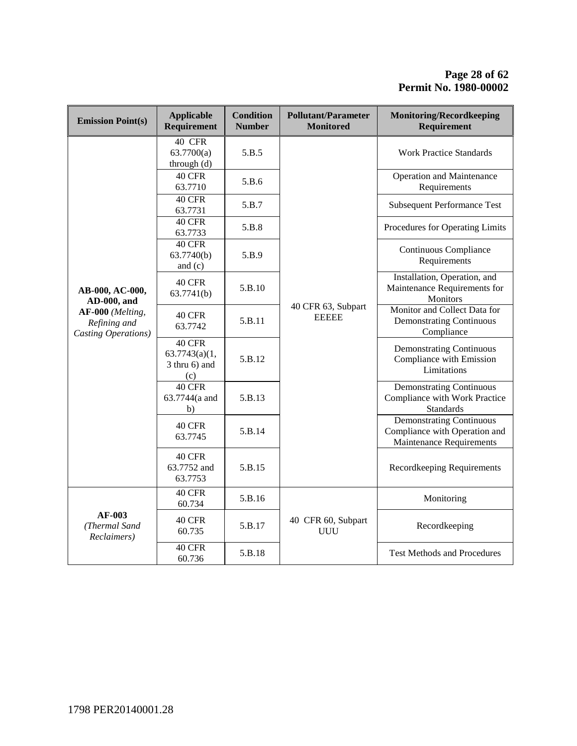#### **Page 28 of 62 Permit No. 1980-00002**

| <b>Emission Point(s)</b>                                                                          | <b>Applicable</b><br><b>Requirement</b>              | <b>Condition</b><br><b>Number</b> | <b>Pollutant/Parameter</b><br><b>Monitored</b> | <b>Monitoring/Recordkeeping</b><br>Requirement                                                      |
|---------------------------------------------------------------------------------------------------|------------------------------------------------------|-----------------------------------|------------------------------------------------|-----------------------------------------------------------------------------------------------------|
|                                                                                                   | 40 CFR<br>63.7700(a)<br>through $(d)$                | 5.B.5                             |                                                | <b>Work Practice Standards</b>                                                                      |
|                                                                                                   | 40 CFR<br>63.7710                                    | 5.B.6                             |                                                | <b>Operation and Maintenance</b><br>Requirements                                                    |
|                                                                                                   | 40 CFR<br>63.7731                                    | 5.B.7                             |                                                | <b>Subsequent Performance Test</b>                                                                  |
|                                                                                                   | 40 CFR<br>63.7733                                    | 5.B.8                             |                                                | Procedures for Operating Limits                                                                     |
|                                                                                                   | 40 CFR<br>63.7740(b)<br>and $(c)$                    | 5.B.9                             |                                                | Continuous Compliance<br>Requirements                                                               |
| AB-000, AC-000,<br>AD-000, and<br>AF-000 (Melting,<br>Refining and<br><b>Casting Operations</b> ) | <b>40 CFR</b><br>63.7741(b)                          | 5.B.10                            | 40 CFR 63, Subpart<br><b>EEEEE</b>             | Installation, Operation, and<br>Maintenance Requirements for<br><b>Monitors</b>                     |
|                                                                                                   | 40 CFR<br>63.7742                                    | 5.B.11                            |                                                | Monitor and Collect Data for<br><b>Demonstrating Continuous</b><br>Compliance                       |
|                                                                                                   | 40 CFR<br>63.7743(a)(1,<br>$3$ thru $6$ ) and<br>(c) | 5.B.12                            |                                                | <b>Demonstrating Continuous</b><br>Compliance with Emission<br>Limitations                          |
|                                                                                                   | 40 CFR<br>63.7744(a and<br>b)                        | 5.B.13                            |                                                | <b>Demonstrating Continuous</b><br>Compliance with Work Practice<br><b>Standards</b>                |
|                                                                                                   | 40 CFR<br>63.7745                                    | 5.B.14                            |                                                | <b>Demonstrating Continuous</b><br>Compliance with Operation and<br><b>Maintenance Requirements</b> |
|                                                                                                   | 40 CFR<br>63.7752 and<br>63.7753                     | 5.B.15                            |                                                | <b>Recordkeeping Requirements</b>                                                                   |
|                                                                                                   | 40 CFR<br>60.734                                     | 5.B.16                            |                                                | Monitoring                                                                                          |
| <b>AF-003</b><br>(Thermal Sand<br>Reclaimers)                                                     | 40 CFR<br>60.735                                     | 5.B.17                            | 40 CFR 60, Subpart<br><b>UUU</b>               | Recordkeeping                                                                                       |
|                                                                                                   | 40 CFR<br>60.736                                     | 5.B.18                            |                                                | <b>Test Methods and Procedures</b>                                                                  |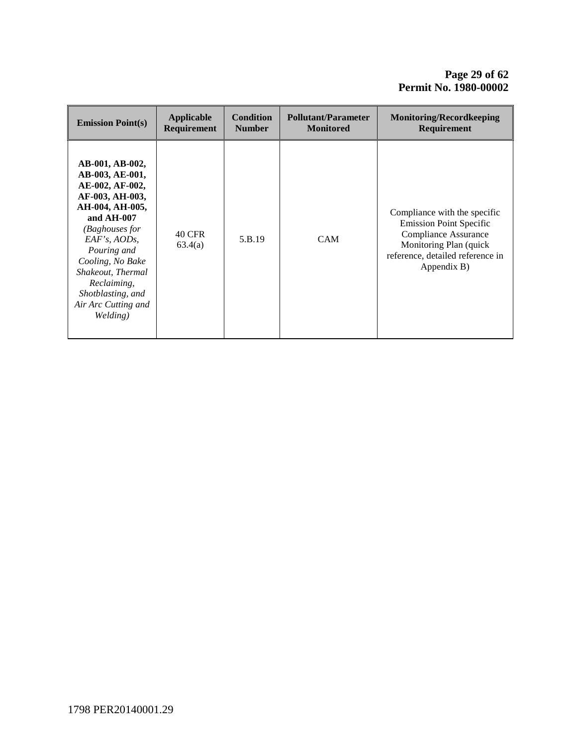#### **Page 29 of 62 Permit No. 1980-00002**

| <b>Emission Point(s)</b>                                                                                                                                                                                                                                                   | Applicable               | <b>Condition</b> | <b>Pollutant/Parameter</b> | <b>Monitoring/Recordkeeping</b>                                                                                                                                     |
|----------------------------------------------------------------------------------------------------------------------------------------------------------------------------------------------------------------------------------------------------------------------------|--------------------------|------------------|----------------------------|---------------------------------------------------------------------------------------------------------------------------------------------------------------------|
|                                                                                                                                                                                                                                                                            | <b>Requirement</b>       | <b>Number</b>    | <b>Monitored</b>           | <b>Requirement</b>                                                                                                                                                  |
| AB-001, AB-002,<br>AB-003, AE-001,<br>AE-002, AF-002,<br>AF-003, AH-003,<br>AH-004, AH-005,<br>and AH-007<br>(Baghouses for<br>EAF's, AODs.<br>Pouring and<br>Cooling, No Bake<br>Shakeout, Thermal<br>Reclaiming,<br>Shotblasting, and<br>Air Arc Cutting and<br>Welding) | <b>40 CFR</b><br>63.4(a) | 5.B.19           | <b>CAM</b>                 | Compliance with the specific<br><b>Emission Point Specific</b><br>Compliance Assurance<br>Monitoring Plan (quick<br>reference, detailed reference in<br>Appendix B) |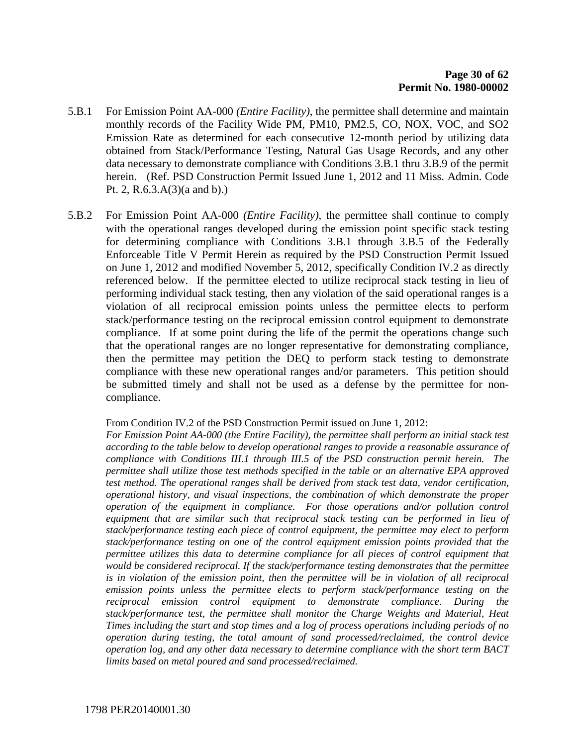- 5.B.1 For Emission Point AA-000 *(Entire Facility)*, the permittee shall determine and maintain monthly records of the Facility Wide PM, PM10, PM2.5, CO, NOX, VOC, and SO2 Emission Rate as determined for each consecutive 12-month period by utilizing data obtained from Stack/Performance Testing, Natural Gas Usage Records, and any other data necessary to demonstrate compliance with Conditions 3.B.1 thru 3.B.9 of the permit herein. (Ref. PSD Construction Permit Issued June 1, 2012 and 11 Miss. Admin. Code Pt. 2, R.6.3.A(3)(a and b).)
- 5.B.2 For Emission Point AA-000 *(Entire Facility)*, the permittee shall continue to comply with the operational ranges developed during the emission point specific stack testing for determining compliance with Conditions 3.B.1 through 3.B.5 of the Federally Enforceable Title V Permit Herein as required by the PSD Construction Permit Issued on June 1, 2012 and modified November 5, 2012, specifically Condition IV.2 as directly referenced below. If the permittee elected to utilize reciprocal stack testing in lieu of performing individual stack testing, then any violation of the said operational ranges is a violation of all reciprocal emission points unless the permittee elects to perform stack/performance testing on the reciprocal emission control equipment to demonstrate compliance. If at some point during the life of the permit the operations change such that the operational ranges are no longer representative for demonstrating compliance, then the permittee may petition the DEQ to perform stack testing to demonstrate compliance with these new operational ranges and/or parameters. This petition should be submitted timely and shall not be used as a defense by the permittee for noncompliance.

From Condition IV.2 of the PSD Construction Permit issued on June 1, 2012:

*For Emission Point AA-000 (the Entire Facility), the permittee shall perform an initial stack test according to the table below to develop operational ranges to provide a reasonable assurance of compliance with Conditions III.1 through III.5 of the PSD construction permit herein. The permittee shall utilize those test methods specified in the table or an alternative EPA approved test method. The operational ranges shall be derived from stack test data, vendor certification, operational history, and visual inspections, the combination of which demonstrate the proper operation of the equipment in compliance. For those operations and/or pollution control equipment that are similar such that reciprocal stack testing can be performed in lieu of stack/performance testing each piece of control equipment, the permittee may elect to perform stack/performance testing on one of the control equipment emission points provided that the permittee utilizes this data to determine compliance for all pieces of control equipment that would be considered reciprocal. If the stack/performance testing demonstrates that the permittee is in violation of the emission point, then the permittee will be in violation of all reciprocal emission points unless the permittee elects to perform stack/performance testing on the reciprocal emission control equipment to demonstrate compliance. During the stack/performance test, the permittee shall monitor the Charge Weights and Material, Heat Times including the start and stop times and a log of process operations including periods of no operation during testing, the total amount of sand processed/reclaimed, the control device operation log, and any other data necessary to determine compliance with the short term BACT limits based on metal poured and sand processed/reclaimed.*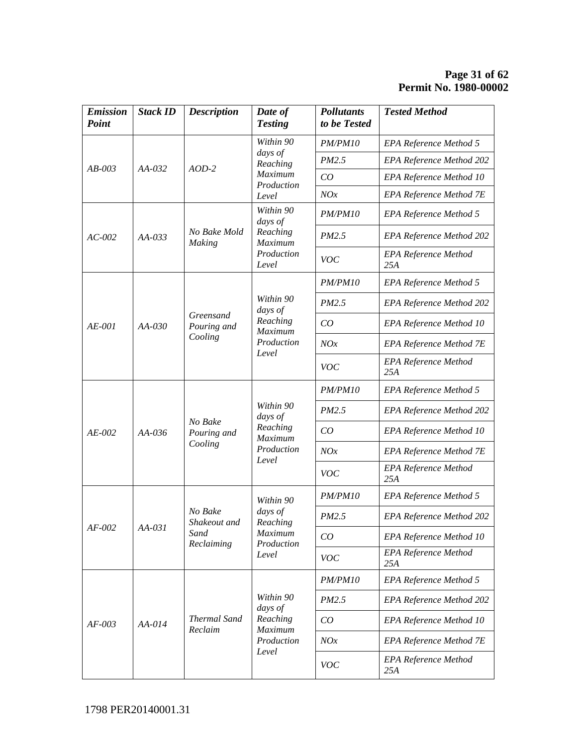#### **Page 31 of 62 Permit No. 1980-00002**

| <b>Emission</b><br>Point | <b>Stack ID</b> | <b>Description</b>                                      | Date of<br><b>Testing</b>                                          | <b>Pollutants</b><br>to be Tested | <b>Tested Method</b>               |
|--------------------------|-----------------|---------------------------------------------------------|--------------------------------------------------------------------|-----------------------------------|------------------------------------|
|                          |                 |                                                         | Within 90<br>days of<br>Reaching                                   | PM/PM10                           | EPA Reference Method 5             |
|                          |                 |                                                         |                                                                    | PM2.5                             | EPA Reference Method 202           |
| $AB-003$                 | $AA-032$        | $AOD-2$                                                 | Maximum<br>Production                                              | CO                                | EPA Reference Method 10            |
|                          |                 |                                                         | Level                                                              | NOx                               | <b>EPA Reference Method 7E</b>     |
|                          |                 |                                                         | Within 90<br>days of                                               | PM/PM10                           | EPA Reference Method 5             |
| $AC-002$                 | $AA-033$        | No Bake Mold<br><b>Making</b>                           | Reaching<br>Maximum                                                | PM2.5                             | EPA Reference Method 202           |
|                          |                 |                                                         | Production<br>Level                                                | <b>VOC</b>                        | <b>EPA Reference Method</b><br>25A |
|                          |                 |                                                         |                                                                    | PM/PM10                           | EPA Reference Method 5             |
|                          |                 |                                                         | Within 90<br>days of                                               | PM2.5                             | EPA Reference Method 202           |
| $AE$ -001                | $AA-0.30$       | Greensand<br>Pouring and                                | Reaching<br>Maximum                                                | CO                                | EPA Reference Method 10            |
|                          |                 | Cooling                                                 | Production<br>Level                                                | NOx                               | EPA Reference Method 7E            |
|                          |                 |                                                         |                                                                    | <b>VOC</b>                        | <b>EPA Reference Method</b><br>25A |
|                          | $AA-036$        | No Bake<br>Pouring and<br>Cooling                       | Within 90<br>days of<br>Reaching<br>Maximum<br>Production<br>Level | PM/PM10                           | EPA Reference Method 5             |
|                          |                 |                                                         |                                                                    | PM2.5                             | EPA Reference Method 202           |
| $AE$ -002                |                 |                                                         |                                                                    | CO                                | EPA Reference Method 10            |
|                          |                 |                                                         |                                                                    | NOx                               | EPA Reference Method 7E            |
|                          |                 |                                                         |                                                                    | <b>VOC</b>                        | <b>EPA Reference Method</b><br>25A |
|                          |                 |                                                         | Within 90<br>days of<br>Reaching<br>Maximum<br>Production          | PM/PM10                           | <b>EPA Reference Method 5</b>      |
|                          |                 | No Bake<br>Shakeout and<br>AA-031<br>Sand<br>Reclaiming |                                                                    | PM2.5                             | <b>EPA Reference Method 202</b>    |
| $AF-002$                 |                 |                                                         |                                                                    | CO                                | EPA Reference Method 10            |
|                          |                 |                                                         | Level                                                              | <b>VOC</b>                        | <b>EPA Reference Method</b><br>25A |
|                          |                 |                                                         |                                                                    | PM/PM10                           | EPA Reference Method 5             |
|                          |                 |                                                         | Within 90                                                          | PM2.5                             | EPA Reference Method 202           |
| $AF-003$                 | AA-014          | <b>Thermal Sand</b><br>Reclaim                          | days of<br>Reaching<br>Maximum<br>Production<br>Level              | CO                                | EPA Reference Method 10            |
|                          |                 |                                                         |                                                                    | NOx                               | <b>EPA Reference Method 7E</b>     |
|                          |                 |                                                         |                                                                    | <b>VOC</b>                        | <b>EPA Reference Method</b><br>25A |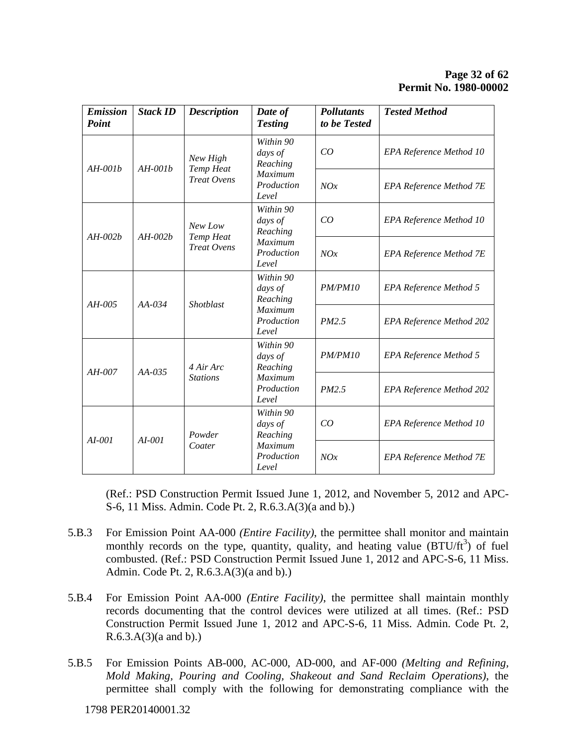| <b>Emission</b><br>Point | <b>Stack ID</b>                                                | <b>Description</b>                    | Date of<br><b>Testing</b>        | <b>Pollutants</b><br>to be Tested | <b>Tested Method</b>            |
|--------------------------|----------------------------------------------------------------|---------------------------------------|----------------------------------|-----------------------------------|---------------------------------|
| AH-001b                  | $AH-001b$                                                      | New High<br>Temp Heat                 | Within 90<br>days of<br>Reaching | CO                                | EPA Reference Method 10         |
|                          |                                                                | <b>Treat Ovens</b>                    | Maximum<br>Production<br>Level   | NOx                               | EPA Reference Method 7E         |
| $AH-002b$                | New Low<br>$AH-002b$<br><b>Temp Heat</b><br><b>Treat Ovens</b> | Within 90<br>days of<br>Reaching      | CO                               | EPA Reference Method 10           |                                 |
|                          |                                                                |                                       | Maximum<br>Production<br>Level   | NOx                               | EPA Reference Method 7E         |
| $AH-005$<br>$AA-0.34$    |                                                                | Shotblast                             | Within 90<br>days of<br>Reaching | PM/PM10                           | <b>EPA Reference Method 5</b>   |
|                          |                                                                | <b>Maximum</b><br>Production<br>Level | PM2.5                            | EPA Reference Method 202          |                                 |
|                          | $AA-035$                                                       | 4 Air Arc                             | Within 90<br>days of<br>Reaching | PM/PM10                           | EPA Reference Method 5          |
| $AH-007$                 |                                                                | <b>Stations</b>                       | Maximum<br>Production<br>Level   | PM2.5                             | <b>EPA Reference Method 202</b> |
| $AI-001$                 | $AI-001$                                                       | Powder                                | Within 90<br>days of<br>Reaching | CO                                | EPA Reference Method 10         |
|                          |                                                                | Coater                                | Maximum<br>Production<br>Level   | NOx                               | <b>EPA Reference Method 7E</b>  |

(Ref.: PSD Construction Permit Issued June 1, 2012, and November 5, 2012 and APC-S-6, 11 Miss. Admin. Code Pt. 2, R.6.3.A(3)(a and b).)

- 5.B.3 For Emission Point AA-000 *(Entire Facility)*, the permittee shall monitor and maintain monthly records on the type, quantity, quality, and heating value  $(BTU/ft^3)$  of fuel combusted. (Ref.: PSD Construction Permit Issued June 1, 2012 and APC-S-6, 11 Miss. Admin. Code Pt. 2, R.6.3.A(3)(a and b).)
- 5.B.4 For Emission Point AA-000 *(Entire Facility)*, the permittee shall maintain monthly records documenting that the control devices were utilized at all times. (Ref.: PSD Construction Permit Issued June 1, 2012 and APC-S-6, 11 Miss. Admin. Code Pt. 2,  $R.6.3.A(3)(a and b).$
- 5.B.5 For Emission Points AB-000, AC-000, AD-000, and AF-000 *(Melting and Refining, Mold Making, Pouring and Cooling, Shakeout and Sand Reclaim Operations)*, the permittee shall comply with the following for demonstrating compliance with the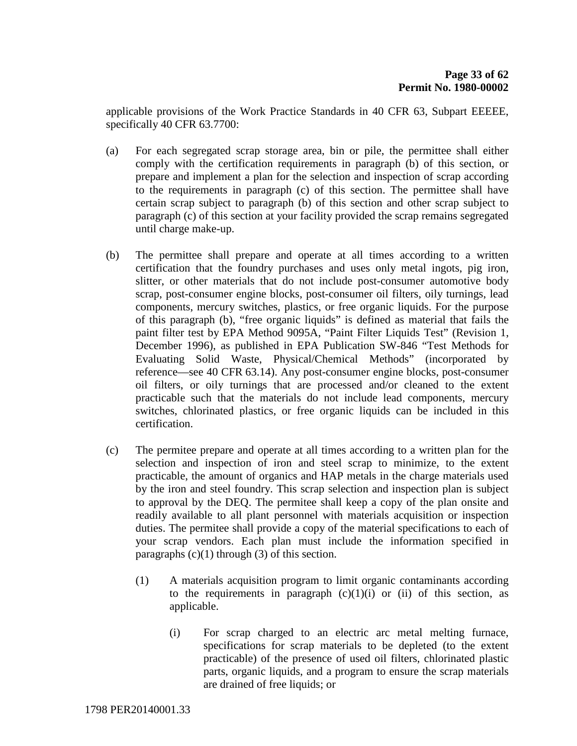applicable provisions of the Work Practice Standards in 40 CFR 63, Subpart EEEEE, specifically 40 CFR 63.7700:

- (a) For each segregated scrap storage area, bin or pile, the permittee shall either comply with the certification requirements in paragraph (b) of this section, or prepare and implement a plan for the selection and inspection of scrap according to the requirements in paragraph (c) of this section. The permittee shall have certain scrap subject to paragraph (b) of this section and other scrap subject to paragraph (c) of this section at your facility provided the scrap remains segregated until charge make-up.
- (b) The permittee shall prepare and operate at all times according to a written certification that the foundry purchases and uses only metal ingots, pig iron, slitter, or other materials that do not include post-consumer automotive body scrap, post-consumer engine blocks, post-consumer oil filters, oily turnings, lead components, mercury switches, plastics, or free organic liquids. For the purpose of this paragraph (b), "free organic liquids" is defined as material that fails the paint filter test by EPA Method 9095A, "Paint Filter Liquids Test" (Revision 1, December 1996), as published in EPA Publication SW-846 "Test Methods for Evaluating Solid Waste, Physical/Chemical Methods" (incorporated by reference—see 40 CFR 63.14). Any post-consumer engine blocks, post-consumer oil filters, or oily turnings that are processed and/or cleaned to the extent practicable such that the materials do not include lead components, mercury switches, chlorinated plastics, or free organic liquids can be included in this certification.
- (c) The permitee prepare and operate at all times according to a written plan for the selection and inspection of iron and steel scrap to minimize, to the extent practicable, the amount of organics and HAP metals in the charge materials used by the iron and steel foundry. This scrap selection and inspection plan is subject to approval by the DEQ. The permitee shall keep a copy of the plan onsite and readily available to all plant personnel with materials acquisition or inspection duties. The permitee shall provide a copy of the material specifications to each of your scrap vendors. Each plan must include the information specified in paragraphs  $(c)(1)$  through  $(3)$  of this section.
	- (1) A materials acquisition program to limit organic contaminants according to the requirements in paragraph  $(c)(1)(i)$  or  $(ii)$  of this section, as applicable.
		- (i) For scrap charged to an electric arc metal melting furnace, specifications for scrap materials to be depleted (to the extent practicable) of the presence of used oil filters, chlorinated plastic parts, organic liquids, and a program to ensure the scrap materials are drained of free liquids; or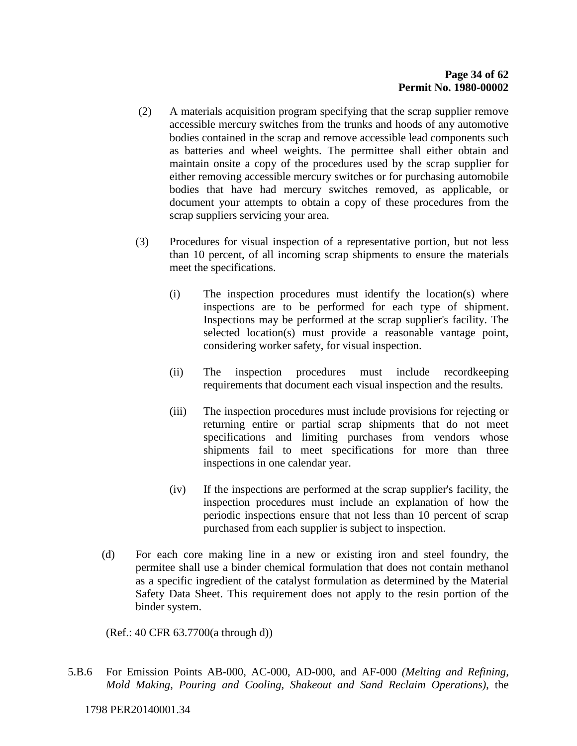- (2) A materials acquisition program specifying that the scrap supplier remove accessible mercury switches from the trunks and hoods of any automotive bodies contained in the scrap and remove accessible lead components such as batteries and wheel weights. The permittee shall either obtain and maintain onsite a copy of the procedures used by the scrap supplier for either removing accessible mercury switches or for purchasing automobile bodies that have had mercury switches removed, as applicable, or document your attempts to obtain a copy of these procedures from the scrap suppliers servicing your area.
- (3) Procedures for visual inspection of a representative portion, but not less than 10 percent, of all incoming scrap shipments to ensure the materials meet the specifications.
	- (i) The inspection procedures must identify the location(s) where inspections are to be performed for each type of shipment. Inspections may be performed at the scrap supplier's facility. The selected location(s) must provide a reasonable vantage point, considering worker safety, for visual inspection.
	- (ii) The inspection procedures must include recordkeeping requirements that document each visual inspection and the results.
	- (iii) The inspection procedures must include provisions for rejecting or returning entire or partial scrap shipments that do not meet specifications and limiting purchases from vendors whose shipments fail to meet specifications for more than three inspections in one calendar year.
	- (iv) If the inspections are performed at the scrap supplier's facility, the inspection procedures must include an explanation of how the periodic inspections ensure that not less than 10 percent of scrap purchased from each supplier is subject to inspection.
- (d) For each core making line in a new or existing iron and steel foundry, the permitee shall use a binder chemical formulation that does not contain methanol as a specific ingredient of the catalyst formulation as determined by the Material Safety Data Sheet. This requirement does not apply to the resin portion of the binder system.

(Ref.: 40 CFR 63.7700(a through d))

5.B.6 For Emission Points AB-000, AC-000, AD-000, and AF-000 *(Melting and Refining, Mold Making, Pouring and Cooling, Shakeout and Sand Reclaim Operations)*, the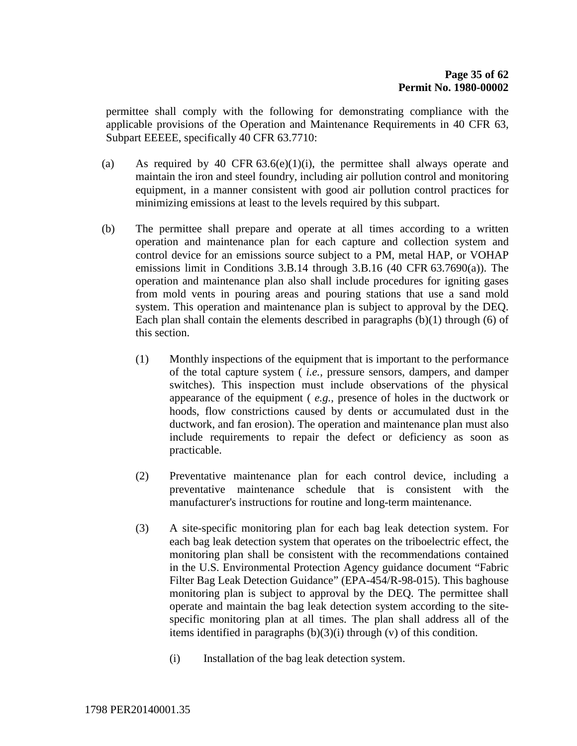permittee shall comply with the following for demonstrating compliance with the applicable provisions of the Operation and Maintenance Requirements in 40 CFR 63, Subpart EEEEE, specifically 40 CFR 63.7710:

- (a) As required by 40 CFR  $63.6(e)(1)(i)$ , the permittee shall always operate and maintain the iron and steel foundry, including air pollution control and monitoring equipment, in a manner consistent with good air pollution control practices for minimizing emissions at least to the levels required by this subpart.
- (b) The permittee shall prepare and operate at all times according to a written operation and maintenance plan for each capture and collection system and control device for an emissions source subject to a PM, metal HAP, or VOHAP emissions limit in Conditions 3.B.14 through 3.B.16 (40 CFR 63.7690(a)). The operation and maintenance plan also shall include procedures for igniting gases from mold vents in pouring areas and pouring stations that use a sand mold system. This operation and maintenance plan is subject to approval by the DEQ. Each plan shall contain the elements described in paragraphs  $(b)(1)$  through  $(6)$  of this section.
	- (1) Monthly inspections of the equipment that is important to the performance of the total capture system ( *i.e.,* pressure sensors, dampers, and damper switches). This inspection must include observations of the physical appearance of the equipment ( *e.g.,* presence of holes in the ductwork or hoods, flow constrictions caused by dents or accumulated dust in the ductwork, and fan erosion). The operation and maintenance plan must also include requirements to repair the defect or deficiency as soon as practicable.
	- (2) Preventative maintenance plan for each control device, including a preventative maintenance schedule that is consistent with the manufacturer's instructions for routine and long-term maintenance.
	- (3) A site-specific monitoring plan for each bag leak detection system. For each bag leak detection system that operates on the triboelectric effect, the monitoring plan shall be consistent with the recommendations contained in the U.S. Environmental Protection Agency guidance document "Fabric Filter Bag Leak Detection Guidance" (EPA-454/R-98-015). This baghouse monitoring plan is subject to approval by the DEQ. The permittee shall operate and maintain the bag leak detection system according to the sitespecific monitoring plan at all times. The plan shall address all of the items identified in paragraphs (b)(3)(i) through (v) of this condition.
		- (i) Installation of the bag leak detection system.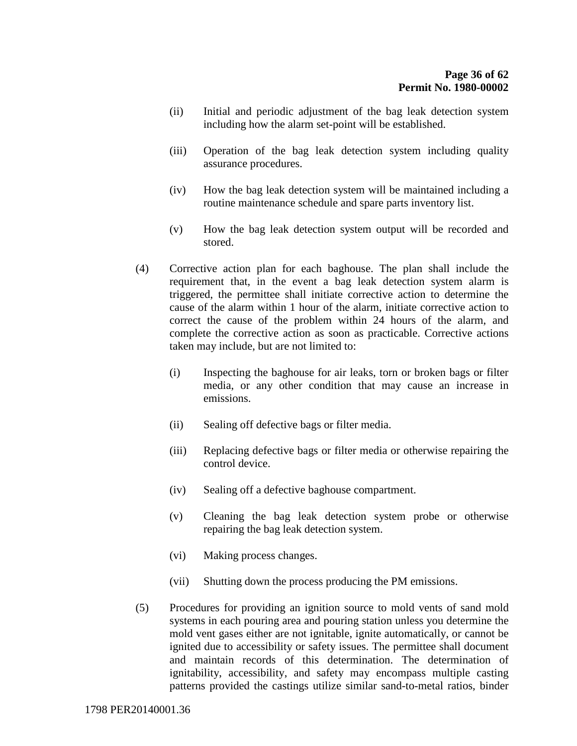- (ii) Initial and periodic adjustment of the bag leak detection system including how the alarm set-point will be established.
- (iii) Operation of the bag leak detection system including quality assurance procedures.
- (iv) How the bag leak detection system will be maintained including a routine maintenance schedule and spare parts inventory list.
- (v) How the bag leak detection system output will be recorded and stored.
- (4) Corrective action plan for each baghouse. The plan shall include the requirement that, in the event a bag leak detection system alarm is triggered, the permittee shall initiate corrective action to determine the cause of the alarm within 1 hour of the alarm, initiate corrective action to correct the cause of the problem within 24 hours of the alarm, and complete the corrective action as soon as practicable. Corrective actions taken may include, but are not limited to:
	- (i) Inspecting the baghouse for air leaks, torn or broken bags or filter media, or any other condition that may cause an increase in emissions.
	- (ii) Sealing off defective bags or filter media.
	- (iii) Replacing defective bags or filter media or otherwise repairing the control device.
	- (iv) Sealing off a defective baghouse compartment.
	- (v) Cleaning the bag leak detection system probe or otherwise repairing the bag leak detection system.
	- (vi) Making process changes.
	- (vii) Shutting down the process producing the PM emissions.
- (5) Procedures for providing an ignition source to mold vents of sand mold systems in each pouring area and pouring station unless you determine the mold vent gases either are not ignitable, ignite automatically, or cannot be ignited due to accessibility or safety issues. The permittee shall document and maintain records of this determination. The determination of ignitability, accessibility, and safety may encompass multiple casting patterns provided the castings utilize similar sand-to-metal ratios, binder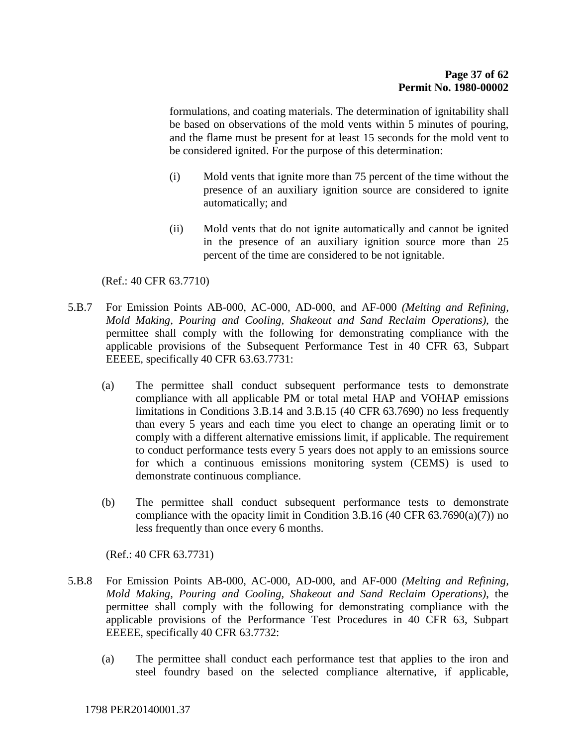formulations, and coating materials. The determination of ignitability shall be based on observations of the mold vents within 5 minutes of pouring, and the flame must be present for at least 15 seconds for the mold vent to be considered ignited. For the purpose of this determination:

- (i) Mold vents that ignite more than 75 percent of the time without the presence of an auxiliary ignition source are considered to ignite automatically; and
- (ii) Mold vents that do not ignite automatically and cannot be ignited in the presence of an auxiliary ignition source more than 25 percent of the time are considered to be not ignitable.

(Ref.: 40 CFR 63.7710)

- 5.B.7 For Emission Points AB-000, AC-000, AD-000, and AF-000 *(Melting and Refining, Mold Making, Pouring and Cooling, Shakeout and Sand Reclaim Operations)*, the permittee shall comply with the following for demonstrating compliance with the applicable provisions of the Subsequent Performance Test in 40 CFR 63, Subpart EEEEE, specifically 40 CFR 63.63.7731:
	- (a) The permittee shall conduct subsequent performance tests to demonstrate compliance with all applicable PM or total metal HAP and VOHAP emissions limitations in Conditions 3.B.14 and 3.B.15 (40 CFR 63.7690) no less frequently than every 5 years and each time you elect to change an operating limit or to comply with a different alternative emissions limit, if applicable. The requirement to conduct performance tests every 5 years does not apply to an emissions source for which a continuous emissions monitoring system (CEMS) is used to demonstrate continuous compliance.
	- (b) The permittee shall conduct subsequent performance tests to demonstrate compliance with the opacity limit in Condition 3.B.16 (40 CFR  $63.7690(a)(7)$ ) no less frequently than once every 6 months.

(Ref.: 40 CFR 63.7731)

- 5.B.8 For Emission Points AB-000, AC-000, AD-000, and AF-000 *(Melting and Refining, Mold Making, Pouring and Cooling, Shakeout and Sand Reclaim Operations)*, the permittee shall comply with the following for demonstrating compliance with the applicable provisions of the Performance Test Procedures in 40 CFR 63, Subpart EEEEE, specifically 40 CFR 63.7732:
	- (a) The permittee shall conduct each performance test that applies to the iron and steel foundry based on the selected compliance alternative, if applicable,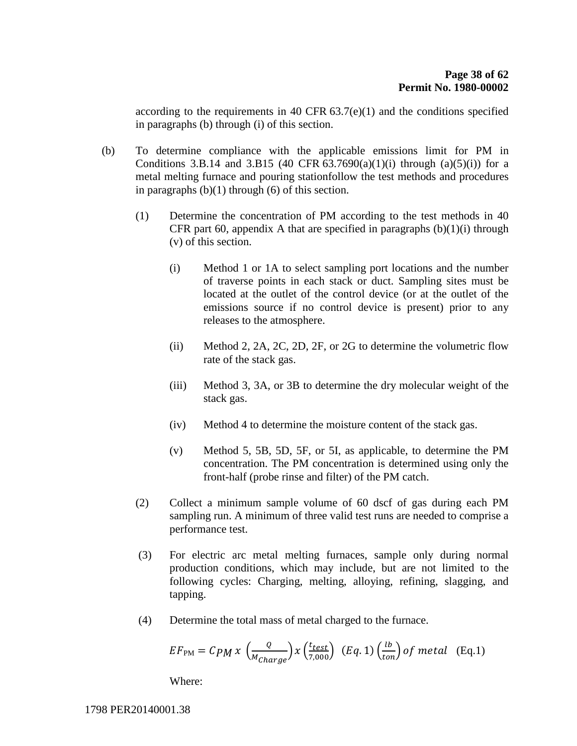according to the requirements in 40 CFR  $63.7(e)(1)$  and the conditions specified in paragraphs (b) through (i) of this section.

- (b) To determine compliance with the applicable emissions limit for PM in Conditions 3.B.14 and 3.B15 (40 CFR  $63.7690(a)(1)(i)$  through  $(a)(5)(i)$ ) for a metal melting furnace and pouring stationfollow the test methods and procedures in paragraphs  $(b)(1)$  through  $(6)$  of this section.
	- (1) Determine the concentration of PM according to the test methods in 40 CFR part 60, appendix A that are specified in paragraphs  $(b)(1)(i)$  through (v) of this section.
		- (i) Method 1 or 1A to select sampling port locations and the number of traverse points in each stack or duct. Sampling sites must be located at the outlet of the control device (or at the outlet of the emissions source if no control device is present) prior to any releases to the atmosphere.
		- (ii) Method 2, 2A, 2C, 2D, 2F, or 2G to determine the volumetric flow rate of the stack gas.
		- (iii) Method 3, 3A, or 3B to determine the dry molecular weight of the stack gas.
		- (iv) Method 4 to determine the moisture content of the stack gas.
		- (v) Method 5, 5B, 5D, 5F, or 5I, as applicable, to determine the PM concentration. The PM concentration is determined using only the front-half (probe rinse and filter) of the PM catch.
	- (2) Collect a minimum sample volume of 60 dscf of gas during each PM sampling run. A minimum of three valid test runs are needed to comprise a performance test.
	- (3) For electric arc metal melting furnaces, sample only during normal production conditions, which may include, but are not limited to the following cycles: Charging, melting, alloying, refining, slagging, and tapping.
	- (4) Determine the total mass of metal charged to the furnace.

$$
EF_{\rm PM} = C_{PM} x \left(\frac{Q}{M_{Charge}}\right) x \left(\frac{t_{test}}{7,000}\right) (Eq. 1) \left(\frac{lb}{ton}\right) of metal \quad (Eq. 1)
$$

Where: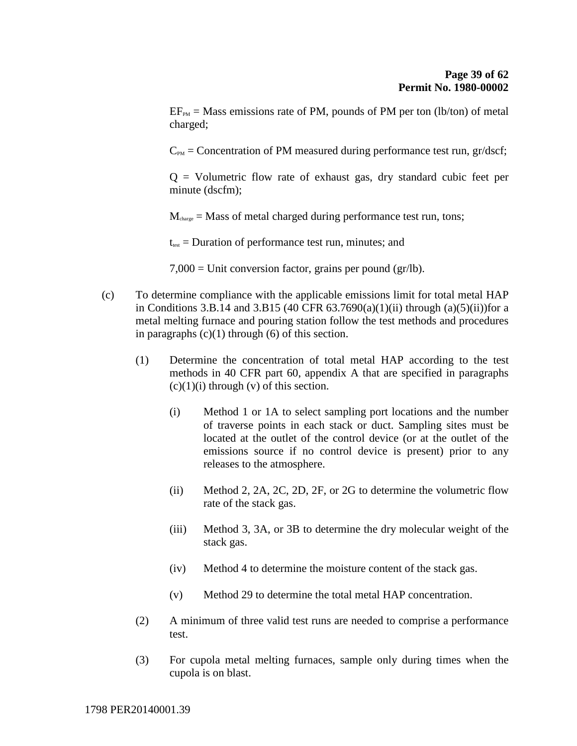$EF<sub>PM</sub>$  = Mass emissions rate of PM, pounds of PM per ton (lb/ton) of metal charged;

 $C_{PM}$  = Concentration of PM measured during performance test run, gr/dscf;

 $Q =$  Volumetric flow rate of exhaust gas, dry standard cubic feet per minute (dscfm);

 $M_{\text{charge}}$  = Mass of metal charged during performance test run, tons;

 $t_{test}$  = Duration of performance test run, minutes; and

 $7,000 =$  Unit conversion factor, grains per pound (gr/lb).

- (c) To determine compliance with the applicable emissions limit for total metal HAP in Conditions 3.B.14 and 3.B15 (40 CFR  $63.7690(a)(1)(ii)$  through  $(a)(5)(ii)$ ) for a metal melting furnace and pouring station follow the test methods and procedures in paragraphs  $(c)(1)$  through  $(6)$  of this section.
	- (1) Determine the concentration of total metal HAP according to the test methods in 40 CFR part 60, appendix A that are specified in paragraphs  $(c)(1)(i)$  through  $(v)$  of this section.
		- (i) Method 1 or 1A to select sampling port locations and the number of traverse points in each stack or duct. Sampling sites must be located at the outlet of the control device (or at the outlet of the emissions source if no control device is present) prior to any releases to the atmosphere.
		- (ii) Method 2, 2A, 2C, 2D, 2F, or 2G to determine the volumetric flow rate of the stack gas.
		- (iii) Method 3, 3A, or 3B to determine the dry molecular weight of the stack gas.
		- (iv) Method 4 to determine the moisture content of the stack gas.
		- (v) Method 29 to determine the total metal HAP concentration.
	- (2) A minimum of three valid test runs are needed to comprise a performance test.
	- (3) For cupola metal melting furnaces, sample only during times when the cupola is on blast.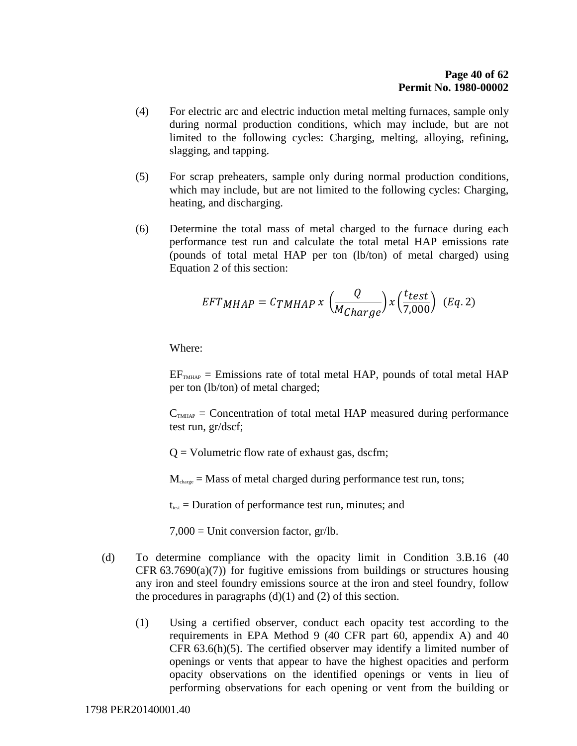- (4) For electric arc and electric induction metal melting furnaces, sample only during normal production conditions, which may include, but are not limited to the following cycles: Charging, melting, alloying, refining, slagging, and tapping.
- (5) For scrap preheaters, sample only during normal production conditions, which may include, but are not limited to the following cycles: Charging, heating, and discharging.
- (6) Determine the total mass of metal charged to the furnace during each performance test run and calculate the total metal HAP emissions rate (pounds of total metal HAP per ton (lb/ton) of metal charged) using Equation 2 of this section:

$$
EFT_{MHAP} = C_{TMHAP} x \left(\frac{Q}{M_{Change}}\right) x \left(\frac{t_{test}}{7,000}\right) \ (Eq. 2)
$$

Where:

 $EF<sub>TMHAP</sub> = Emissions$  rate of total metal HAP, pounds of total metal HAP per ton (lb/ton) of metal charged;

 $C_{\text{TMHAP}}$  = Concentration of total metal HAP measured during performance test run, gr/dscf;

 $Q =$  Volumetric flow rate of exhaust gas, dscfm;

 $M<sub>charge</sub>$  = Mass of metal charged during performance test run, tons;

 $t_{\text{test}}$  = Duration of performance test run, minutes; and

 $7,000 =$  Unit conversion factor, gr/lb.

- (d) To determine compliance with the opacity limit in Condition 3.B.16 (40 CFR  $63.7690(a)(7)$  for fugitive emissions from buildings or structures housing any iron and steel foundry emissions source at the iron and steel foundry, follow the procedures in paragraphs  $(d)(1)$  and  $(2)$  of this section.
	- (1) Using a certified observer, conduct each opacity test according to the requirements in EPA Method 9 (40 CFR part 60, appendix A) and 40 CFR 63.6(h)(5). The certified observer may identify a limited number of openings or vents that appear to have the highest opacities and perform opacity observations on the identified openings or vents in lieu of performing observations for each opening or vent from the building or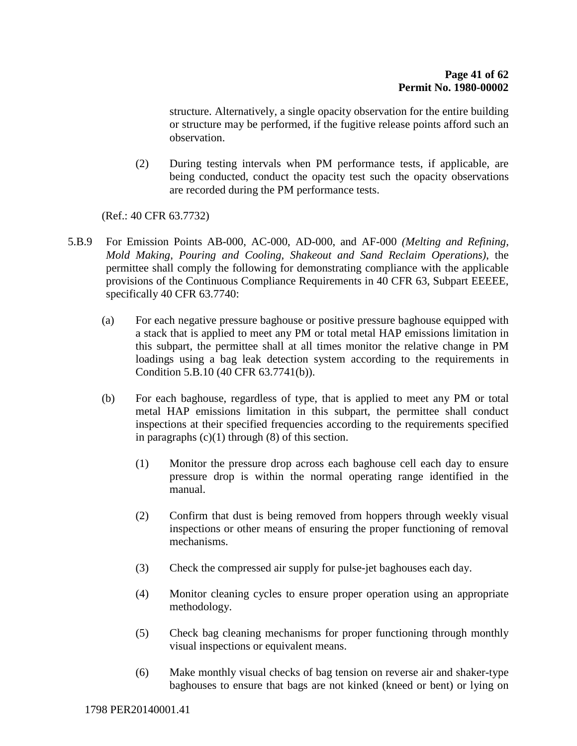structure. Alternatively, a single opacity observation for the entire building or structure may be performed, if the fugitive release points afford such an observation.

(2) During testing intervals when PM performance tests, if applicable, are being conducted, conduct the opacity test such the opacity observations are recorded during the PM performance tests.

(Ref.: 40 CFR 63.7732)

- 5.B.9 For Emission Points AB-000, AC-000, AD-000, and AF-000 *(Melting and Refining, Mold Making, Pouring and Cooling, Shakeout and Sand Reclaim Operations)*, the permittee shall comply the following for demonstrating compliance with the applicable provisions of the Continuous Compliance Requirements in 40 CFR 63, Subpart EEEEE, specifically 40 CFR 63.7740:
	- (a) For each negative pressure baghouse or positive pressure baghouse equipped with a stack that is applied to meet any PM or total metal HAP emissions limitation in this subpart, the permittee shall at all times monitor the relative change in PM loadings using a bag leak detection system according to the requirements in Condition 5.B.10 (40 CFR 63.7741(b)).
	- (b) For each baghouse, regardless of type, that is applied to meet any PM or total metal HAP emissions limitation in this subpart, the permittee shall conduct inspections at their specified frequencies according to the requirements specified in paragraphs  $(c)(1)$  through  $(8)$  of this section.
		- (1) Monitor the pressure drop across each baghouse cell each day to ensure pressure drop is within the normal operating range identified in the manual.
		- (2) Confirm that dust is being removed from hoppers through weekly visual inspections or other means of ensuring the proper functioning of removal mechanisms.
		- (3) Check the compressed air supply for pulse-jet baghouses each day.
		- (4) Monitor cleaning cycles to ensure proper operation using an appropriate methodology.
		- (5) Check bag cleaning mechanisms for proper functioning through monthly visual inspections or equivalent means.
		- (6) Make monthly visual checks of bag tension on reverse air and shaker-type baghouses to ensure that bags are not kinked (kneed or bent) or lying on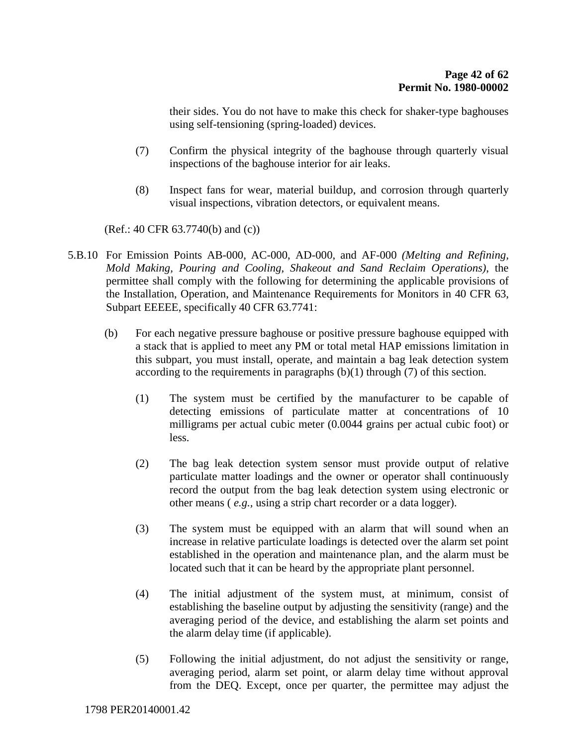their sides. You do not have to make this check for shaker-type baghouses using self-tensioning (spring-loaded) devices.

- (7) Confirm the physical integrity of the baghouse through quarterly visual inspections of the baghouse interior for air leaks.
- (8) Inspect fans for wear, material buildup, and corrosion through quarterly visual inspections, vibration detectors, or equivalent means.

(Ref.: 40 CFR 63.7740(b) and (c))

- 5.B.10 For Emission Points AB-000, AC-000, AD-000, and AF-000 *(Melting and Refining, Mold Making, Pouring and Cooling, Shakeout and Sand Reclaim Operations)*, the permittee shall comply with the following for determining the applicable provisions of the Installation, Operation, and Maintenance Requirements for Monitors in 40 CFR 63, Subpart EEEEE, specifically 40 CFR 63.7741:
	- (b) For each negative pressure baghouse or positive pressure baghouse equipped with a stack that is applied to meet any PM or total metal HAP emissions limitation in this subpart, you must install, operate, and maintain a bag leak detection system according to the requirements in paragraphs  $(b)(1)$  through  $(7)$  of this section.
		- (1) The system must be certified by the manufacturer to be capable of detecting emissions of particulate matter at concentrations of 10 milligrams per actual cubic meter (0.0044 grains per actual cubic foot) or less.
		- (2) The bag leak detection system sensor must provide output of relative particulate matter loadings and the owner or operator shall continuously record the output from the bag leak detection system using electronic or other means ( *e.g.,* using a strip chart recorder or a data logger).
		- (3) The system must be equipped with an alarm that will sound when an increase in relative particulate loadings is detected over the alarm set point established in the operation and maintenance plan, and the alarm must be located such that it can be heard by the appropriate plant personnel.
		- (4) The initial adjustment of the system must, at minimum, consist of establishing the baseline output by adjusting the sensitivity (range) and the averaging period of the device, and establishing the alarm set points and the alarm delay time (if applicable).
		- (5) Following the initial adjustment, do not adjust the sensitivity or range, averaging period, alarm set point, or alarm delay time without approval from the DEQ. Except, once per quarter, the permittee may adjust the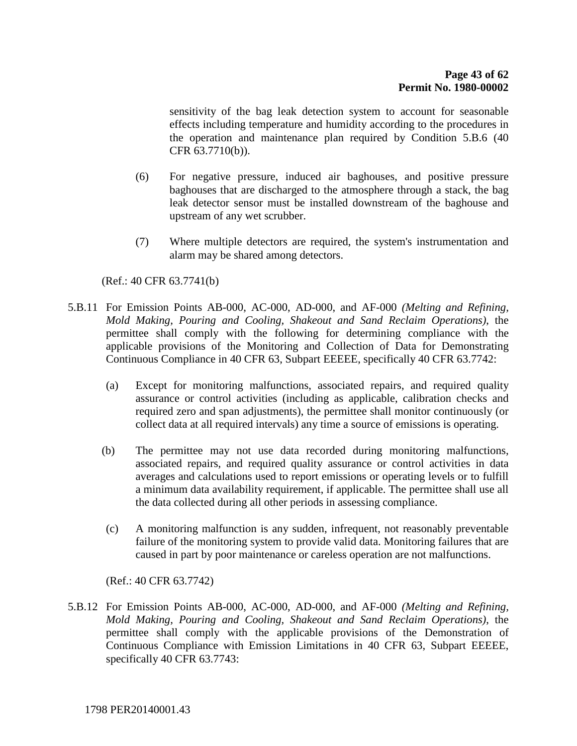sensitivity of the bag leak detection system to account for seasonable effects including temperature and humidity according to the procedures in the operation and maintenance plan required by Condition 5.B.6 (40 CFR 63.7710(b)).

- (6) For negative pressure, induced air baghouses, and positive pressure baghouses that are discharged to the atmosphere through a stack, the bag leak detector sensor must be installed downstream of the baghouse and upstream of any wet scrubber.
- (7) Where multiple detectors are required, the system's instrumentation and alarm may be shared among detectors.

(Ref.: 40 CFR 63.7741(b)

- 5.B.11 For Emission Points AB-000, AC-000, AD-000, and AF-000 *(Melting and Refining, Mold Making, Pouring and Cooling, Shakeout and Sand Reclaim Operations)*, the permittee shall comply with the following for determining compliance with the applicable provisions of the Monitoring and Collection of Data for Demonstrating Continuous Compliance in 40 CFR 63, Subpart EEEEE, specifically 40 CFR 63.7742:
	- (a) Except for monitoring malfunctions, associated repairs, and required quality assurance or control activities (including as applicable, calibration checks and required zero and span adjustments), the permittee shall monitor continuously (or collect data at all required intervals) any time a source of emissions is operating.
	- (b) The permittee may not use data recorded during monitoring malfunctions, associated repairs, and required quality assurance or control activities in data averages and calculations used to report emissions or operating levels or to fulfill a minimum data availability requirement, if applicable. The permittee shall use all the data collected during all other periods in assessing compliance.
	- (c) A monitoring malfunction is any sudden, infrequent, not reasonably preventable failure of the monitoring system to provide valid data. Monitoring failures that are caused in part by poor maintenance or careless operation are not malfunctions.

(Ref.: 40 CFR 63.7742)

5.B.12 For Emission Points AB-000, AC-000, AD-000, and AF-000 *(Melting and Refining, Mold Making, Pouring and Cooling, Shakeout and Sand Reclaim Operations)*, the permittee shall comply with the applicable provisions of the Demonstration of Continuous Compliance with Emission Limitations in 40 CFR 63, Subpart EEEEE, specifically 40 CFR 63.7743: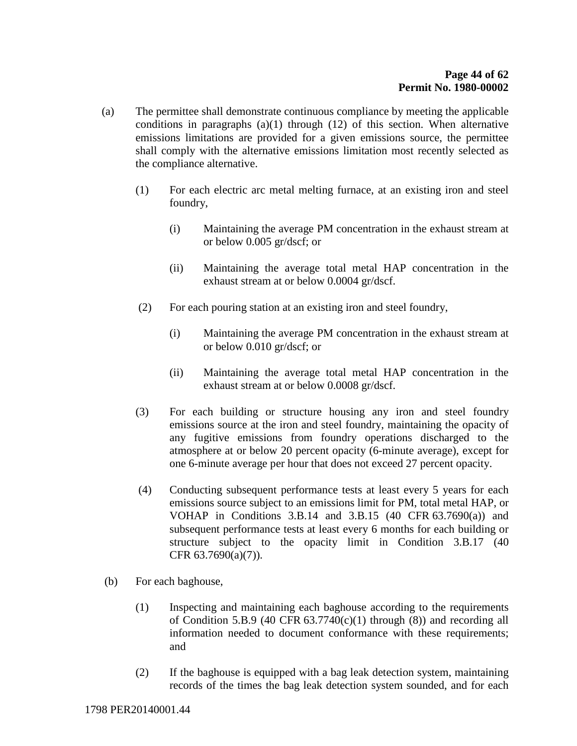- (a) The permittee shall demonstrate continuous compliance by meeting the applicable conditions in paragraphs  $(a)(1)$  through  $(12)$  of this section. When alternative emissions limitations are provided for a given emissions source, the permittee shall comply with the alternative emissions limitation most recently selected as the compliance alternative.
	- (1) For each electric arc metal melting furnace, at an existing iron and steel foundry,
		- (i) Maintaining the average PM concentration in the exhaust stream at or below 0.005 gr/dscf; or
		- (ii) Maintaining the average total metal HAP concentration in the exhaust stream at or below 0.0004 gr/dscf.
	- (2) For each pouring station at an existing iron and steel foundry,
		- (i) Maintaining the average PM concentration in the exhaust stream at or below 0.010 gr/dscf; or
		- (ii) Maintaining the average total metal HAP concentration in the exhaust stream at or below 0.0008 gr/dscf.
	- (3) For each building or structure housing any iron and steel foundry emissions source at the iron and steel foundry, maintaining the opacity of any fugitive emissions from foundry operations discharged to the atmosphere at or below 20 percent opacity (6-minute average), except for one 6-minute average per hour that does not exceed 27 percent opacity.
	- (4) Conducting subsequent performance tests at least every 5 years for each emissions source subject to an emissions limit for PM, total metal HAP, or VOHAP in Conditions 3.B.14 and 3.B.15 (40 CFR 63.7690(a)) and subsequent performance tests at least every 6 months for each building or structure subject to the opacity limit in Condition 3.B.17 (40 CFR 63.7690(a)(7)).
- (b) For each baghouse,
	- (1) Inspecting and maintaining each baghouse according to the requirements of Condition 5.B.9 (40 CFR  $63.7740(c)(1)$  through (8)) and recording all information needed to document conformance with these requirements; and
	- (2) If the baghouse is equipped with a bag leak detection system, maintaining records of the times the bag leak detection system sounded, and for each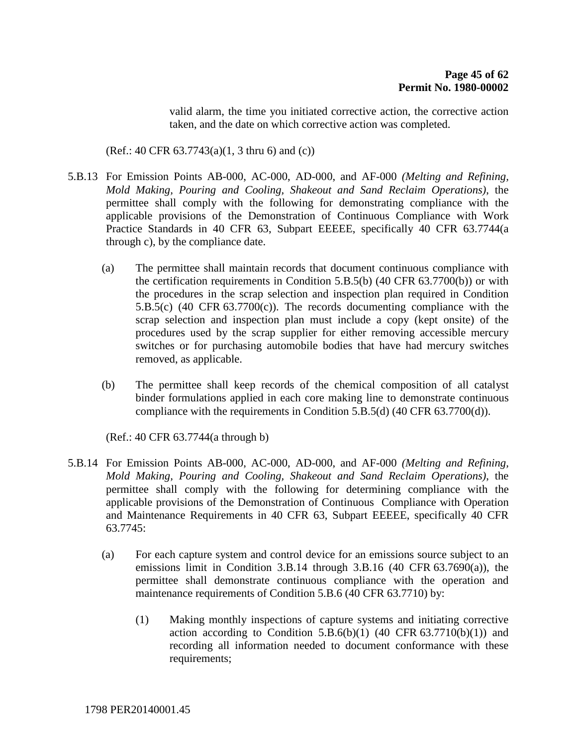valid alarm, the time you initiated corrective action, the corrective action taken, and the date on which corrective action was completed.

(Ref.: 40 CFR 63.7743(a)(1, 3 thru 6) and (c))

- 5.B.13 For Emission Points AB-000, AC-000, AD-000, and AF-000 *(Melting and Refining, Mold Making, Pouring and Cooling, Shakeout and Sand Reclaim Operations)*, the permittee shall comply with the following for demonstrating compliance with the applicable provisions of the Demonstration of Continuous Compliance with Work Practice Standards in 40 CFR 63, Subpart EEEEE, specifically 40 CFR 63.7744(a through c), by the compliance date.
	- (a) The permittee shall maintain records that document continuous compliance with the certification requirements in Condition 5.B.5(b) (40 CFR 63.7700(b)) or with the procedures in the scrap selection and inspection plan required in Condition 5.B.5(c) (40 CFR 63.7700(c)). The records documenting compliance with the scrap selection and inspection plan must include a copy (kept onsite) of the procedures used by the scrap supplier for either removing accessible mercury switches or for purchasing automobile bodies that have had mercury switches removed, as applicable.
	- (b) The permittee shall keep records of the chemical composition of all catalyst binder formulations applied in each core making line to demonstrate continuous compliance with the requirements in Condition 5.B.5(d) (40 CFR 63.7700(d)).

(Ref.: 40 CFR 63.7744(a through b)

- 5.B.14 For Emission Points AB-000, AC-000, AD-000, and AF-000 *(Melting and Refining, Mold Making, Pouring and Cooling, Shakeout and Sand Reclaim Operations)*, the permittee shall comply with the following for determining compliance with the applicable provisions of the Demonstration of Continuous Compliance with Operation and Maintenance Requirements in 40 CFR 63, Subpart EEEEE, specifically 40 CFR 63.7745:
	- (a) For each capture system and control device for an emissions source subject to an emissions limit in Condition 3.B.14 through 3.B.16 (40 CFR  $63.7690(a)$ ), the permittee shall demonstrate continuous compliance with the operation and maintenance requirements of Condition 5.B.6 (40 CFR 63.7710) by:
		- (1) Making monthly inspections of capture systems and initiating corrective action according to Condition 5.B.6(b)(1) (40 CFR  $63.7710(b)(1)$ ) and recording all information needed to document conformance with these requirements;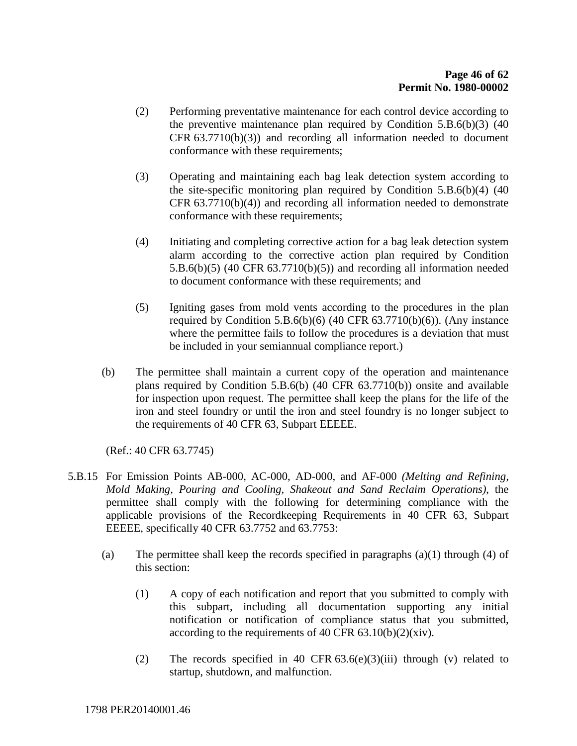- (2) Performing preventative maintenance for each control device according to the preventive maintenance plan required by Condition  $5.B.6(b)(3)$  (40) CFR  $63.7710(b)(3)$  and recording all information needed to document conformance with these requirements;
- (3) Operating and maintaining each bag leak detection system according to the site-specific monitoring plan required by Condition 5.B.6(b)(4) (40 CFR 63.7710(b)(4)) and recording all information needed to demonstrate conformance with these requirements;
- (4) Initiating and completing corrective action for a bag leak detection system alarm according to the corrective action plan required by Condition  $5.B.6(b)(5)$  (40 CFR  $63.7710(b)(5)$ ) and recording all information needed to document conformance with these requirements; and
- (5) Igniting gases from mold vents according to the procedures in the plan required by Condition 5.B.6(b)(6) (40 CFR  $63.7710(b)(6)$ ). (Any instance where the permittee fails to follow the procedures is a deviation that must be included in your semiannual compliance report.)
- (b) The permittee shall maintain a current copy of the operation and maintenance plans required by Condition 5.B.6(b) (40 CFR 63.7710(b)) onsite and available for inspection upon request. The permittee shall keep the plans for the life of the iron and steel foundry or until the iron and steel foundry is no longer subject to the requirements of 40 CFR 63, Subpart EEEEE.

(Ref.: 40 CFR 63.7745)

- 5.B.15 For Emission Points AB-000, AC-000, AD-000, and AF-000 *(Melting and Refining, Mold Making, Pouring and Cooling, Shakeout and Sand Reclaim Operations)*, the permittee shall comply with the following for determining compliance with the applicable provisions of the Recordkeeping Requirements in 40 CFR 63, Subpart EEEEE, specifically 40 CFR 63.7752 and 63.7753:
	- (a) The permittee shall keep the records specified in paragraphs  $(a)(1)$  through  $(4)$  of this section:
		- (1) A copy of each notification and report that you submitted to comply with this subpart, including all documentation supporting any initial notification or notification of compliance status that you submitted, according to the requirements of 40 CFR  $63.10(b)(2)(xiv)$ .
		- (2) The records specified in 40 CFR  $63.6(e)(3)(iii)$  through (v) related to startup, shutdown, and malfunction.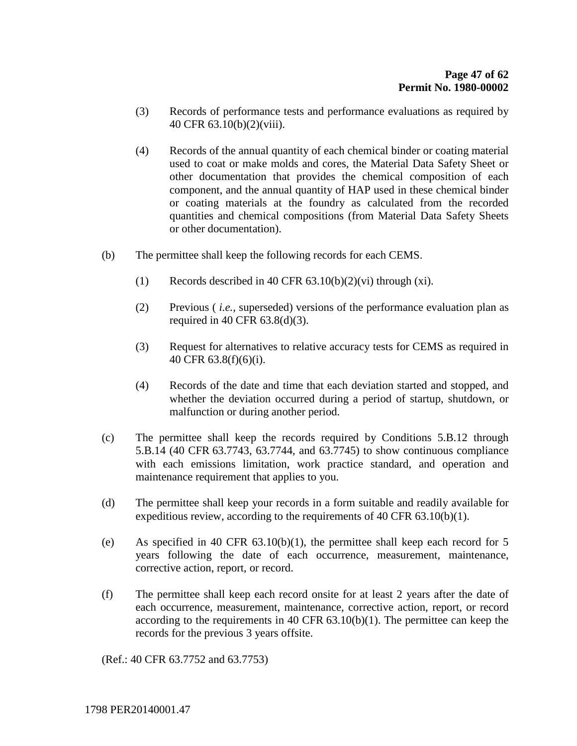- (3) Records of performance tests and performance evaluations as required by 40 CFR 63.10(b)(2)(viii).
- (4) Records of the annual quantity of each chemical binder or coating material used to coat or make molds and cores, the Material Data Safety Sheet or other documentation that provides the chemical composition of each component, and the annual quantity of HAP used in these chemical binder or coating materials at the foundry as calculated from the recorded quantities and chemical compositions (from Material Data Safety Sheets or other documentation).
- (b) The permittee shall keep the following records for each CEMS.
	- (1) Records described in 40 CFR  $(3.10(b)(2)(vi)$  through  $(xi)$ .
	- (2) Previous ( *i.e.,* superseded) versions of the performance evaluation plan as required in 40 CFR  $63.8(d)(3)$ .
	- (3) Request for alternatives to relative accuracy tests for CEMS as required in 40 CFR 63.8(f)(6)(i).
	- (4) Records of the date and time that each deviation started and stopped, and whether the deviation occurred during a period of startup, shutdown, or malfunction or during another period.
- (c) The permittee shall keep the records required by Conditions 5.B.12 through 5.B.14 (40 CFR 63.7743, 63.7744, and 63.7745) to show continuous compliance with each emissions limitation, work practice standard, and operation and maintenance requirement that applies to you.
- (d) The permittee shall keep your records in a form suitable and readily available for expeditious review, according to the requirements of 40 CFR 63.10(b)(1).
- (e) As specified in 40 CFR 63.10(b)(1), the permittee shall keep each record for 5 years following the date of each occurrence, measurement, maintenance, corrective action, report, or record.
- (f) The permittee shall keep each record onsite for at least 2 years after the date of each occurrence, measurement, maintenance, corrective action, report, or record according to the requirements in 40 CFR  $63.10(b)(1)$ . The permittee can keep the records for the previous 3 years offsite.

(Ref.: 40 CFR 63.7752 and 63.7753)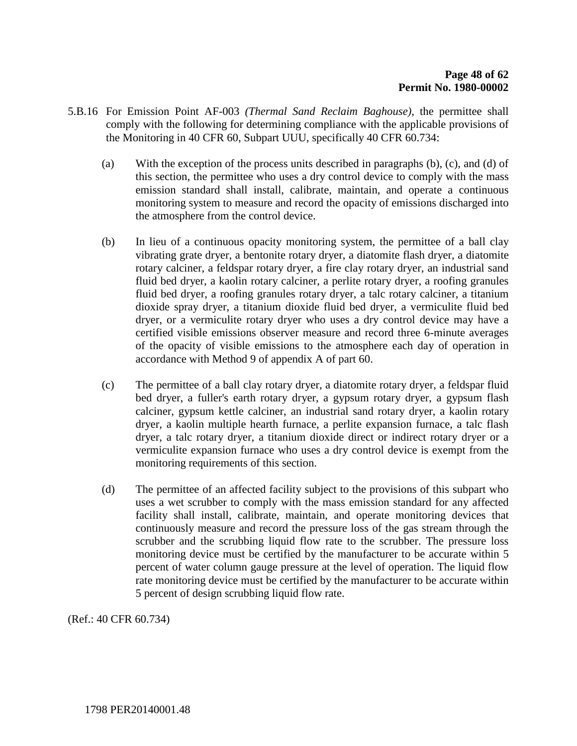- 5.B.16 For Emission Point AF-003 *(Thermal Sand Reclaim Baghouse)*, the permittee shall comply with the following for determining compliance with the applicable provisions of the Monitoring in 40 CFR 60, Subpart UUU, specifically 40 CFR 60.734:
	- (a) With the exception of the process units described in paragraphs (b), (c), and (d) of this section, the permittee who uses a dry control device to comply with the mass emission standard shall install, calibrate, maintain, and operate a continuous monitoring system to measure and record the opacity of emissions discharged into the atmosphere from the control device.
	- (b) In lieu of a continuous opacity monitoring system, the permittee of a ball clay vibrating grate dryer, a bentonite rotary dryer, a diatomite flash dryer, a diatomite rotary calciner, a feldspar rotary dryer, a fire clay rotary dryer, an industrial sand fluid bed dryer, a kaolin rotary calciner, a perlite rotary dryer, a roofing granules fluid bed dryer, a roofing granules rotary dryer, a talc rotary calciner, a titanium dioxide spray dryer, a titanium dioxide fluid bed dryer, a vermiculite fluid bed dryer, or a vermiculite rotary dryer who uses a dry control device may have a certified visible emissions observer measure and record three 6-minute averages of the opacity of visible emissions to the atmosphere each day of operation in accordance with Method 9 of appendix A of part 60.
	- (c) The permittee of a ball clay rotary dryer, a diatomite rotary dryer, a feldspar fluid bed dryer, a fuller's earth rotary dryer, a gypsum rotary dryer, a gypsum flash calciner, gypsum kettle calciner, an industrial sand rotary dryer, a kaolin rotary dryer, a kaolin multiple hearth furnace, a perlite expansion furnace, a talc flash dryer, a talc rotary dryer, a titanium dioxide direct or indirect rotary dryer or a vermiculite expansion furnace who uses a dry control device is exempt from the monitoring requirements of this section.
	- (d) The permittee of an affected facility subject to the provisions of this subpart who uses a wet scrubber to comply with the mass emission standard for any affected facility shall install, calibrate, maintain, and operate monitoring devices that continuously measure and record the pressure loss of the gas stream through the scrubber and the scrubbing liquid flow rate to the scrubber. The pressure loss monitoring device must be certified by the manufacturer to be accurate within 5 percent of water column gauge pressure at the level of operation. The liquid flow rate monitoring device must be certified by the manufacturer to be accurate within 5 percent of design scrubbing liquid flow rate.

(Ref.: 40 CFR 60.734)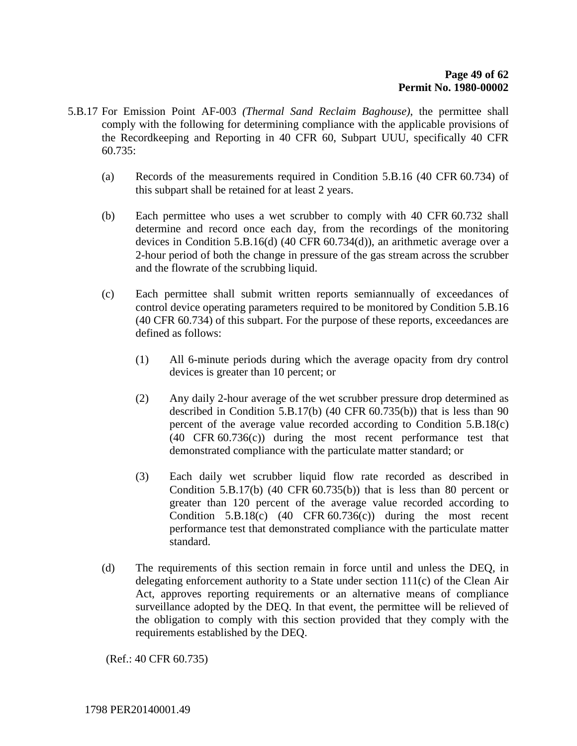- 5.B.17 For Emission Point AF-003 *(Thermal Sand Reclaim Baghouse)*, the permittee shall comply with the following for determining compliance with the applicable provisions of the Recordkeeping and Reporting in 40 CFR 60, Subpart UUU, specifically 40 CFR 60.735:
	- (a) Records of the measurements required in Condition 5.B.16 (40 CFR 60.734) of this subpart shall be retained for at least 2 years.
	- (b) Each permittee who uses a wet scrubber to comply with 40 CFR 60.732 shall determine and record once each day, from the recordings of the monitoring devices in Condition 5.B.16(d) (40 CFR 60.734(d)), an arithmetic average over a 2-hour period of both the change in pressure of the gas stream across the scrubber and the flowrate of the scrubbing liquid.
	- (c) Each permittee shall submit written reports semiannually of exceedances of control device operating parameters required to be monitored by Condition 5.B.16 (40 CFR 60.734) of this subpart. For the purpose of these reports, exceedances are defined as follows:
		- (1) All 6-minute periods during which the average opacity from dry control devices is greater than 10 percent; or
		- (2) Any daily 2-hour average of the wet scrubber pressure drop determined as described in Condition 5.B.17(b) (40 CFR 60.735(b)) that is less than 90 percent of the average value recorded according to Condition 5.B.18(c) (40 CFR 60.736(c)) during the most recent performance test that demonstrated compliance with the particulate matter standard; or
		- (3) Each daily wet scrubber liquid flow rate recorded as described in Condition 5.B.17(b) (40 CFR 60.735(b)) that is less than 80 percent or greater than 120 percent of the average value recorded according to Condition 5.B.18(c) (40 CFR 60.736(c)) during the most recent performance test that demonstrated compliance with the particulate matter standard.
	- (d) The requirements of this section remain in force until and unless the DEQ, in delegating enforcement authority to a State under section 111(c) of the Clean Air Act, approves reporting requirements or an alternative means of compliance surveillance adopted by the DEQ. In that event, the permittee will be relieved of the obligation to comply with this section provided that they comply with the requirements established by the DEQ.

(Ref.: 40 CFR 60.735)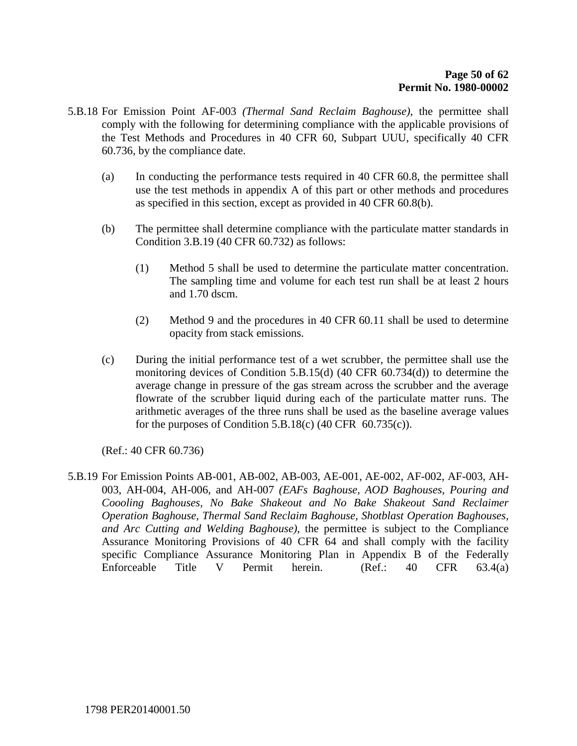- 5.B.18 For Emission Point AF-003 *(Thermal Sand Reclaim Baghouse)*, the permittee shall comply with the following for determining compliance with the applicable provisions of the Test Methods and Procedures in 40 CFR 60, Subpart UUU, specifically 40 CFR 60.736, by the compliance date.
	- (a) In conducting the performance tests required in 40 CFR 60.8, the permittee shall use the test methods in appendix A of this part or other methods and procedures as specified in this section, except as provided in 40 CFR 60.8(b).
	- (b) The permittee shall determine compliance with the particulate matter standards in Condition 3.B.19 (40 CFR 60.732) as follows:
		- (1) Method 5 shall be used to determine the particulate matter concentration. The sampling time and volume for each test run shall be at least 2 hours and 1.70 dscm.
		- (2) Method 9 and the procedures in 40 CFR 60.11 shall be used to determine opacity from stack emissions.
	- (c) During the initial performance test of a wet scrubber, the permittee shall use the monitoring devices of Condition 5.B.15(d) (40 CFR 60.734(d)) to determine the average change in pressure of the gas stream across the scrubber and the average flowrate of the scrubber liquid during each of the particulate matter runs. The arithmetic averages of the three runs shall be used as the baseline average values for the purposes of Condition 5.B.18(c)  $(40 \text{ CFR } 60.735(c))$ .

(Ref.: 40 CFR 60.736)

5.B.19 For Emission Points AB-001, AB-002, AB-003, AE-001, AE-002, AF-002, AF-003, AH-003, AH-004, AH-006, and AH-007 *(EAFs Baghouse, AOD Baghouses, Pouring and Coooling Baghouses, No Bake Shakeout and No Bake Shakeout Sand Reclaimer Operation Baghouse, Thermal Sand Reclaim Baghouse, Shotblast Operation Baghouses, and Arc Cutting and Welding Baghouse)*, the permittee is subject to the Compliance Assurance Monitoring Provisions of 40 CFR 64 and shall comply with the facility specific Compliance Assurance Monitoring Plan in Appendix B of the Federally Enforceable Title V Permit herein. (Ref.: 40 CFR 63.4(a)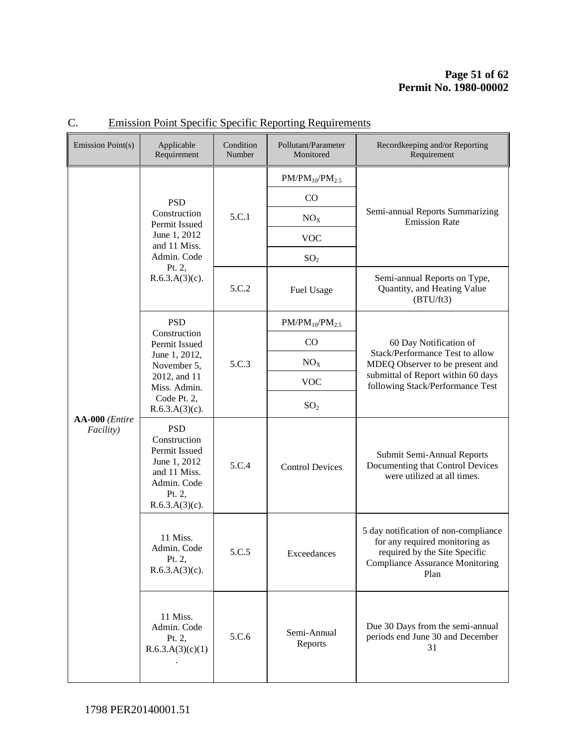| Emission Point(s)           | Applicable<br>Requirement                                                                                                 | Condition<br>Number | Pollutant/Parameter<br>Monitored | Recordkeeping and/or Reporting<br>Requirement                                                                                                             |
|-----------------------------|---------------------------------------------------------------------------------------------------------------------------|---------------------|----------------------------------|-----------------------------------------------------------------------------------------------------------------------------------------------------------|
|                             |                                                                                                                           |                     | $PM/PM_{10}/PM_{2.5}$            |                                                                                                                                                           |
|                             | <b>PSD</b>                                                                                                                |                     | $\rm CO$                         |                                                                                                                                                           |
|                             | Construction<br>Permit Issued                                                                                             | 5.C.1               | NO <sub>X</sub>                  | Semi-annual Reports Summarizing<br><b>Emission Rate</b>                                                                                                   |
|                             | June 1, 2012<br>and 11 Miss.                                                                                              |                     | <b>VOC</b>                       |                                                                                                                                                           |
|                             | Admin. Code<br>Pt. 2,                                                                                                     |                     | SO <sub>2</sub>                  |                                                                                                                                                           |
|                             | $R.6.3.A(3)(c)$ .                                                                                                         | 5.C.2               | Fuel Usage                       | Semi-annual Reports on Type,<br>Quantity, and Heating Value<br>(BTU/ft3)                                                                                  |
|                             | <b>PSD</b>                                                                                                                |                     | $PM/PM_{10}/PM_{2.5}$            |                                                                                                                                                           |
|                             | Construction<br>Permit Issued                                                                                             |                     | CO                               | 60 Day Notification of                                                                                                                                    |
|                             | June 1, 2012,<br>November 5,<br>2012, and 11<br>Miss. Admin.<br>Code Pt. 2,<br>$R.6.3.A(3)(c)$ .                          | 5.C.3               | NO <sub>X</sub>                  | Stack/Performance Test to allow<br>MDEQ Observer to be present and                                                                                        |
|                             |                                                                                                                           |                     | <b>VOC</b>                       | submittal of Report within 60 days<br>following Stack/Performance Test                                                                                    |
|                             |                                                                                                                           |                     | SO <sub>2</sub>                  |                                                                                                                                                           |
| AA-000 (Entire<br>Facility) | <b>PSD</b><br>Construction<br>Permit Issued<br>June 1, 2012<br>and 11 Miss.<br>Admin. Code<br>Pt. 2,<br>$R.6.3.A(3)(c)$ . | 5.C.4               | <b>Control Devices</b>           | Submit Semi-Annual Reports<br>Documenting that Control Devices<br>were utilized at all times.                                                             |
|                             | 11 Miss.<br>Admin. Code<br>Pt. 2,<br>$R.6.3.A(3)(c)$ .                                                                    | 5.C.5               | Exceedances                      | 5 day notification of non-compliance<br>for any required monitoring as<br>required by the Site Specific<br><b>Compliance Assurance Monitoring</b><br>Plan |
|                             | 11 Miss.<br>Admin. Code<br>Pt. 2,<br>R.6.3.A(3)(c)(1)                                                                     | 5.C.6               | Semi-Annual<br>Reports           | Due 30 Days from the semi-annual<br>periods end June 30 and December<br>31                                                                                |

### C. Emission Point Specific Specific Reporting Requirements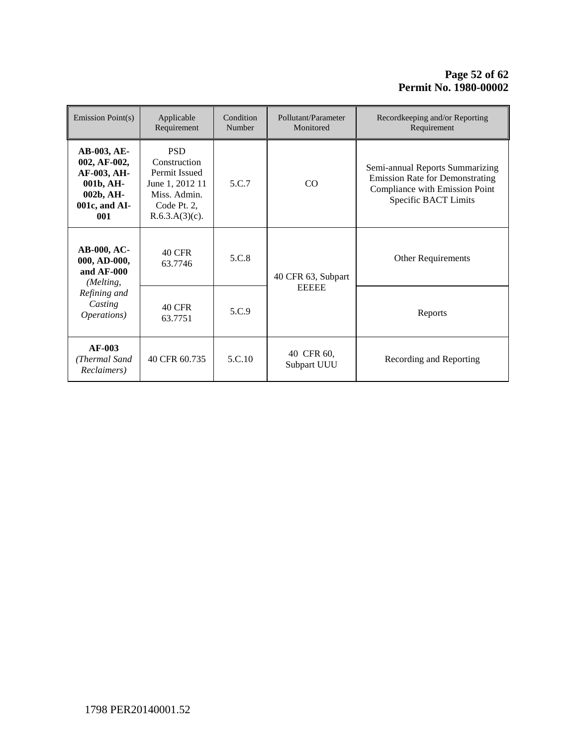#### **Page 52 of 62 Permit No. 1980-00002**

| Emission Point(s)                                                                                               | Applicable<br>Requirement                                                                                          | Condition<br>Number | Pollutant/Parameter<br>Monitored   | Recordkeeping and/or Reporting<br>Requirement                                                                                       |
|-----------------------------------------------------------------------------------------------------------------|--------------------------------------------------------------------------------------------------------------------|---------------------|------------------------------------|-------------------------------------------------------------------------------------------------------------------------------------|
| AB-003, AE-<br>002, AF-002,<br>AF-003, AH-<br>001b, AH-<br>002b, AH-<br>001c, and AI-<br>001                    | <b>PSD</b><br>Construction<br>Permit Issued<br>June 1, 2012 11<br>Miss. Admin.<br>Code Pt. 2.<br>$R.6.3.A(3)(c)$ . | 5.C.7               | CO                                 | Semi-annual Reports Summarizing<br><b>Emission Rate for Demonstrating</b><br>Compliance with Emission Point<br>Specific BACT Limits |
| <b>AB-000, AC-</b><br>000, AD-000,<br>and AF-000<br>(Melting,<br>Refining and<br>Casting<br><i>Operations</i> ) | <b>40 CFR</b><br>63.7746                                                                                           | 5.C.8               | 40 CFR 63, Subpart<br><b>EEEEE</b> | Other Requirements                                                                                                                  |
|                                                                                                                 | <b>40 CFR</b><br>63.7751                                                                                           | 5.C.9               |                                    | Reports                                                                                                                             |
| <b>AF-003</b><br>Thermal Sand<br>Reclaimers)                                                                    | 40 CFR 60.735                                                                                                      | 5.C.10              | 40 CFR 60,<br>Subpart UUU          | Recording and Reporting                                                                                                             |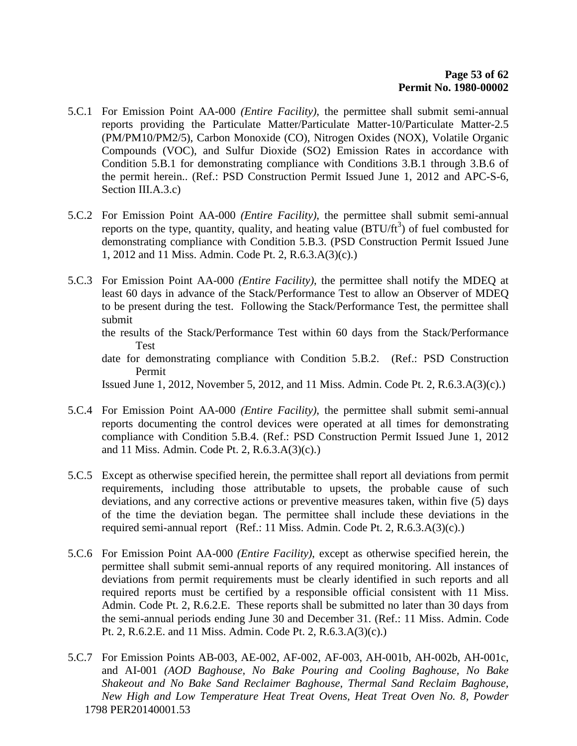- 5.C.1 For Emission Point AA-000 *(Entire Facility)*, the permittee shall submit semi-annual reports providing the Particulate Matter/Particulate Matter-10/Particulate Matter-2.5 (PM/PM10/PM2/5), Carbon Monoxide (CO), Nitrogen Oxides (NOX), Volatile Organic Compounds (VOC), and Sulfur Dioxide (SO2) Emission Rates in accordance with Condition 5.B.1 for demonstrating compliance with Conditions 3.B.1 through 3.B.6 of the permit herein.. (Ref.: PSD Construction Permit Issued June 1, 2012 and APC-S-6, Section III.A.3.c)
- 5.C.2 For Emission Point AA-000 *(Entire Facility)*, the permittee shall submit semi-annual reports on the type, quantity, quality, and heating value  $(BTU/ft^3)$  of fuel combusted for demonstrating compliance with Condition 5.B.3. (PSD Construction Permit Issued June 1, 2012 and 11 Miss. Admin. Code Pt. 2, R.6.3.A(3)(c).)
- 5.C.3 For Emission Point AA-000 *(Entire Facility)*, the permittee shall notify the MDEQ at least 60 days in advance of the Stack/Performance Test to allow an Observer of MDEQ to be present during the test. Following the Stack/Performance Test, the permittee shall submit
	- the results of the Stack/Performance Test within 60 days from the Stack/Performance Test
	- date for demonstrating compliance with Condition 5.B.2. (Ref.: PSD Construction Permit

Issued June 1, 2012, November 5, 2012, and 11 Miss. Admin. Code Pt. 2, R.6.3.A(3)(c).)

- 5.C.4 For Emission Point AA-000 *(Entire Facility)*, the permittee shall submit semi-annual reports documenting the control devices were operated at all times for demonstrating compliance with Condition 5.B.4. (Ref.: PSD Construction Permit Issued June 1, 2012 and 11 Miss. Admin. Code Pt. 2, R.6.3.A(3)(c).)
- 5.C.5 Except as otherwise specified herein, the permittee shall report all deviations from permit requirements, including those attributable to upsets, the probable cause of such deviations, and any corrective actions or preventive measures taken, within five (5) days of the time the deviation began. The permittee shall include these deviations in the required semi-annual report (Ref.: 11 Miss. Admin. Code Pt. 2, R.6.3.A(3)(c).)
- 5.C.6 For Emission Point AA-000 *(Entire Facility)*, except as otherwise specified herein, the permittee shall submit semi-annual reports of any required monitoring. All instances of deviations from permit requirements must be clearly identified in such reports and all required reports must be certified by a responsible official consistent with 11 Miss. Admin. Code Pt. 2, R.6.2.E. These reports shall be submitted no later than 30 days from the semi-annual periods ending June 30 and December 31. (Ref.: 11 Miss. Admin. Code Pt. 2, R.6.2.E. and 11 Miss. Admin. Code Pt. 2, R.6.3.A(3)(c).)
- 1798 PER20140001.53 5.C.7 For Emission Points AB-003, AE-002, AF-002, AF-003, AH-001b, AH-002b, AH-001c, and AI-001 *(AOD Baghouse, No Bake Pouring and Cooling Baghouse, No Bake Shakeout and No Bake Sand Reclaimer Baghouse, Thermal Sand Reclaim Baghouse, New High and Low Temperature Heat Treat Ovens, Heat Treat Oven No. 8, Powder*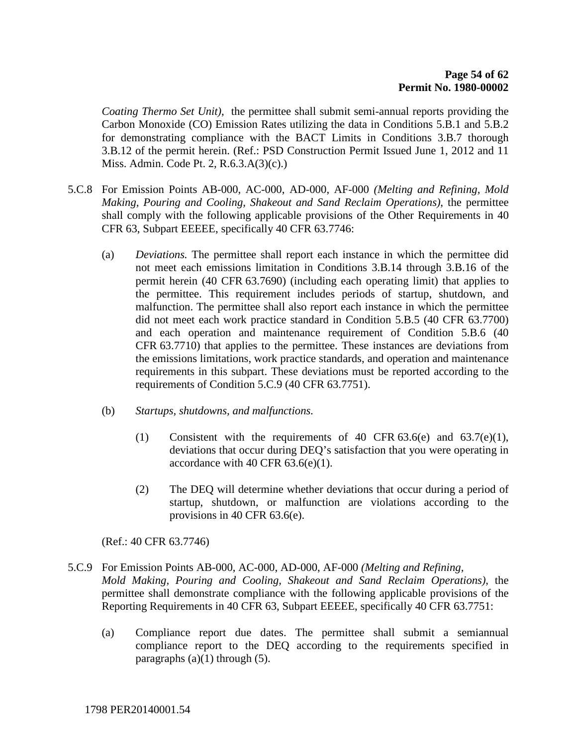*Coating Thermo Set Unit*), the permittee shall submit semi-annual reports providing the Carbon Monoxide (CO) Emission Rates utilizing the data in Conditions 5.B.1 and 5.B.2 for demonstrating compliance with the BACT Limits in Conditions 3.B.7 thorough 3.B.12 of the permit herein. (Ref.: PSD Construction Permit Issued June 1, 2012 and 11 Miss. Admin. Code Pt. 2, R.6.3.A(3)(c).)

- 5.C.8 For Emission Points AB-000, AC-000, AD-000, AF-000 *(Melting and Refining, Mold Making, Pouring and Cooling, Shakeout and Sand Reclaim Operations)*, the permittee shall comply with the following applicable provisions of the Other Requirements in 40 CFR 63, Subpart EEEEE, specifically 40 CFR 63.7746:
	- (a) *Deviations.* The permittee shall report each instance in which the permittee did not meet each emissions limitation in Conditions 3.B.14 through 3.B.16 of the permit herein (40 CFR 63.7690) (including each operating limit) that applies to the permittee. This requirement includes periods of startup, shutdown, and malfunction. The permittee shall also report each instance in which the permittee did not meet each work practice standard in Condition 5.B.5 (40 CFR 63.7700) and each operation and maintenance requirement of Condition 5.B.6 (40 CFR 63.7710) that applies to the permittee. These instances are deviations from the emissions limitations, work practice standards, and operation and maintenance requirements in this subpart. These deviations must be reported according to the requirements of Condition 5.C.9 (40 CFR 63.7751).
	- (b) *Startups, shutdowns, and malfunctions.*
		- (1) Consistent with the requirements of 40 CFR 63.6(e) and 63.7(e)(1), deviations that occur during DEQ's satisfaction that you were operating in accordance with 40 CFR  $63.6(e)(1)$ .
		- (2) The DEQ will determine whether deviations that occur during a period of startup, shutdown, or malfunction are violations according to the provisions in 40 CFR 63.6(e).

(Ref.: 40 CFR 63.7746)

#### 5.C.9 For Emission Points AB-000, AC-000, AD-000, AF-000 *(Melting and Refining, Mold Making, Pouring and Cooling, Shakeout and Sand Reclaim Operations)*, the permittee shall demonstrate compliance with the following applicable provisions of the Reporting Requirements in 40 CFR 63, Subpart EEEEE, specifically 40 CFR 63.7751:

(a) Compliance report due dates. The permittee shall submit a semiannual compliance report to the DEQ according to the requirements specified in paragraphs  $(a)(1)$  through  $(5)$ .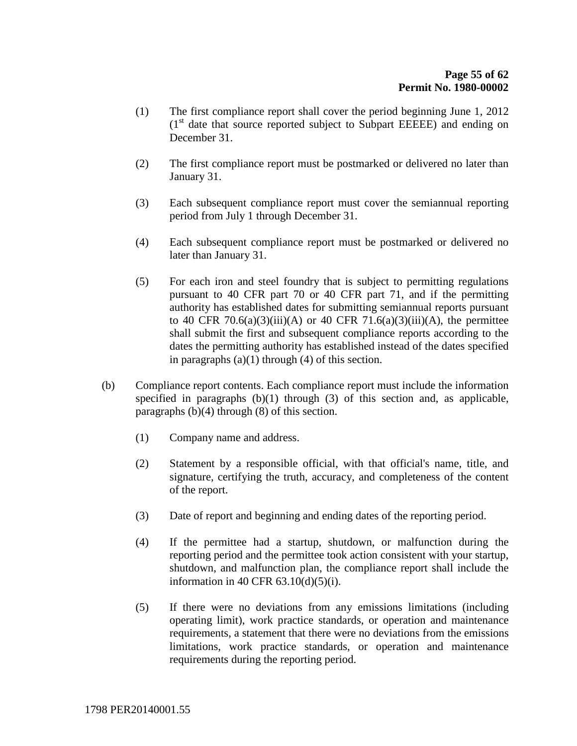- (1) The first compliance report shall cover the period beginning June 1, 2012  $(1<sup>st</sup>$  date that source reported subject to Subpart EEEEE) and ending on December 31.
- (2) The first compliance report must be postmarked or delivered no later than January 31.
- (3) Each subsequent compliance report must cover the semiannual reporting period from July 1 through December 31.
- (4) Each subsequent compliance report must be postmarked or delivered no later than January 31.
- (5) For each iron and steel foundry that is subject to permitting regulations pursuant to 40 CFR part 70 or 40 CFR part 71, and if the permitting authority has established dates for submitting semiannual reports pursuant to 40 CFR 70.6(a)(3)(iii)(A) or 40 CFR 71.6(a)(3)(iii)(A), the permittee shall submit the first and subsequent compliance reports according to the dates the permitting authority has established instead of the dates specified in paragraphs  $(a)(1)$  through  $(4)$  of this section.
- (b) Compliance report contents. Each compliance report must include the information specified in paragraphs (b)(1) through (3) of this section and, as applicable, paragraphs (b)(4) through (8) of this section.
	- (1) Company name and address.
	- (2) Statement by a responsible official, with that official's name, title, and signature, certifying the truth, accuracy, and completeness of the content of the report.
	- (3) Date of report and beginning and ending dates of the reporting period.
	- (4) If the permittee had a startup, shutdown, or malfunction during the reporting period and the permittee took action consistent with your startup, shutdown, and malfunction plan, the compliance report shall include the information in 40 CFR 63.10(d)(5)(i).
	- (5) If there were no deviations from any emissions limitations (including operating limit), work practice standards, or operation and maintenance requirements, a statement that there were no deviations from the emissions limitations, work practice standards, or operation and maintenance requirements during the reporting period.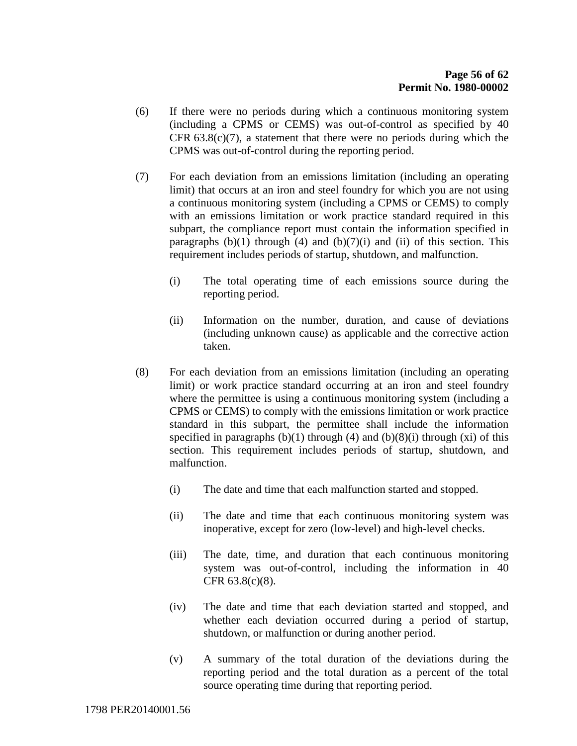- (6) If there were no periods during which a continuous monitoring system (including a CPMS or CEMS) was out-of-control as specified by 40 CFR  $63.8(c)(7)$ , a statement that there were no periods during which the CPMS was out-of-control during the reporting period.
- (7) For each deviation from an emissions limitation (including an operating limit) that occurs at an iron and steel foundry for which you are not using a continuous monitoring system (including a CPMS or CEMS) to comply with an emissions limitation or work practice standard required in this subpart, the compliance report must contain the information specified in paragraphs  $(b)(1)$  through  $(4)$  and  $(b)(7)(i)$  and  $(ii)$  of this section. This requirement includes periods of startup, shutdown, and malfunction.
	- (i) The total operating time of each emissions source during the reporting period.
	- (ii) Information on the number, duration, and cause of deviations (including unknown cause) as applicable and the corrective action taken.
- (8) For each deviation from an emissions limitation (including an operating limit) or work practice standard occurring at an iron and steel foundry where the permittee is using a continuous monitoring system (including a CPMS or CEMS) to comply with the emissions limitation or work practice standard in this subpart, the permittee shall include the information specified in paragraphs  $(b)(1)$  through  $(4)$  and  $(b)(8)(i)$  through  $(xi)$  of this section. This requirement includes periods of startup, shutdown, and malfunction.
	- (i) The date and time that each malfunction started and stopped.
	- (ii) The date and time that each continuous monitoring system was inoperative, except for zero (low-level) and high-level checks.
	- (iii) The date, time, and duration that each continuous monitoring system was out-of-control, including the information in 40 CFR 63.8(c)(8).
	- (iv) The date and time that each deviation started and stopped, and whether each deviation occurred during a period of startup, shutdown, or malfunction or during another period.
	- (v) A summary of the total duration of the deviations during the reporting period and the total duration as a percent of the total source operating time during that reporting period.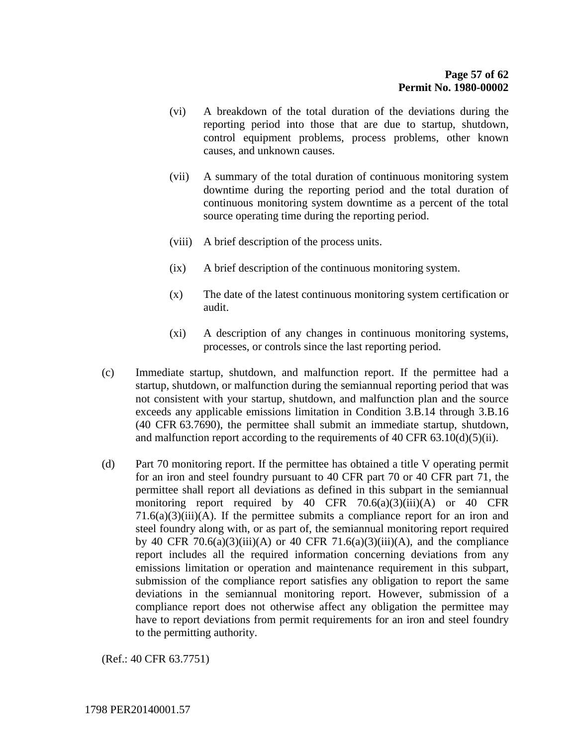- (vi) A breakdown of the total duration of the deviations during the reporting period into those that are due to startup, shutdown, control equipment problems, process problems, other known causes, and unknown causes.
- (vii) A summary of the total duration of continuous monitoring system downtime during the reporting period and the total duration of continuous monitoring system downtime as a percent of the total source operating time during the reporting period.
- (viii) A brief description of the process units.
- (ix) A brief description of the continuous monitoring system.
- (x) The date of the latest continuous monitoring system certification or audit.
- (xi) A description of any changes in continuous monitoring systems, processes, or controls since the last reporting period.
- (c) Immediate startup, shutdown, and malfunction report. If the permittee had a startup, shutdown, or malfunction during the semiannual reporting period that was not consistent with your startup, shutdown, and malfunction plan and the source exceeds any applicable emissions limitation in Condition 3.B.14 through 3.B.16 (40 CFR 63.7690), the permittee shall submit an immediate startup, shutdown, and malfunction report according to the requirements of 40 CFR  $63.10(d)(5)(ii)$ .
- (d) Part 70 monitoring report. If the permittee has obtained a title V operating permit for an iron and steel foundry pursuant to 40 CFR part 70 or 40 CFR part 71, the permittee shall report all deviations as defined in this subpart in the semiannual monitoring report required by 40 CFR  $70.6(a)(3)(iii)(A)$  or 40 CFR  $71.6(a)(3)(iii)(A)$ . If the permittee submits a compliance report for an iron and steel foundry along with, or as part of, the semiannual monitoring report required by 40 CFR 70.6(a)(3)(iii)(A) or 40 CFR 71.6(a)(3)(iii)(A), and the compliance report includes all the required information concerning deviations from any emissions limitation or operation and maintenance requirement in this subpart, submission of the compliance report satisfies any obligation to report the same deviations in the semiannual monitoring report. However, submission of a compliance report does not otherwise affect any obligation the permittee may have to report deviations from permit requirements for an iron and steel foundry to the permitting authority.

(Ref.: 40 CFR 63.7751)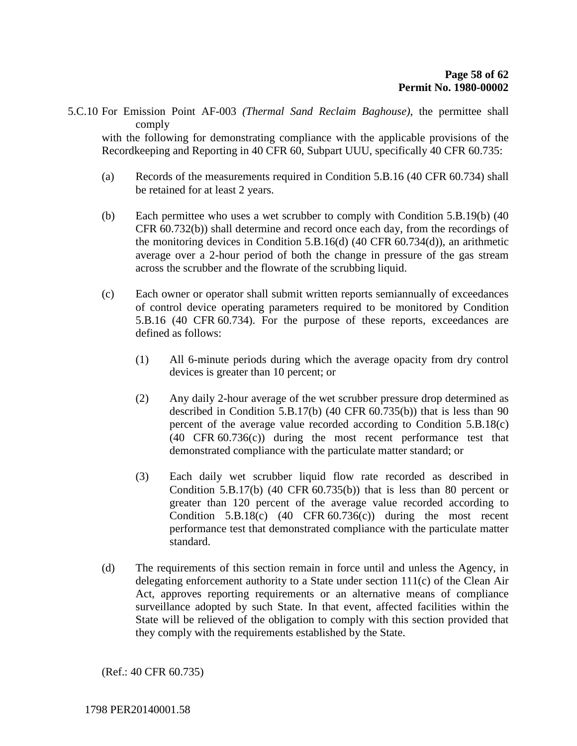5.C.10 For Emission Point AF-003 *(Thermal Sand Reclaim Baghouse)*, the permittee shall comply

with the following for demonstrating compliance with the applicable provisions of the Recordkeeping and Reporting in 40 CFR 60, Subpart UUU, specifically 40 CFR 60.735:

- (a) Records of the measurements required in Condition 5.B.16 (40 CFR 60.734) shall be retained for at least 2 years.
- (b) Each permittee who uses a wet scrubber to comply with Condition 5.B.19(b) (40 CFR 60.732(b)) shall determine and record once each day, from the recordings of the monitoring devices in Condition 5.B.16(d) (40 CFR 60.734(d)), an arithmetic average over a 2-hour period of both the change in pressure of the gas stream across the scrubber and the flowrate of the scrubbing liquid.
- (c) Each owner or operator shall submit written reports semiannually of exceedances of control device operating parameters required to be monitored by Condition 5.B.16 (40 CFR 60.734). For the purpose of these reports, exceedances are defined as follows:
	- (1) All 6-minute periods during which the average opacity from dry control devices is greater than 10 percent; or
	- (2) Any daily 2-hour average of the wet scrubber pressure drop determined as described in Condition 5.B.17(b) (40 CFR 60.735(b)) that is less than 90 percent of the average value recorded according to Condition 5.B.18(c) (40 CFR 60.736(c)) during the most recent performance test that demonstrated compliance with the particulate matter standard; or
	- (3) Each daily wet scrubber liquid flow rate recorded as described in Condition 5.B.17(b) (40 CFR 60.735(b)) that is less than 80 percent or greater than 120 percent of the average value recorded according to Condition  $5.B.18(c)$  (40 CFR  $60.736(c)$ ) during the most recent performance test that demonstrated compliance with the particulate matter standard.
- (d) The requirements of this section remain in force until and unless the Agency, in delegating enforcement authority to a State under section 111(c) of the Clean Air Act, approves reporting requirements or an alternative means of compliance surveillance adopted by such State. In that event, affected facilities within the State will be relieved of the obligation to comply with this section provided that they comply with the requirements established by the State.

(Ref.: 40 CFR 60.735)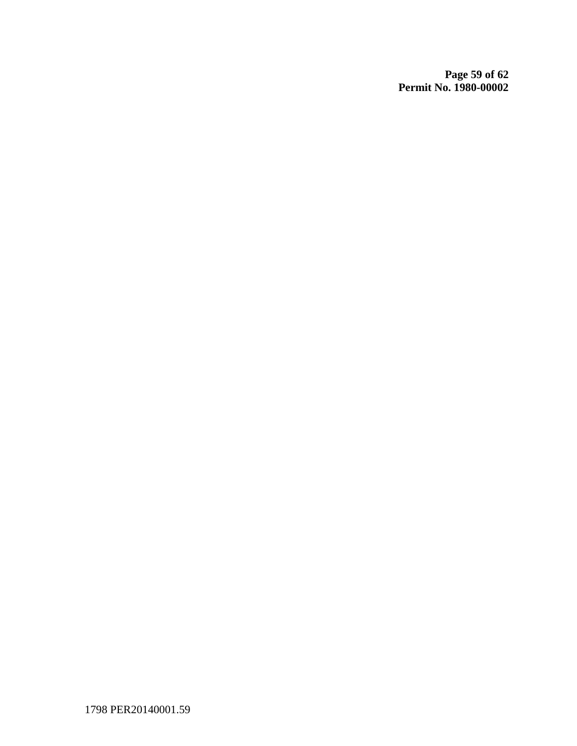**Page 59 of 62 Permit No. 1980-00002**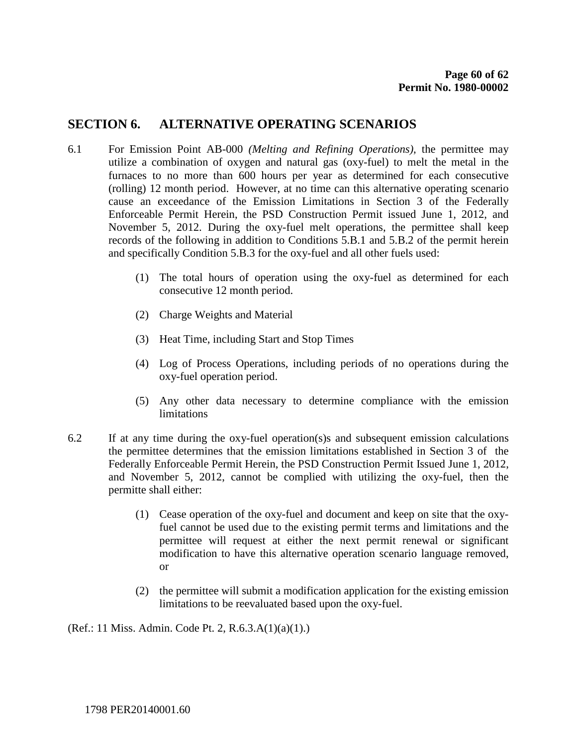#### **SECTION 6. ALTERNATIVE OPERATING SCENARIOS**

- 6.1 For Emission Point AB-000 *(Melting and Refining Operations)*, the permittee may utilize a combination of oxygen and natural gas (oxy-fuel) to melt the metal in the furnaces to no more than 600 hours per year as determined for each consecutive (rolling) 12 month period. However, at no time can this alternative operating scenario cause an exceedance of the Emission Limitations in Section 3 of the Federally Enforceable Permit Herein, the PSD Construction Permit issued June 1, 2012, and November 5, 2012. During the oxy-fuel melt operations, the permittee shall keep records of the following in addition to Conditions 5.B.1 and 5.B.2 of the permit herein and specifically Condition 5.B.3 for the oxy-fuel and all other fuels used:
	- (1) The total hours of operation using the oxy-fuel as determined for each consecutive 12 month period.
	- (2) Charge Weights and Material
	- (3) Heat Time, including Start and Stop Times
	- (4) Log of Process Operations, including periods of no operations during the oxy-fuel operation period.
	- (5) Any other data necessary to determine compliance with the emission limitations
- 6.2 If at any time during the oxy-fuel operation(s)s and subsequent emission calculations the permittee determines that the emission limitations established in Section 3 of the Federally Enforceable Permit Herein, the PSD Construction Permit Issued June 1, 2012, and November 5, 2012, cannot be complied with utilizing the oxy-fuel, then the permitte shall either:
	- (1) Cease operation of the oxy-fuel and document and keep on site that the oxyfuel cannot be used due to the existing permit terms and limitations and the permittee will request at either the next permit renewal or significant modification to have this alternative operation scenario language removed, or
	- (2) the permittee will submit a modification application for the existing emission limitations to be reevaluated based upon the oxy-fuel.

(Ref.: 11 Miss. Admin. Code Pt. 2, R.6.3.A(1)(a)(1).)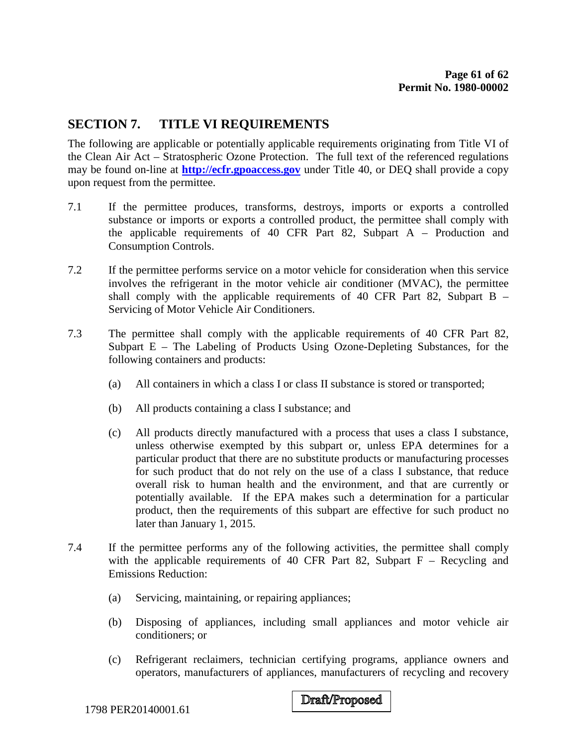#### **SECTION 7. TITLE VI REQUIREMENTS**

The following are applicable or potentially applicable requirements originating from Title VI of the Clean Air Act – Stratospheric Ozone Protection. The full text of the referenced regulations may be found on-line at **[http://ecfr.gpoaccess.gov](http://ecfr.gpoaccess.gov/)** under Title 40, or DEQ shall provide a copy upon request from the permittee.

- 7.1 If the permittee produces, transforms, destroys, imports or exports a controlled substance or imports or exports a controlled product, the permittee shall comply with the applicable requirements of 40 CFR Part 82, Subpart A – Production and Consumption Controls.
- 7.2 If the permittee performs service on a motor vehicle for consideration when this service involves the refrigerant in the motor vehicle air conditioner (MVAC), the permittee shall comply with the applicable requirements of 40 CFR Part 82, Subpart B – Servicing of Motor Vehicle Air Conditioners.
- 7.3 The permittee shall comply with the applicable requirements of 40 CFR Part 82, Subpart E – The Labeling of Products Using Ozone-Depleting Substances, for the following containers and products:
	- (a) All containers in which a class I or class II substance is stored or transported;
	- (b) All products containing a class I substance; and
	- (c) All products directly manufactured with a process that uses a class I substance, unless otherwise exempted by this subpart or, unless EPA determines for a particular product that there are no substitute products or manufacturing processes for such product that do not rely on the use of a class I substance, that reduce overall risk to human health and the environment, and that are currently or potentially available. If the EPA makes such a determination for a particular product, then the requirements of this subpart are effective for such product no later than January 1, 2015.
- 7.4 If the permittee performs any of the following activities, the permittee shall comply with the applicable requirements of 40 CFR Part 82, Subpart F – Recycling and Emissions Reduction:
	- (a) Servicing, maintaining, or repairing appliances;
	- (b) Disposing of appliances, including small appliances and motor vehicle air conditioners; or
	- (c) Refrigerant reclaimers, technician certifying programs, appliance owners and operators, manufacturers of appliances, manufacturers of recycling and recovery

1798 PER20140001.61

Draft/Proposed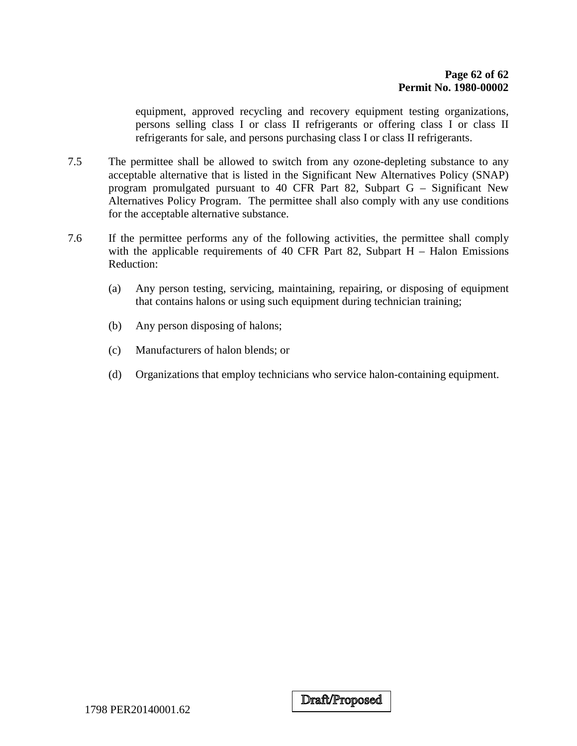equipment, approved recycling and recovery equipment testing organizations, persons selling class I or class II refrigerants or offering class I or class II refrigerants for sale, and persons purchasing class I or class II refrigerants.

- 7.5 The permittee shall be allowed to switch from any ozone-depleting substance to any acceptable alternative that is listed in the Significant New Alternatives Policy (SNAP) program promulgated pursuant to 40 CFR Part 82, Subpart G – Significant New Alternatives Policy Program. The permittee shall also comply with any use conditions for the acceptable alternative substance.
- 7.6 If the permittee performs any of the following activities, the permittee shall comply with the applicable requirements of 40 CFR Part 82, Subpart H – Halon Emissions Reduction:
	- (a) Any person testing, servicing, maintaining, repairing, or disposing of equipment that contains halons or using such equipment during technician training;
	- (b) Any person disposing of halons;
	- (c) Manufacturers of halon blends; or
	- (d) Organizations that employ technicians who service halon-containing equipment.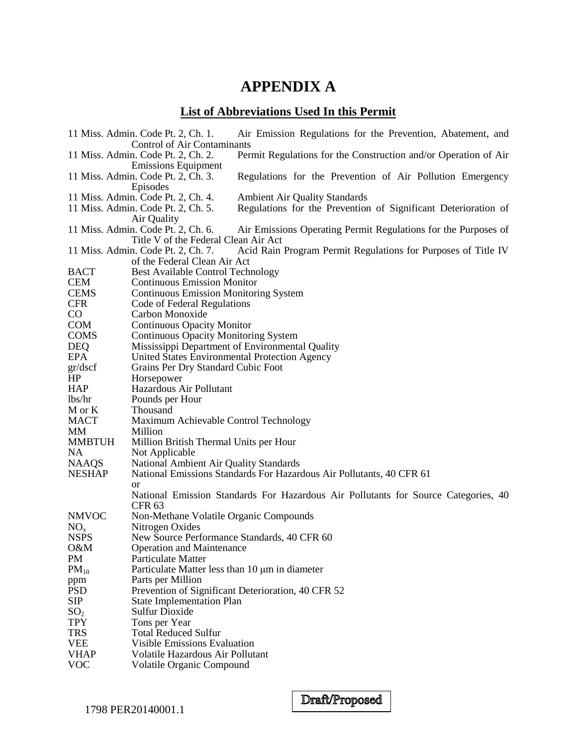## **APPENDIX A**

### **List of Abbreviations Used In this Permit**

|                                                                                                                                     | 11 Miss. Admin. Code Pt. 2, Ch. 1.                                                             | Air Emission Regulations for the Prevention, Abatement, and                        |  |  |  |  |
|-------------------------------------------------------------------------------------------------------------------------------------|------------------------------------------------------------------------------------------------|------------------------------------------------------------------------------------|--|--|--|--|
|                                                                                                                                     | Control of Air Contaminants<br>11 Miss. Admin. Code Pt. 2, Ch. 2.                              |                                                                                    |  |  |  |  |
|                                                                                                                                     | <b>Emissions Equipment</b>                                                                     | Permit Regulations for the Construction and/or Operation of Air                    |  |  |  |  |
|                                                                                                                                     | 11 Miss. Admin. Code Pt. 2, Ch. 3.                                                             | Regulations for the Prevention of Air Pollution Emergency                          |  |  |  |  |
| Episodes                                                                                                                            |                                                                                                |                                                                                    |  |  |  |  |
|                                                                                                                                     | 11 Miss. Admin. Code Pt. 2, Ch. 4.                                                             | <b>Ambient Air Quality Standards</b>                                               |  |  |  |  |
|                                                                                                                                     | 11 Miss. Admin. Code Pt. 2, Ch. 5.                                                             | Regulations for the Prevention of Significant Deterioration of                     |  |  |  |  |
|                                                                                                                                     | Air Quality                                                                                    |                                                                                    |  |  |  |  |
| 11 Miss. Admin. Code Pt. 2, Ch. 6.<br>Air Emissions Operating Permit Regulations for the Purposes of                                |                                                                                                |                                                                                    |  |  |  |  |
| Title V of the Federal Clean Air Act                                                                                                |                                                                                                |                                                                                    |  |  |  |  |
| 11 Miss. Admin. Code Pt. 2, Ch. 7.<br>Acid Rain Program Permit Regulations for Purposes of Title IV<br>of the Federal Clean Air Act |                                                                                                |                                                                                    |  |  |  |  |
| <b>BACT</b>                                                                                                                         | <b>Best Available Control Technology</b>                                                       |                                                                                    |  |  |  |  |
| <b>CEM</b>                                                                                                                          |                                                                                                |                                                                                    |  |  |  |  |
| <b>CEMS</b>                                                                                                                         | <b>Continuous Emission Monitor</b>                                                             |                                                                                    |  |  |  |  |
| <b>CFR</b>                                                                                                                          | <b>Continuous Emission Monitoring System</b>                                                   |                                                                                    |  |  |  |  |
| $\rm CO$                                                                                                                            | Code of Federal Regulations<br>Carbon Monoxide                                                 |                                                                                    |  |  |  |  |
| <b>COM</b>                                                                                                                          |                                                                                                |                                                                                    |  |  |  |  |
| <b>COMS</b>                                                                                                                         | <b>Continuous Opacity Monitor</b>                                                              |                                                                                    |  |  |  |  |
| <b>DEQ</b>                                                                                                                          | <b>Continuous Opacity Monitoring System</b><br>Mississippi Department of Environmental Quality |                                                                                    |  |  |  |  |
| EPA                                                                                                                                 | United States Environmental Protection Agency                                                  |                                                                                    |  |  |  |  |
| gr/dscf                                                                                                                             | Grains Per Dry Standard Cubic Foot                                                             |                                                                                    |  |  |  |  |
| HP                                                                                                                                  | Horsepower                                                                                     |                                                                                    |  |  |  |  |
| <b>HAP</b>                                                                                                                          | Hazardous Air Pollutant                                                                        |                                                                                    |  |  |  |  |
| lbs/hr                                                                                                                              | Pounds per Hour                                                                                |                                                                                    |  |  |  |  |
| M or K                                                                                                                              | Thousand                                                                                       |                                                                                    |  |  |  |  |
| <b>MACT</b>                                                                                                                         | Maximum Achievable Control Technology                                                          |                                                                                    |  |  |  |  |
| <b>MM</b>                                                                                                                           | Million                                                                                        |                                                                                    |  |  |  |  |
| <b>MMBTUH</b>                                                                                                                       | Million British Thermal Units per Hour                                                         |                                                                                    |  |  |  |  |
| NA                                                                                                                                  | Not Applicable                                                                                 |                                                                                    |  |  |  |  |
| <b>NAAQS</b>                                                                                                                        | National Ambient Air Quality Standards                                                         |                                                                                    |  |  |  |  |
| <b>NESHAP</b>                                                                                                                       | National Emissions Standards For Hazardous Air Pollutants, 40 CFR 61                           |                                                                                    |  |  |  |  |
|                                                                                                                                     | <b>or</b>                                                                                      |                                                                                    |  |  |  |  |
|                                                                                                                                     |                                                                                                | National Emission Standards For Hazardous Air Pollutants for Source Categories, 40 |  |  |  |  |
| <b>NMVOC</b>                                                                                                                        | <b>CFR 63</b>                                                                                  |                                                                                    |  |  |  |  |
|                                                                                                                                     | Non-Methane Volatile Organic Compounds                                                         |                                                                                    |  |  |  |  |
| $NO_{x}$<br><b>NSPS</b>                                                                                                             | Nitrogen Oxides<br>New Source Performance Standards, 40 CFR 60                                 |                                                                                    |  |  |  |  |
| O&M                                                                                                                                 | <b>Operation and Maintenance</b>                                                               |                                                                                    |  |  |  |  |
| PM                                                                                                                                  | Particulate Matter                                                                             |                                                                                    |  |  |  |  |
| $PM_{10}$                                                                                                                           |                                                                                                |                                                                                    |  |  |  |  |
|                                                                                                                                     | Particulate Matter less than 10 µm in diameter<br>Parts per Million                            |                                                                                    |  |  |  |  |
| ppm<br><b>PSD</b>                                                                                                                   | Prevention of Significant Deterioration, 40 CFR 52                                             |                                                                                    |  |  |  |  |
| SIP                                                                                                                                 | <b>State Implementation Plan</b>                                                               |                                                                                    |  |  |  |  |
| SO <sub>2</sub>                                                                                                                     | <b>Sulfur Dioxide</b>                                                                          |                                                                                    |  |  |  |  |
| <b>TPY</b>                                                                                                                          | Tons per Year                                                                                  |                                                                                    |  |  |  |  |
| <b>TRS</b>                                                                                                                          | <b>Total Reduced Sulfur</b>                                                                    |                                                                                    |  |  |  |  |
| <b>VEE</b>                                                                                                                          | Visible Emissions Evaluation                                                                   |                                                                                    |  |  |  |  |
| <b>VHAP</b>                                                                                                                         | Volatile Hazardous Air Pollutant                                                               |                                                                                    |  |  |  |  |
| <b>VOC</b>                                                                                                                          | Volatile Organic Compound                                                                      |                                                                                    |  |  |  |  |
|                                                                                                                                     |                                                                                                |                                                                                    |  |  |  |  |

Draft/Proposed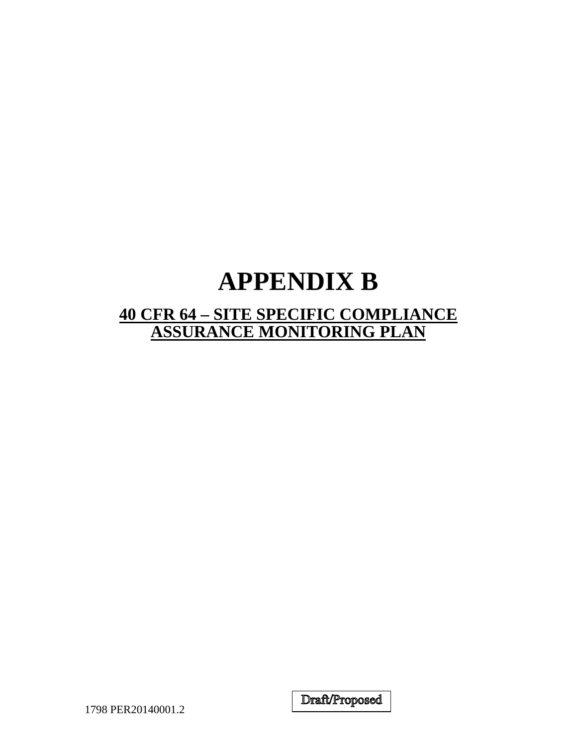## **APPENDIX B**

## **40 CFR 64 – SITE SPECIFIC COMPLIANCE ASSURANCE MONITORING PLAN**

Draft/Proposed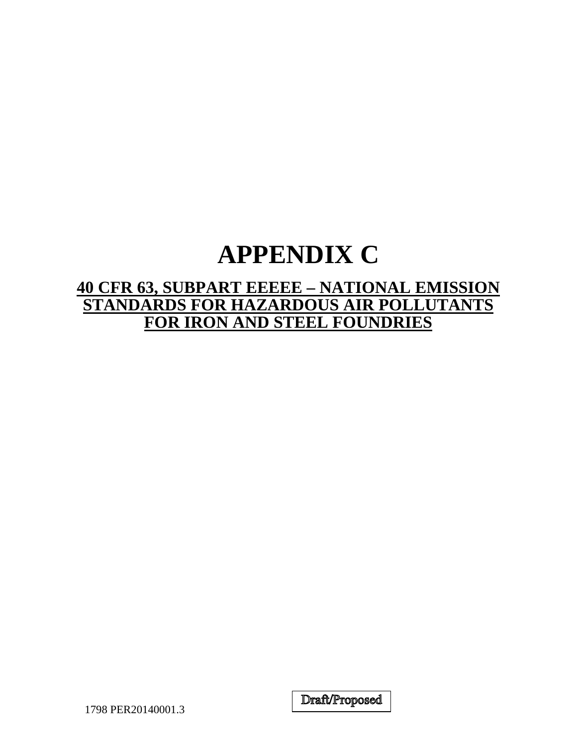# **APPENDIX C**

## **40 CFR 63, SUBPART EEEEE – NATIONAL EMISSION STANDARDS FOR HAZARDOUS AIR POLLUTANTS FOR IRON AND STEEL FOUNDRIES**

Draft/Proposed